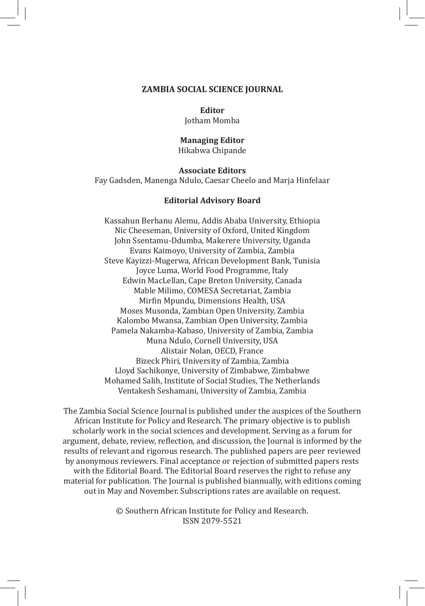#### **ZAMBIA SOCIAL SCIENCE JOURNAL**

#### **Editor**

Jotham Momba

## **Managing Editor**

Hikabwa Chipande

#### **Associate Editors**

Fay Gadsden, Manenga Ndulo, Caesar Cheelo and Marja Hinfelaar

#### **Editorial Advisory Board**

Kassahun Berhanu Alemu, Addis Ababa University, Ethiopia Nic Cheeseman, University of Oxford, United Kingdom John Ssentamu-Ddumba, Makerere University, Uganda Evans Kaimoyo, University of Zambia, Zambia Steve Kayizzi-Mugerwa, African Development Bank, Tunisia Joyce Luma, World Food Programme, Italy Edwin MacLellan, Cape Breton University, Canada Mable Milimo, COMESA Secretariat, Zambia Mirfin Mpundu, Dimensions Health, USA Moses Musonda, Zambian Open University, Zambia Kalombo Mwansa, Zambian Open University, Zambia Pamela Nakamba-Kabaso, University of Zambia, Zambia Muna Ndulo, Cornell University, USA Alistair Nolan, OECD, France Bizeck Phiri, University of Zambia, Zambia Lloyd Sachikonye, University of Zimbabwe, Zimbabwe Mohamed Salih, Institute of Social Studies, The Netherlands Ventakesh Seshamani, University of Zambia, Zambia

The Zambia Social Science Journal is published under the auspices of the Southern African Institute for Policy and Research. The primary objective is to publish scholarly work in the social sciences and development. Serving as a forum for argument, debate, review, reflection, and discussion, the Journal is informed by the results of relevant and rigorous research. The published papers are peer reviewed by anonymous reviewers. Final acceptance or rejection of submitted papers rests with the Editorial Board. The Editorial Board reserves the right to refuse any material for publication. The Journal is published biannually, with editions coming out in May and November. Subscriptions rates are available on request.

> © Southern African Institute for Policy and Research. ISSN 2079-5521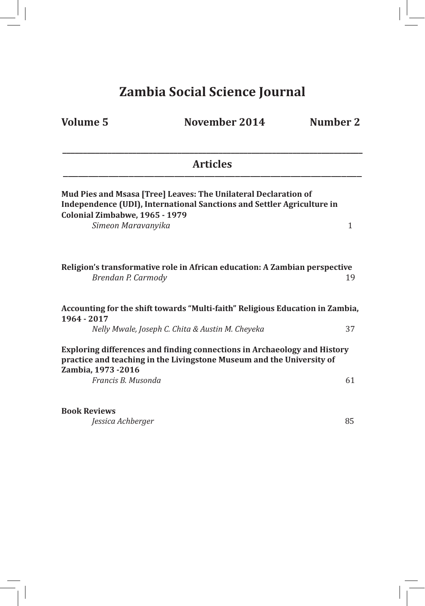# **Zambia Social Science Journal**

**Volume 5 November 2014 Number 2**

| <b>Articles</b>                                                                                                                                                                                   |    |
|---------------------------------------------------------------------------------------------------------------------------------------------------------------------------------------------------|----|
| Mud Pies and Msasa [Tree] Leaves: The Unilateral Declaration of<br>Independence (UDI), International Sanctions and Settler Agriculture in<br>Colonial Zimbabwe, 1965 - 1979<br>Simeon Maravanyika | 1  |
| Religion's transformative role in African education: A Zambian perspective<br>Brendan P. Carmody                                                                                                  | 19 |
| Accounting for the shift towards "Multi-faith" Religious Education in Zambia,<br>1964 - 2017                                                                                                      |    |
| Nelly Mwale, Joseph C. Chita & Austin M. Cheyeka                                                                                                                                                  | 37 |
| Exploring differences and finding connections in Archaeology and History<br>practice and teaching in the Livingstone Museum and the University of<br>Zambia, 1973 -2016                           |    |
| Francis B. Musonda                                                                                                                                                                                | 61 |
| <b>Book Reviews</b>                                                                                                                                                                               |    |
| Jessica Achberger                                                                                                                                                                                 | 85 |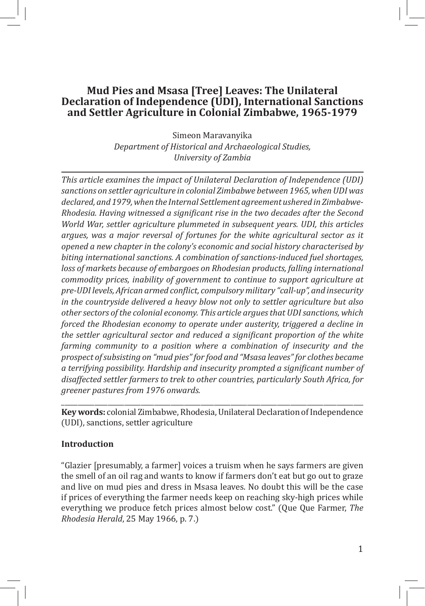### **Mud Pies and Msasa [Tree] Leaves: The Unilateral Declaration of Independence (UDI), International Sanctions and Settler Agriculture in Colonial Zimbabwe, 1965-1979**

Simeon Maravanyika *Department of Historical and Archaeological Studies, University of Zambia*

*This article examines the impact of Unilateral Declaration of Independence (UDI) sanctions on settler agriculture in colonial Zimbabwe between 1965, when UDI was declared, and 1979, when the Internal Settlement agreement ushered in Zimbabwe-Rhodesia. Having witnessed a significant rise in the two decades after the Second World War, settler agriculture plummeted in subsequent years. UDI, this articles argues, was a major reversal of fortunes for the white agricultural sector as it opened a new chapter in the colony's economic and social history characterised by biting international sanctions. A combination of sanctions-induced fuel shortages, loss of markets because of embargoes on Rhodesian products, falling international commodity prices, inability of government to continue to support agriculture at pre-UDI levels, African armed conflict, compulsory military "call-up", and insecurity in the countryside delivered a heavy blow not only to settler agriculture but also other sectors of the colonial economy. This article argues that UDI sanctions, which forced the Rhodesian economy to operate under austerity, triggered a decline in the settler agricultural sector and reduced a significant proportion of the white farming community to a position where a combination of insecurity and the prospect of subsisting on "mud pies" for food and "Msasa leaves" for clothes became a terrifying possibility. Hardship and insecurity prompted a significant number of disaffected settler farmers to trek to other countries, particularly South Africa, for greener pastures from 1976 onwards.*

\_\_\_\_\_\_\_\_\_\_\_\_\_\_\_\_\_\_\_\_\_\_\_\_\_\_\_\_\_\_\_\_\_\_\_\_\_\_\_\_\_\_\_\_\_\_\_\_\_\_\_\_\_\_\_\_\_\_\_\_\_\_\_\_\_\_\_\_\_\_\_\_\_\_\_\_\_\_\_\_\_\_\_\_\_\_\_\_\_\_\_ **Key words:** colonial Zimbabwe, Rhodesia, Unilateral Declaration of Independence (UDI), sanctions, settler agriculture

#### **Introduction**

"Glazier [presumably, a farmer] voices a truism when he says farmers are given the smell of an oil rag and wants to know if farmers don't eat but go out to graze and live on mud pies and dress in Msasa leaves. No doubt this will be the case if prices of everything the farmer needs keep on reaching sky-high prices while everything we produce fetch prices almost below cost." (Que Que Farmer, *The Rhodesia Herald*, 25 May 1966, p. 7.)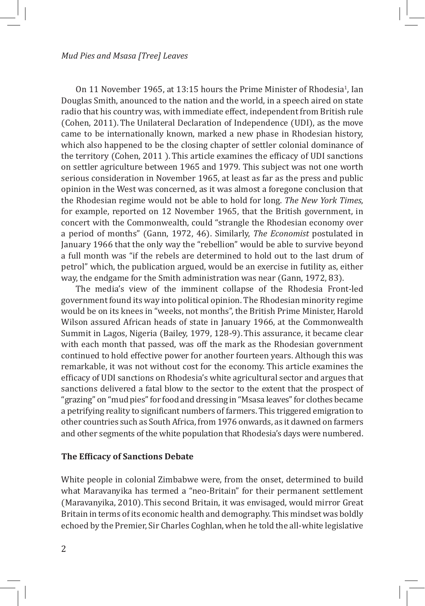On 11 November 1965, at 13:15 hours the Prime Minister of Rhodesia<sup>1</sup>, Ian Douglas Smith, anounced to the nation and the world, in a speech aired on state radio that his country was, with immediate effect, independent from British rule (Cohen, 2011). The Unilateral Declaration of Independence (UDI), as the move came to be internationally known, marked a new phase in Rhodesian history, which also happened to be the closing chapter of settler colonial dominance of the territory (Cohen, 2011 ).This article examines the efficacy of UDI sanctions on settler agriculture between 1965 and 1979. This subject was not one worth serious consideration in November 1965, at least as far as the press and public opinion in the West was concerned, as it was almost a foregone conclusion that the Rhodesian regime would not be able to hold for long. *The New York Times*, for example, reported on 12 November 1965, that the British government, in concert with the Commonwealth, could "strangle the Rhodesian economy over a period of months" (Gann, 1972, 46). Similarly, *The Economist* postulated in January 1966 that the only way the "rebellion" would be able to survive beyond a full month was "if the rebels are determined to hold out to the last drum of petrol" which, the publication argued, would be an exercise in futility as, either way, the endgame for the Smith administration was near (Gann, 1972, 83).

The media's view of the imminent collapse of the Rhodesia Front-led government found its way into political opinion. The Rhodesian minority regime would be on its knees in "weeks, not months", the British Prime Minister, Harold Wilson assured African heads of state in January 1966, at the Commonwealth Summit in Lagos, Nigeria (Bailey, 1979, 128-9).This assurance, it became clear with each month that passed, was off the mark as the Rhodesian government continued to hold effective power for another fourteen years. Although this was remarkable, it was not without cost for the economy. This article examines the efficacy of UDI sanctions on Rhodesia's white agricultural sector and argues that sanctions delivered a fatal blow to the sector to the extent that the prospect of "grazing" on "mud pies" for food and dressing in "Msasa leaves" for clothes became a petrifying reality to significant numbers of farmers. This triggered emigration to other countries such as South Africa, from 1976 onwards, as it dawned on farmers and other segments of the white population that Rhodesia's days were numbered.

#### **The Efficacy of Sanctions Debate**

White people in colonial Zimbabwe were, from the onset, determined to build what Maravanyika has termed a "neo-Britain" for their permanent settlement (Maravanyika, 2010).This second Britain, it was envisaged, would mirror Great Britain in terms of its economic health and demography. This mindset was boldly echoed by the Premier, Sir Charles Coghlan, when he told the all-white legislative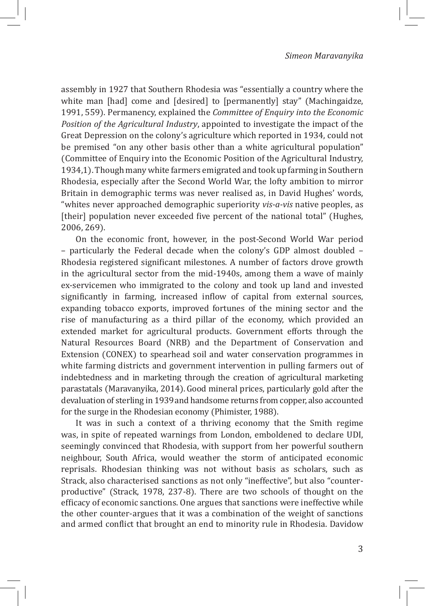assembly in 1927 that Southern Rhodesia was "essentially a country where the white man [had] come and [desired] to [permanently] stay" (Machingaidze, 1991, 559). Permanency, explained the *Committee of Enquiry into the Economic Position of the Agricultural Industry*, appointed to investigate the impact of the Great Depression on the colony's agriculture which reported in 1934, could not be premised "on any other basis other than a white agricultural population" (Committee of Enquiry into the Economic Position of the Agricultural Industry, 1934,1). Though many white farmers emigrated and took up farming in Southern Rhodesia, especially after the Second World War, the lofty ambition to mirror Britain in demographic terms was never realised as, in David Hughes' words, "whites never approached demographic superiority *vis-a-vis* native peoples, as [their] population never exceeded five percent of the national total" (Hughes, 2006, 269).

On the economic front, however, in the post-Second World War period – particularly the Federal decade when the colony's GDP almost doubled – Rhodesia registered significant milestones. A number of factors drove growth in the agricultural sector from the mid-1940s, among them a wave of mainly ex-servicemen who immigrated to the colony and took up land and invested significantly in farming, increased inflow of capital from external sources, expanding tobacco exports, improved fortunes of the mining sector and the rise of manufacturing as a third pillar of the economy, which provided an extended market for agricultural products. Government efforts through the Natural Resources Board (NRB) and the Department of Conservation and Extension (CONEX) to spearhead soil and water conservation programmes in white farming districts and government intervention in pulling farmers out of indebtedness and in marketing through the creation of agricultural marketing parastatals (Maravanyika, 2014).Good mineral prices, particularly gold after the devaluation of sterling in 1939and handsome returns from copper, also accounted for the surge in the Rhodesian economy (Phimister, 1988).

It was in such a context of a thriving economy that the Smith regime was, in spite of repeated warnings from London, emboldened to declare UDI, seemingly convinced that Rhodesia, with support from her powerful southern neighbour, South Africa, would weather the storm of anticipated economic reprisals. Rhodesian thinking was not without basis as scholars, such as Strack, also characterised sanctions as not only "ineffective", but also "counterproductive" (Strack, 1978, 237-8). There are two schools of thought on the efficacy of economic sanctions. One argues that sanctions were ineffective while the other counter-argues that it was a combination of the weight of sanctions and armed conflict that brought an end to minority rule in Rhodesia. Davidow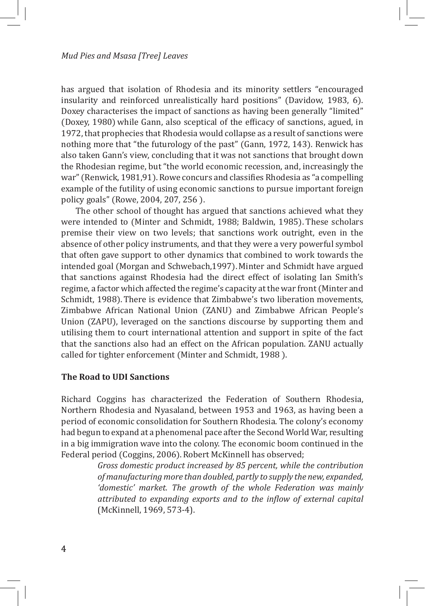has argued that isolation of Rhodesia and its minority settlers "encouraged insularity and reinforced unrealistically hard positions" (Davidow, 1983, 6). Doxey characterises the impact of sanctions as having been generally "limited" (Doxey, 1980) while Gann, also sceptical of the efficacy of sanctions, agued, in 1972, that prophecies that Rhodesia would collapse as a result of sanctions were nothing more that "the futurology of the past" (Gann, 1972, 143). Renwick has also taken Gann's view, concluding that it was not sanctions that brought down the Rhodesian regime, but "the world economic recession, and, increasingly the war" (Renwick, 1981,91). Rowe concurs and classifies Rhodesia as "a compelling example of the futility of using economic sanctions to pursue important foreign policy goals" (Rowe, 2004, 207, 256 ).

The other school of thought has argued that sanctions achieved what they were intended to (Minter and Schmidt, 1988; Baldwin, 1985). These scholars premise their view on two levels; that sanctions work outright, even in the absence of other policy instruments, and that they were a very powerful symbol that often gave support to other dynamics that combined to work towards the intended goal (Morgan and Schwebach,1997). Minter and Schmidt have argued that sanctions against Rhodesia had the direct effect of isolating Ian Smith's regime, a factor which affected the regime's capacity at the war front (Minter and Schmidt, 1988). There is evidence that Zimbabwe's two liberation movements, Zimbabwe African National Union (ZANU) and Zimbabwe African People's Union (ZAPU), leveraged on the sanctions discourse by supporting them and utilising them to court international attention and support in spite of the fact that the sanctions also had an effect on the African population. ZANU actually called for tighter enforcement (Minter and Schmidt, 1988 ).

#### **The Road to UDI Sanctions**

Richard Coggins has characterized the Federation of Southern Rhodesia, Northern Rhodesia and Nyasaland, between 1953 and 1963, as having been a period of economic consolidation for Southern Rhodesia. The colony's economy had begun to expand at a phenomenal pace after the Second World War, resulting in a big immigration wave into the colony. The economic boom continued in the Federal period (Coggins, 2006). Robert McKinnell has observed;

> *Gross domestic product increased by 85 percent, while the contribution of manufacturing more than doubled, partly to supply the new, expanded, 'domestic' market. The growth of the whole Federation was mainly attributed to expanding exports and to the inflow of external capital*  (McKinnell, 1969, 573-4).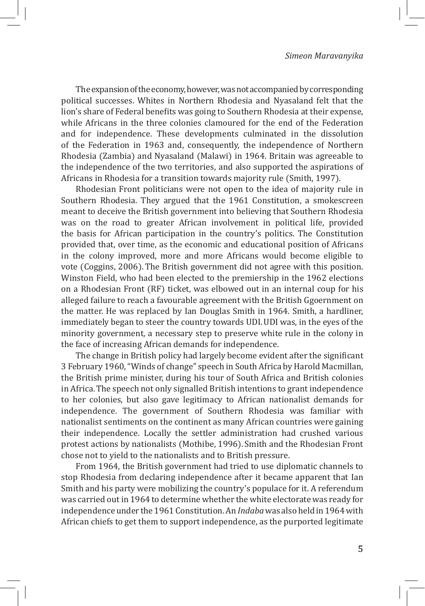The expansion of the economy, however, was not accompanied by corresponding political successes. Whites in Northern Rhodesia and Nyasaland felt that the lion's share of Federal benefits was going to Southern Rhodesia at their expense, while Africans in the three colonies clamoured for the end of the Federation and for independence. These developments culminated in the dissolution of the Federation in 1963 and, consequently, the independence of Northern Rhodesia (Zambia) and Nyasaland (Malawi) in 1964. Britain was agreeable to the independence of the two territories, and also supported the aspirations of Africans in Rhodesia for a transition towards majority rule (Smith, 1997).

Rhodesian Front politicians were not open to the idea of majority rule in Southern Rhodesia. They argued that the 1961 Constitution, a smokescreen meant to deceive the British government into believing that Southern Rhodesia was on the road to greater African involvement in political life, provided the basis for African participation in the country's politics. The Constitution provided that, over time, as the economic and educational position of Africans in the colony improved, more and more Africans would become eligible to vote (Coggins, 2006). The British government did not agree with this position. Winston Field, who had been elected to the premiership in the 1962 elections on a Rhodesian Front (RF) ticket, was elbowed out in an internal coup for his alleged failure to reach a favourable agreement with the British Ggoernment on the matter. He was replaced by Ian Douglas Smith in 1964. Smith, a hardliner, immediately began to steer the country towards UDI.UDI was, in the eyes of the minority government, a necessary step to preserve white rule in the colony in the face of increasing African demands for independence.

The change in British policy had largely become evident after the significant 3 February 1960, "Winds of change" speech in South Africa by Harold Macmillan, the British prime minister, during his tour of South Africa and British colonies in Africa.The speech not only signalled British intentions to grant independence to her colonies, but also gave legitimacy to African nationalist demands for independence. The government of Southern Rhodesia was familiar with nationalist sentiments on the continent as many African countries were gaining their independence. Locally the settler administration had crushed various protest actions by nationalists (Mothibe, 1996). Smith and the Rhodesian Front chose not to yield to the nationalists and to British pressure.

From 1964, the British government had tried to use diplomatic channels to stop Rhodesia from declaring independence after it became apparent that Ian Smith and his party were mobilizing the country's populace for it. A referendum was carried out in 1964 to determine whether the white electorate was ready for independence under the 1961 Constitution. An *Indaba* was also held in 1964 with African chiefs to get them to support independence, as the purported legitimate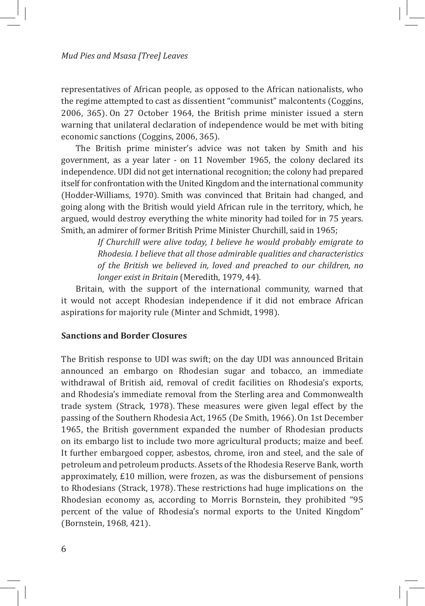representatives of African people, as opposed to the African nationalists, who the regime attempted to cast as dissentient "communist" malcontents (Coggins, 2006, 365). On 27 October 1964, the British prime minister issued a stern warning that unilateral declaration of independence would be met with biting economic sanctions (Coggins, 2006, 365).

The British prime minister's advice was not taken by Smith and his government, as a year later - on 11 November 1965, the colony declared its independence. UDI did not get international recognition; the colony had prepared itself for confrontation with the United Kingdom and the international community (Hodder-Williams, 1970). Smith was convinced that Britain had changed, and going along with the British would yield African rule in the territory, which, he argued, would destroy everything the white minority had toiled for in 75 years. Smith, an admirer of former British Prime Minister Churchill, said in 1965;

> *If Churchill were alive today, I believe he would probably emigrate to Rhodesia. I believe that all those admirable qualities and characteristics of the British we believed in, loved and preached to our children, no longer exist in Britain* (Meredith, 1979, 44).

Britain, with the support of the international community, warned that it would not accept Rhodesian independence if it did not embrace African aspirations for majority rule (Minter and Schmidt, 1998).

#### **Sanctions and Border Closures**

The British response to UDI was swift; on the day UDI was announced Britain announced an embargo on Rhodesian sugar and tobacco, an immediate withdrawal of British aid, removal of credit facilities on Rhodesia's exports, and Rhodesia's immediate removal from the Sterling area and Commonwealth trade system (Strack, 1978). These measures were given legal effect by the passing of the Southern Rhodesia Act, 1965 (De Smith, 1966). On 1st December 1965, the British government expanded the number of Rhodesian products on its embargo list to include two more agricultural products; maize and beef. It further embargoed copper, asbestos, chrome, iron and steel, and the sale of petroleum and petroleum products. Assets of the Rhodesia Reserve Bank, worth approximately, £10 million, were frozen, as was the disbursement of pensions to Rhodesians (Strack, 1978). These restrictions had huge implications on the Rhodesian economy as, according to Morris Bornstein, they prohibited "95 percent of the value of Rhodesia's normal exports to the United Kingdom" (Bornstein, 1968, 421).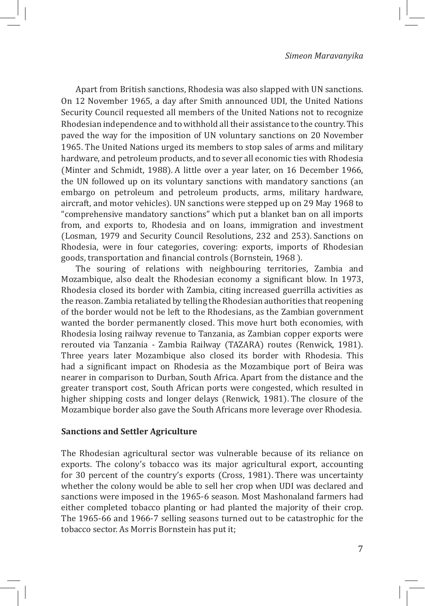Apart from British sanctions, Rhodesia was also slapped with UN sanctions. On 12 November 1965, a day after Smith announced UDI, the United Nations Security Council requested all members of the United Nations not to recognize Rhodesian independence and to withhold all their assistance to the country. This paved the way for the imposition of UN voluntary sanctions on 20 November 1965. The United Nations urged its members to stop sales of arms and military hardware, and petroleum products, and to sever all economic ties with Rhodesia (Minter and Schmidt, 1988). A little over a year later, on 16 December 1966, the UN followed up on its voluntary sanctions with mandatory sanctions (an embargo on petroleum and petroleum products, arms, military hardware, aircraft, and motor vehicles). UN sanctions were stepped up on 29 May 1968 to "comprehensive mandatory sanctions" which put a blanket ban on all imports from, and exports to, Rhodesia and on loans, immigration and investment (Losman, 1979 and Security Council Resolutions, 232 and 253). Sanctions on Rhodesia, were in four categories, covering: exports, imports of Rhodesian goods, transportation and financial controls (Bornstein, 1968 ).

The souring of relations with neighbouring territories, Zambia and Mozambique, also dealt the Rhodesian economy a significant blow. In 1973, Rhodesia closed its border with Zambia, citing increased guerrilla activities as the reason. Zambia retaliated by telling the Rhodesian authorities that reopening of the border would not be left to the Rhodesians, as the Zambian government wanted the border permanently closed. This move hurt both economies, with Rhodesia losing railway revenue to Tanzania, as Zambian copper exports were rerouted via Tanzania - Zambia Railway (TAZARA) routes (Renwick, 1981). Three years later Mozambique also closed its border with Rhodesia. This had a significant impact on Rhodesia as the Mozambique port of Beira was nearer in comparison to Durban, South Africa. Apart from the distance and the greater transport cost, South African ports were congested, which resulted in higher shipping costs and longer delays (Renwick, 1981). The closure of the Mozambique border also gave the South Africans more leverage over Rhodesia.

#### **Sanctions and Settler Agriculture**

The Rhodesian agricultural sector was vulnerable because of its reliance on exports. The colony's tobacco was its major agricultural export, accounting for 30 percent of the country's exports (Cross, 1981). There was uncertainty whether the colony would be able to sell her crop when UDI was declared and sanctions were imposed in the 1965-6 season. Most Mashonaland farmers had either completed tobacco planting or had planted the majority of their crop. The 1965-66 and 1966-7 selling seasons turned out to be catastrophic for the tobacco sector. As Morris Bornstein has put it;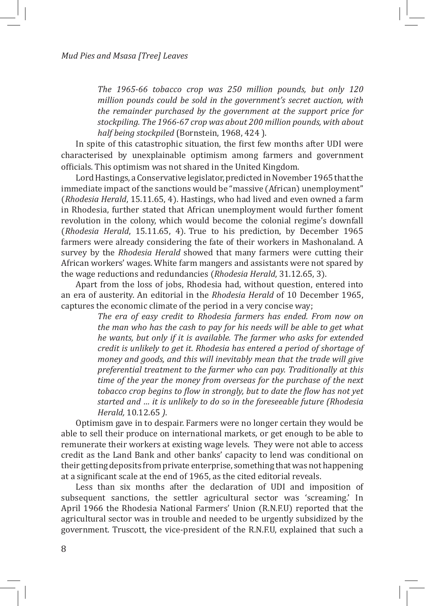*The 1965-66 tobacco crop was 250 million pounds, but only 120 million pounds could be sold in the government's secret auction, with the remainder purchased by the government at the support price for stockpiling. The 1966-67 crop was about 200 million pounds, with about half being stockpiled* (Bornstein, 1968, 424 ).

In spite of this catastrophic situation, the first few months after UDI were characterised by unexplainable optimism among farmers and government officials. This optimism was not shared in the United Kingdom.

Lord Hastings, a Conservative legislator, predicted in November 1965 that the immediate impact of the sanctions would be "massive (African) unemployment" (*Rhodesia Herald*, 15.11.65, 4). Hastings, who had lived and even owned a farm in Rhodesia, further stated that African unemployment would further foment revolution in the colony, which would become the colonial regime's downfall (*Rhodesia Herald*, 15.11.65, 4). True to his prediction, by December 1965 farmers were already considering the fate of their workers in Mashonaland. A survey by the *Rhodesia Herald* showed that many farmers were cutting their African workers' wages. White farm mangers and assistants were not spared by the wage reductions and redundancies (*Rhodesia Herald*, 31.12.65, 3).

Apart from the loss of jobs, Rhodesia had, without question, entered into an era of austerity. An editorial in the *Rhodesia Herald* of 10 December 1965, captures the economic climate of the period in a very concise way;

> *The era of easy credit to Rhodesia farmers has ended. From now on the man who has the cash to pay for his needs will be able to get what he wants, but only if it is available. The farmer who asks for extended credit is unlikely to get it. Rhodesia has entered a period of shortage of money and goods, and this will inevitably mean that the trade will give preferential treatment to the farmer who can pay. Traditionally at this time of the year the money from overseas for the purchase of the next tobacco crop begins to flow in strongly, but to date the flow has not yet started and … it is unlikely to do so in the foreseeable future (Rhodesia Herald,* 10.12.65 *)*.

Optimism gave in to despair. Farmers were no longer certain they would be able to sell their produce on international markets, or get enough to be able to remunerate their workers at existing wage levels. They were not able to access credit as the Land Bank and other banks' capacity to lend was conditional on their getting deposits from private enterprise, something that was not happening at a significant scale at the end of 1965, as the cited editorial reveals.

Less than six months after the declaration of UDI and imposition of subsequent sanctions, the settler agricultural sector was 'screaming.' In April 1966 the Rhodesia National Farmers' Union (R.N.F.U) reported that the agricultural sector was in trouble and needed to be urgently subsidized by the government. Truscott, the vice-president of the R.N.F.U, explained that such a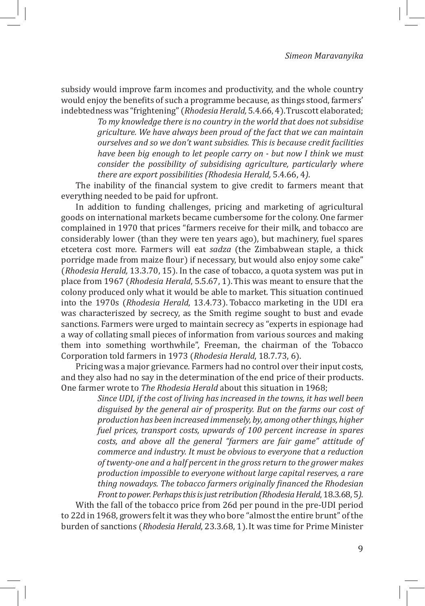subsidy would improve farm incomes and productivity, and the whole country would enjoy the benefits of such a programme because, as things stood, farmers' indebtedness was "frightening" (*Rhodesia Herald,* 5.4.66, 4).Truscott elaborated;

> *To my knowledge there is no country in the world that does not subsidise griculture. We have always been proud of the fact that we can maintain ourselves and so we don't want subsidies. This is because credit facilities have been big enough to let people carry on - but now I think we must consider the possibility of subsidising agriculture, particularly where there are export possibilities (Rhodesia Herald,* 5.4.66, 4*)*.

The inability of the financial system to give credit to farmers meant that everything needed to be paid for upfront.

In addition to funding challenges, pricing and marketing of agricultural goods on international markets became cumbersome for the colony. One farmer complained in 1970 that prices "farmers receive for their milk, and tobacco are considerably lower (than they were ten years ago), but machinery, fuel spares etcetera cost more. Farmers will eat *sadza* (the Zimbabwean staple, a thick porridge made from maize flour) if necessary, but would also enjoy some cake" (*Rhodesia Herald,* 13.3.70, 15). In the case of tobacco, a quota system was put in place from 1967 (*Rhodesia Herald*, 5.5.67, 1).This was meant to ensure that the colony produced only what it would be able to market. This situation continued into the 1970s (*Rhodesia Herald*, 13.4.73). Tobacco marketing in the UDI era was characteriszed by secrecy, as the Smith regime sought to bust and evade sanctions. Farmers were urged to maintain secrecy as "experts in espionage had a way of collating small pieces of information from various sources and making them into something worthwhile", Freeman, the chairman of the Tobacco Corporation told farmers in 1973 (*Rhodesia Herald*, 18.7.73, 6).

Pricing was a major grievance. Farmers had no control over their input costs, and they also had no say in the determination of the end price of their products. One farmer wrote to *The Rhodesia Herald* about this situation in 1968;

> *Since UDI, if the cost of living has increased in the towns, it has well been disguised by the general air of prosperity. But on the farms our cost of production has been increased immensely, by, among other things, higher fuel prices, transport costs, upwards of 100 percent increase in spares costs, and above all the general "farmers are fair game" attitude of commerce and industry. It must be obvious to everyone that a reduction of twenty-one and a half percent in the gross return to the grower makes production impossible to everyone without large capital reserves, a rare thing nowadays. The tobacco farmers originally financed the Rhodesian Front to power. Perhaps this is just retribution (Rhodesia Herald*, 18.3.68, 5*)*.

With the fall of the tobacco price from 26d per pound in the pre-UDI period to 22d in 1968, growers felt it was they who bore "almost the entire brunt" of the burden of sanctions (*Rhodesia Herald*, 23.3.68, 1).It was time for Prime Minister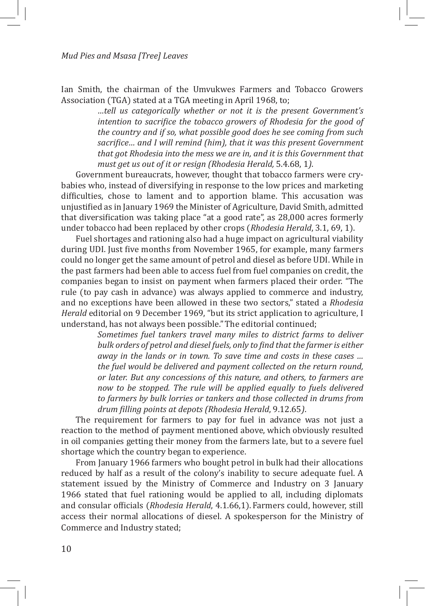Ian Smith, the chairman of the Umvukwes Farmers and Tobacco Growers Association (TGA) stated at a TGA meeting in April 1968, to;

> *…tell us categorically whether or not it is the present Government's intention to sacrifice the tobacco growers of Rhodesia for the good of the country and if so, what possible good does he see coming from such sacrifice… and I will remind (him), that it was this present Government that got Rhodesia into the mess we are in, and it is this Government that must get us out of it or resign (Rhodesia Herald,* 5.4.68, 1*)*.

Government bureaucrats, however, thought that tobacco farmers were crybabies who, instead of diversifying in response to the low prices and marketing difficulties, chose to lament and to apportion blame. This accusation was unjustified as in January 1969 the Minister of Agriculture, David Smith, admitted that diversification was taking place "at a good rate", as 28,000 acres formerly under tobacco had been replaced by other crops (*Rhodesia Herald*, 3.1, 69, 1).

Fuel shortages and rationing also had a huge impact on agricultural viability during UDI. Just five months from November 1965, for example, many farmers could no longer get the same amount of petrol and diesel as before UDI. While in the past farmers had been able to access fuel from fuel companies on credit, the companies began to insist on payment when farmers placed their order. "The rule (to pay cash in advance) was always applied to commerce and industry, and no exceptions have been allowed in these two sectors," stated a *Rhodesia Herald* editorial on 9 December 1969, "but its strict application to agriculture, I understand, has not always been possible."The editorial continued;

> *Sometimes fuel tankers travel many miles to district farms to deliver bulk orders of petrol and diesel fuels, only to find that the farmer is either away in the lands or in town. To save time and costs in these cases … the fuel would be delivered and payment collected on the return round, or later. But any concessions of this nature, and others, to farmers are now to be stopped. The rule will be applied equally to fuels delivered to farmers by bulk lorries or tankers and those collected in drums from drum filling points at depots (Rhodesia Herald*, 9.12.65*)*.

The requirement for farmers to pay for fuel in advance was not just a reaction to the method of payment mentioned above, which obviously resulted in oil companies getting their money from the farmers late, but to a severe fuel shortage which the country began to experience.

From January 1966 farmers who bought petrol in bulk had their allocations reduced by half as a result of the colony's inability to secure adequate fuel. A statement issued by the Ministry of Commerce and Industry on 3 January 1966 stated that fuel rationing would be applied to all, including diplomats and consular officials (*Rhodesia Herald*, 4.1.66,1). Farmers could, however, still access their normal allocations of diesel. A spokesperson for the Ministry of Commerce and Industry stated;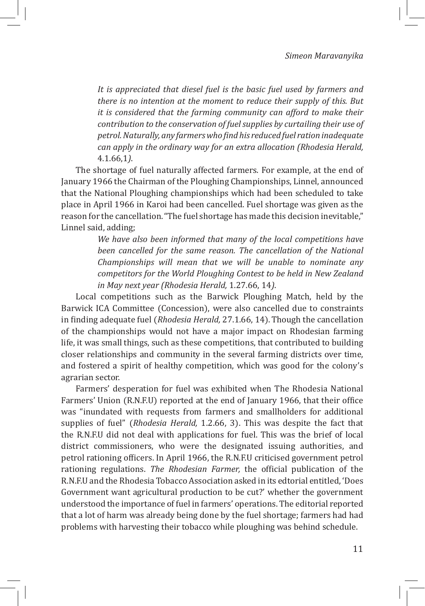*It is appreciated that diesel fuel is the basic fuel used by farmers and there is no intention at the moment to reduce their supply of this. But it is considered that the farming community can afford to make their contribution to the conservation of fuel supplies by curtailing their use of petrol. Naturally, any farmers who find his reduced fuel ration inadequate can apply in the ordinary way for an extra allocation (Rhodesia Herald,*  4.1.66,1*)*.

The shortage of fuel naturally affected farmers. For example, at the end of January 1966 the Chairman of the Ploughing Championships, Linnel, announced that the National Ploughing championships which had been scheduled to take place in April 1966 in Karoi had been cancelled. Fuel shortage was given as the reason for the cancellation."The fuel shortage has made this decision inevitable," Linnel said, adding;

> *We have also been informed that many of the local competitions have been cancelled for the same reason. The cancellation of the National Championships will mean that we will be unable to nominate any competitors for the World Ploughing Contest to be held in New Zealand in May next year (Rhodesia Herald,* 1.27.66, 14*)*.

Local competitions such as the Barwick Ploughing Match, held by the Barwick ICA Committee (Concession), were also cancelled due to constraints in finding adequate fuel (*Rhodesia Herald,* 27.1.66, 14).Though the cancellation of the championships would not have a major impact on Rhodesian farming life, it was small things, such as these competitions, that contributed to building closer relationships and community in the several farming districts over time, and fostered a spirit of healthy competition, which was good for the colony's agrarian sector.

Farmers' desperation for fuel was exhibited when The Rhodesia National Farmers' Union (R.N.F.U) reported at the end of January 1966, that their office was "inundated with requests from farmers and smallholders for additional supplies of fuel" (*Rhodesia Herald,* 1.2.66, 3). This was despite the fact that the R.N.F.U did not deal with applications for fuel. This was the brief of local district commissioners, who were the designated issuing authorities, and petrol rationing officers. In April 1966, the R.N.F.U criticised government petrol rationing regulations. *The Rhodesian Farmer,* the official publication of the R.N.F.U and the Rhodesia Tobacco Association asked in its edtorial entitled, 'Does Government want agricultural production to be cut?' whether the government understood the importance of fuel in farmers' operations. The editorial reported that a lot of harm was already being done by the fuel shortage; farmers had had problems with harvesting their tobacco while ploughing was behind schedule.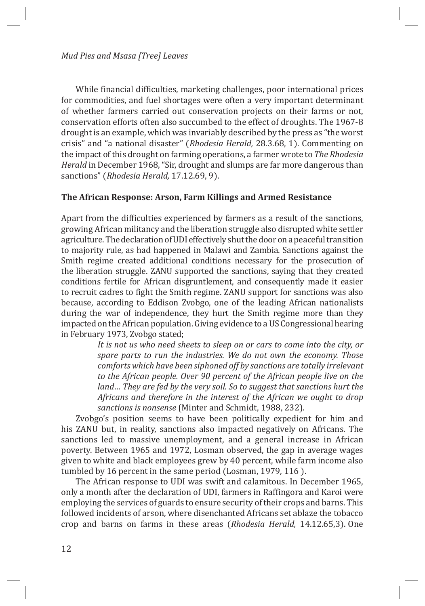While financial difficulties, marketing challenges, poor international prices for commodities, and fuel shortages were often a very important determinant of whether farmers carried out conservation projects on their farms or not, conservation efforts often also succumbed to the effect of droughts. The 1967-8 drought is an example, which was invariably described by the press as "the worst crisis" and "a national disaster" (*Rhodesia Herald,* 28.3.68, 1). Commenting on the impact of this drought on farming operations, a farmer wrote to *The Rhodesia Herald* in December 1968, "Sir, drought and slumps are far more dangerous than sanctions" (*Rhodesia Herald,* 17.12.69, 9).

#### **The African Response: Arson, Farm Killings and Armed Resistance**

Apart from the difficulties experienced by farmers as a result of the sanctions, growing African militancy and the liberation struggle also disrupted white settler agriculture. The declaration of UDI effectively shut the door on a peaceful transition to majority rule, as had happened in Malawi and Zambia. Sanctions against the Smith regime created additional conditions necessary for the prosecution of the liberation struggle. ZANU supported the sanctions, saying that they created conditions fertile for African disgruntlement, and consequently made it easier to recruit cadres to fight the Smith regime. ZANU support for sanctions was also because, according to Eddison Zvobgo, one of the leading African nationalists during the war of independence, they hurt the Smith regime more than they impacted on the African population. Giving evidence to a US Congressional hearing in February 1973, Zvobgo stated;

> *It is not us who need sheets to sleep on or cars to come into the city, or spare parts to run the industries. We do not own the economy. Those comforts which have been siphoned off by sanctions are totally irrelevant to the African people. Over 90 percent of the African people live on the land… They are fed by the very soil. So to suggest that sanctions hurt the Africans and therefore in the interest of the African we ought to drop sanctions is nonsense* (Minter and Schmidt, 1988, 232)*.*

Zvobgo's position seems to have been politically expedient for him and his ZANU but, in reality, sanctions also impacted negatively on Africans. The sanctions led to massive unemployment, and a general increase in African poverty. Between 1965 and 1972, Losman observed, the gap in average wages given to white and black employees grew by 40 percent, while farm income also tumbled by 16 percent in the same period (Losman, 1979, 116 ).

The African response to UDI was swift and calamitous. In December 1965, only a month after the declaration of UDI, farmers in Raffingora and Karoi were employing the services of guards to ensure security of their crops and barns. This followed incidents of arson, where disenchanted Africans set ablaze the tobacco crop and barns on farms in these areas (*Rhodesia Herald,* 14.12.65,3). One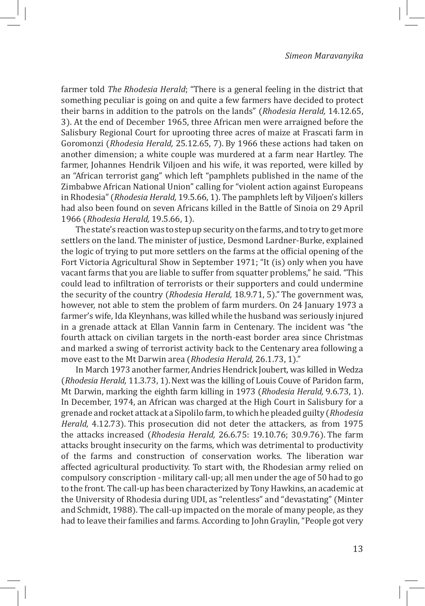farmer told *The Rhodesia Herald*; "There is a general feeling in the district that something peculiar is going on and quite a few farmers have decided to protect their barns in addition to the patrols on the lands" (*Rhodesia Herald,* 14.12.65, 3). At the end of December 1965, three African men were arraigned before the Salisbury Regional Court for uprooting three acres of maize at Frascati farm in Goromonzi (*Rhodesia Herald,* 25.12.65, 7). By 1966 these actions had taken on another dimension; a white couple was murdered at a farm near Hartley. The farmer, Johannes Hendrik Viljoen and his wife, it was reported, were killed by an "African terrorist gang" which left "pamphlets published in the name of the Zimbabwe African National Union" calling for "violent action against Europeans in Rhodesia" (*Rhodesia Herald,* 19.5.66, 1). The pamphlets left by Viljoen's killers had also been found on seven Africans killed in the Battle of Sinoia on 29 April 1966 (*Rhodesia Herald,* 19.5.66, 1).

The state's reaction was to step up security on the farms, and to try to get more settlers on the land. The minister of justice, Desmond Lardner-Burke, explained the logic of trying to put more settlers on the farms at the official opening of the Fort Victoria Agricultural Show in September 1971; "It (is) only when you have vacant farms that you are liable to suffer from squatter problems," he said. "This could lead to infiltration of terrorists or their supporters and could undermine the security of the country (*Rhodesia Herald,* 18.9.71, 5)."The government was, however, not able to stem the problem of farm murders. On 24 January 1973 a farmer's wife, Ida Kleynhans, was killed while the husband was seriously injured in a grenade attack at Ellan Vannin farm in Centenary. The incident was "the fourth attack on civilian targets in the north-east border area since Christmas and marked a swing of terrorist activity back to the Centenary area following a move east to the Mt Darwin area (*Rhodesia Herald,* 26.1.73, 1)."

In March 1973 another farmer, Andries Hendrick Joubert, was killed in Wedza (*Rhodesia Herald,* 11.3.73, 1).Next was the killing of Louis Couve of Paridon farm, Mt Darwin, marking the eighth farm killing in 1973 (*Rhodesia Herald,* 9.6.73, 1). In December, 1974, an African was charged at the High Court in Salisbury for a grenade and rocket attack at a Sipolilo farm, to which he pleaded guilty (*Rhodesia Herald,* 4.12.73). This prosecution did not deter the attackers, as from 1975 the attacks increased (*Rhodesia Herald,* 26.6.75: 19.10.76; 30.9.76). The farm attacks brought insecurity on the farms, which was detrimental to productivity of the farms and construction of conservation works. The liberation war affected agricultural productivity. To start with, the Rhodesian army relied on compulsory conscription - military call-up; all men under the age of 50 had to go to the front. The call-up has been characterized by Tony Hawkins, an academic at the University of Rhodesia during UDI, as "relentless" and "devastating" (Minter and Schmidt, 1988). The call-up impacted on the morale of many people, as they had to leave their families and farms. According to John Graylin, "People got very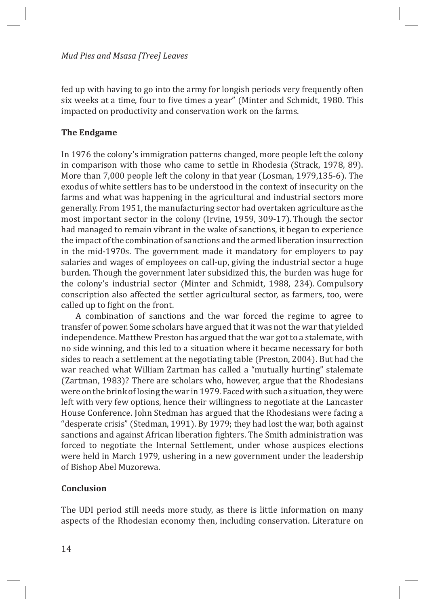#### *Mud Pies and Msasa [Tree] Leaves*

fed up with having to go into the army for longish periods very frequently often six weeks at a time, four to five times a year" (Minter and Schmidt, 1980. This impacted on productivity and conservation work on the farms.

#### **The Endgame**

In 1976 the colony's immigration patterns changed, more people left the colony in comparison with those who came to settle in Rhodesia (Strack, 1978, 89). More than 7,000 people left the colony in that year (Losman, 1979,135-6). The exodus of white settlers has to be understood in the context of insecurity on the farms and what was happening in the agricultural and industrial sectors more generally. From 1951, the manufacturing sector had overtaken agriculture as the most important sector in the colony (Irvine, 1959, 309-17). Though the sector had managed to remain vibrant in the wake of sanctions, it began to experience the impact of the combination of sanctions and the armed liberation insurrection in the mid-1970s. The government made it mandatory for employers to pay salaries and wages of employees on call-up, giving the industrial sector a huge burden. Though the government later subsidized this, the burden was huge for the colony's industrial sector (Minter and Schmidt, 1988, 234). Compulsory conscription also affected the settler agricultural sector, as farmers, too, were called up to fight on the front.

A combination of sanctions and the war forced the regime to agree to transfer of power. Some scholars have argued that it was not the war that yielded independence. Matthew Preston has argued that the war got to a stalemate, with no side winning, and this led to a situation where it became necessary for both sides to reach a settlement at the negotiating table (Preston, 2004). But had the war reached what William Zartman has called a "mutually hurting" stalemate (Zartman, 1983)? There are scholars who, however, argue that the Rhodesians were on the brink of losing the war in 1979. Faced with such a situation, they were left with very few options, hence their willingness to negotiate at the Lancaster House Conference. John Stedman has argued that the Rhodesians were facing a "desperate crisis" (Stedman, 1991). By 1979; they had lost the war, both against sanctions and against African liberation fighters. The Smith administration was forced to negotiate the Internal Settlement, under whose auspices elections were held in March 1979, ushering in a new government under the leadership of Bishop Abel Muzorewa.

#### **Conclusion**

The UDI period still needs more study, as there is little information on many aspects of the Rhodesian economy then, including conservation. Literature on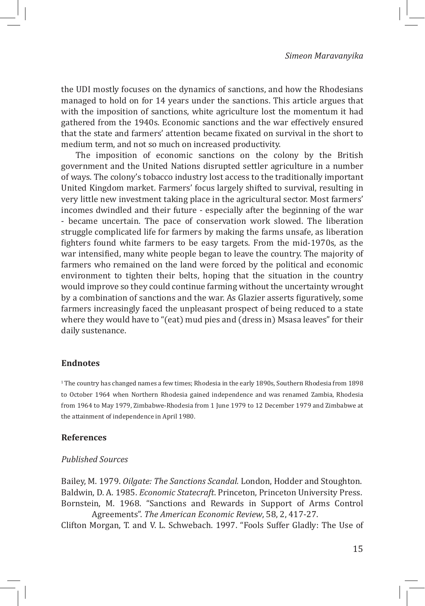the UDI mostly focuses on the dynamics of sanctions, and how the Rhodesians managed to hold on for 14 years under the sanctions. This article argues that with the imposition of sanctions, white agriculture lost the momentum it had gathered from the 1940s. Economic sanctions and the war effectively ensured that the state and farmers' attention became fixated on survival in the short to medium term, and not so much on increased productivity.

The imposition of economic sanctions on the colony by the British government and the United Nations disrupted settler agriculture in a number of ways. The colony's tobacco industry lost access to the traditionally important United Kingdom market. Farmers' focus largely shifted to survival, resulting in very little new investment taking place in the agricultural sector. Most farmers' incomes dwindled and their future - especially after the beginning of the war - became uncertain. The pace of conservation work slowed. The liberation struggle complicated life for farmers by making the farms unsafe, as liberation fighters found white farmers to be easy targets. From the mid-1970s, as the war intensified, many white people began to leave the country. The majority of farmers who remained on the land were forced by the political and economic environment to tighten their belts, hoping that the situation in the country would improve so they could continue farming without the uncertainty wrought by a combination of sanctions and the war. As Glazier asserts figuratively, some farmers increasingly faced the unpleasant prospect of being reduced to a state where they would have to "(eat) mud pies and (dress in) Msasa leaves" for their daily sustenance.

#### **Endnotes**

1 The country has changed names a few times; Rhodesia in the early 1890s, Southern Rhodesia from 1898 to October 1964 when Northern Rhodesia gained independence and was renamed Zambia, Rhodesia from 1964 to May 1979, Zimbabwe-Rhodesia from 1 June 1979 to 12 December 1979 and Zimbabwe at the attainment of independence in April 1980.

#### **References**

#### *Published Sources*

Bailey, M. 1979. *Oilgate: The Sanctions Scandal.* London, Hodder and Stoughton. Baldwin, D. A. 1985. *Economic Statecraft*. Princeton, Princeton University Press. Bornstein, M. 1968. "Sanctions and Rewards in Support of Arms Control Agreements". *The American Economic Review*, 58, 2, 417-27.

Clifton Morgan, T. and V. L. Schwebach. 1997. "Fools Suffer Gladly: The Use of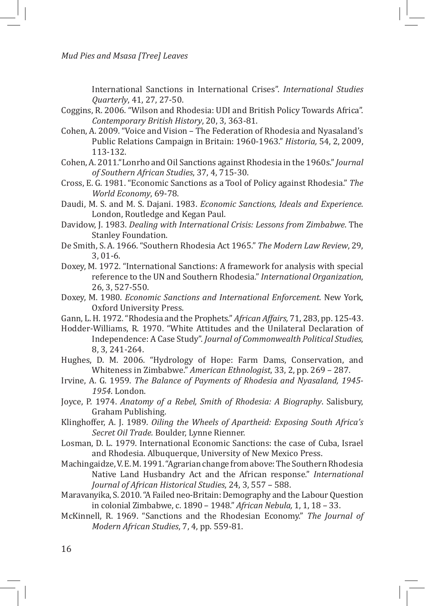*Mud Pies and Msasa [Tree] Leaves*

International Sanctions in International Crises". *International Studies Quarterly*, 41, 27, 27-50.

- Coggins, R. 2006. "Wilson and Rhodesia: UDI and British Policy Towards Africa". *Contemporary British History*, 20, 3, 363-81.
- Cohen, A. 2009. "Voice and Vision The Federation of Rhodesia and Nyasaland's Public Relations Campaign in Britain: 1960-1963." *Historia,* 54, 2, 2009, 113-132.
- Cohen, A. 2011."Lonrho and Oil Sanctions against Rhodesia in the 1960s." *Journal of Southern African Studies*, 37, 4, 715-30.
- Cross, E. G. 1981. "Economic Sanctions as a Tool of Policy against Rhodesia." *The World Economy*, 69-78.
- Daudi, M. S. and M. S. Dajani. 1983. *Economic Sanctions, Ideals and Experience*. London, Routledge and Kegan Paul.
- Davidow, J. 1983. *Dealing with International Crisis: Lessons from Zimbabwe*. The Stanley Foundation.
- De Smith, S. A. 1966. "Southern Rhodesia Act 1965." *The Modern Law Review*, 29, 3, 01-6.
- Doxey, M. 1972. "International Sanctions: A framework for analysis with special reference to the UN and Southern Rhodesia." *International Organization*, 26, 3, 527-550.
- Doxey, M. 1980. *Economic Sanctions and International Enforcement*. New York, Oxford University Press.
- Gann, L. H. 1972. "Rhodesia and the Prophets." *African Affairs,* 71, 283, pp. 125-43.
- Hodder-Williams, R. 1970. "White Attitudes and the Unilateral Declaration of Independence: A Case Study". *Journal of Commonwealth Political Studies*, 8, 3, 241-264.
- Hughes, D. M. 2006. "Hydrology of Hope: Farm Dams, Conservation, and Whiteness in Zimbabwe." *American Ethnologist*, 33, 2, pp. 269 – 287.
- Irvine, A. G. 1959. *The Balance of Payments of Rhodesia and Nyasaland, 1945- 1954*. London.
- Joyce, P. 1974. *Anatomy of a Rebel, Smith of Rhodesia: A Biography*. Salisbury, Graham Publishing.
- Klinghoffer, A. J. 1989. *Oiling the Wheels of Apartheid: Exposing South Africa's Secret Oil Trade.* Boulder, Lynne Rienner.
- Losman, D. L. 1979. International Economic Sanctions: the case of Cuba, Israel and Rhodesia. Albuquerque, University of New Mexico Press.
- Machingaidze, V. E. M. 1991. "Agrarian change from above: The Southern Rhodesia Native Land Husbandry Act and the African response." *International Journal of African Historical Studies*, 24, 3, 557 – 588.
- Maravanyika, S. 2010. "A Failed neo-Britain: Demography and the Labour Question in colonial Zimbabwe, c. 1890 – 1948." *African Nebula,* 1, 1, 18 – 33.
- McKinnell, R. 1969. "Sanctions and the Rhodesian Economy." *The Journal of Modern African Studies*, 7, 4, pp. 559-81.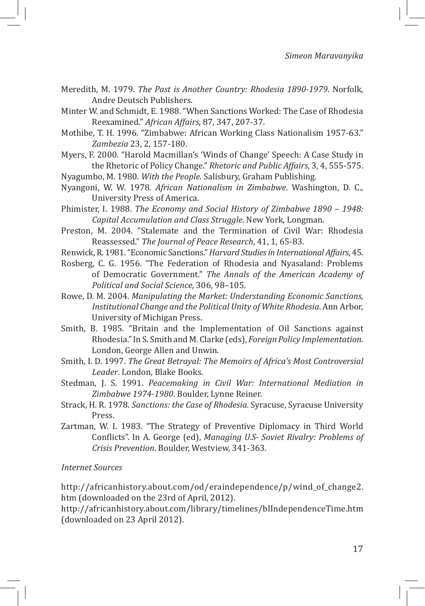- Meredith, M. 1979. *The Past is Another Country: Rhodesia 1890-1979*. Norfolk, Andre Deutsch Publishers.
- Minter W. and Schmidt, E. 1988. "When Sanctions Worked: The Case of Rhodesia Reexamined." *African Affairs*, 87, 347, 207-37.
- Mothibe, T. H. 1996. "Zimbabwe: African Working Class Nationalism 1957-63." *Zambezia* 23, 2, 157-180.
- Myers, F. 2000. "Harold Macmillan's 'Winds of Change' Speech: A Case Study in the Rhetoric of Policy Change." *Rhetoric and Public Affairs*, 3, 4, 555-575.

Nyagumbo, M. 1980. *With the People*. Salisbury, Graham Publishing.

- Nyangoni, W. W. 1978. *African Nationalism in Zimbabwe*. Washington, D. C., University Press of America.
- Phimister, I. 1988. *The Economy and Social History of Zimbabwe 1890 1948: Capital Accumulation and Class Struggle*. New York, Longman.
- Preston, M. 2004. "Stalemate and the Termination of Civil War: Rhodesia Reassessed." *The Journal of Peace Research*, 41, 1, 65-83.
- Renwick, R. 1981. "Economic Sanctions." *Harvard Studies in International Affairs*, 45.
- Rosberg, C. G. 1956. "The Federation of Rhodesia and Nyasaland: Problems of Democratic Government." *The Annals of the American Academy of Political and Social Science,* 306, 98–105.
- Rowe, D. M. 2004. *Manipulating the Market: Understanding Economic Sanctions, Institutional Change and the Political Unity of White Rhodesia*. Ann Arbor, University of Michigan Press.
- Smith, B. 1985. "Britain and the Implementation of Oil Sanctions against Rhodesia." In S. Smith and M. Clarke (eds), *Foreign Policy Implementation*. London, George Allen and Unwin.
- Smith, I. D. 1997. *The Great Betrayal: The Memoirs of Africa's Most Controversial Leader*. London, Blake Books.
- Stedman, J. S. 1991. *Peacemaking in Civil War: International Mediation in Zimbabwe 1974-1980*. Boulder, Lynne Reiner.
- Strack, H. R. 1978. *Sanctions: the Case of Rhodesia*. Syracuse, Syracuse University Press.
- Zartman, W. I. 1983. "The Strategy of Preventive Diplomacy in Third World Conflicts". In A. George (ed), *Managing U.S- Soviet Rivalry: Problems of Crisis Prevention*. Boulder, Westview, 341-363.

#### *Internet Sources*

http://africanhistory.about.com/od/eraindependence/p/wind\_of\_change2. htm (downloaded on the 23rd of April, 2012).

http://africanhistory.about.com/library/timelines/blIndependenceTime.htm (downloaded on 23 April 2012).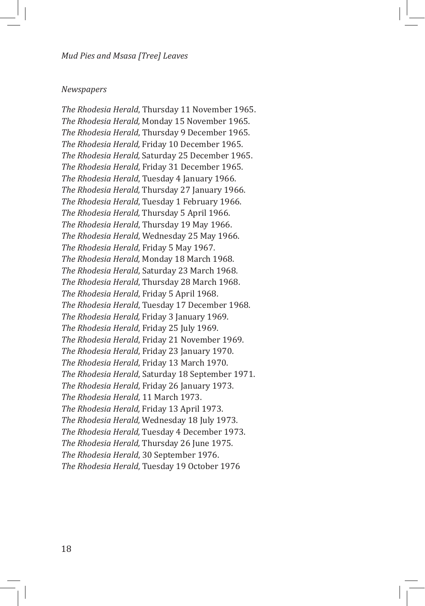#### *Newspapers*

*The Rhodesia Herald*, Thursday 11 November 1965. *The Rhodesia Herald,* Monday 15 November 1965. *The Rhodesia Herald*, Thursday 9 December 1965. *The Rhodesia Herald,* Friday 10 December 1965. *The Rhodesia Herald,* Saturday 25 December 1965. *The Rhodesia Herald*, Friday 31 December 1965. *The Rhodesia Herald*, Tuesday 4 January 1966. *The Rhodesia Herald,* Thursday 27 January 1966. *The Rhodesia Herald*, Tuesday 1 February 1966. *The Rhodesia Herald,* Thursday 5 April 1966. *The Rhodesia Herald*, Thursday 19 May 1966. *The Rhodesia Herald*, Wednesday 25 May 1966. *The Rhodesia Herald*, Friday 5 May 1967. *The Rhodesia Herald,* Monday 18 March 1968. *The Rhodesia Herald*, Saturday 23 March 1968. *The Rhodesia Herald*, Thursday 28 March 1968. *The Rhodesia Herald*, Friday 5 April 1968. *The Rhodesia Herald*, Tuesday 17 December 1968. *The Rhodesia Herald,* Friday 3 January 1969. *The Rhodesia Herald*, Friday 25 July 1969. *The Rhodesia Herald*, Friday 21 November 1969. *The Rhodesia Herald*, Friday 23 January 1970. *The Rhodesia Herald*, Friday 13 March 1970. *The Rhodesia Herald*, Saturday 18 September 1971. *The Rhodesia Herald*, Friday 26 January 1973. *The Rhodesia Herald*, 11 March 1973. *The Rhodesia Herald,* Friday 13 April 1973. *The Rhodesia Herald,* Wednesday 18 July 1973. *The Rhodesia Herald,* Tuesday 4 December 1973. *The Rhodesia Herald,* Thursday 26 June 1975. *The Rhodesia Herald*, 30 September 1976. *The Rhodesia Herald*, Tuesday 19 October 1976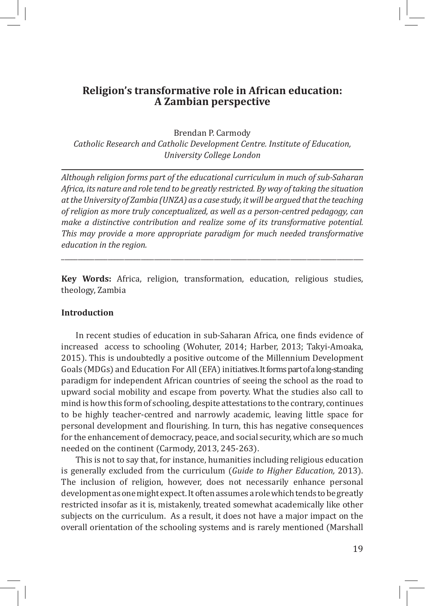## **Religion's transformative role in African education: A Zambian perspective**

Brendan P. Carmody

*Catholic Research and Catholic Development Centre. Institute of Education, University College London*

*Although religion forms part of the educational curriculum in much of sub-Saharan Africa, its nature and role tend to be greatly restricted. By way of taking the situation at the University of Zambia (UNZA) as a case study, it will be argued that the teaching of religion as more truly conceptualized, as well as a person-centred pedagogy, can make a distinctive contribution and realize some of its transformative potential. This may provide a more appropriate paradigm for much needed transformative education in the region.*

**Key Words:** Africa, religion, transformation, education, religious studies, theology, Zambia

\_\_\_\_\_\_\_\_\_\_\_\_\_\_\_\_\_\_\_\_\_\_\_\_\_\_\_\_\_\_\_\_\_\_\_\_\_\_\_\_\_\_\_\_\_\_\_\_\_\_\_\_\_\_\_\_\_\_\_\_\_\_\_\_\_\_\_\_\_\_\_\_\_\_\_\_\_\_\_\_\_\_\_\_\_\_\_\_\_\_\_

#### **Introduction**

In recent studies of education in sub-Saharan Africa, one finds evidence of increased access to schooling (Wohuter, 2014; Harber, 2013; Takyi-Amoaka, 2015). This is undoubtedly a positive outcome of the Millennium Development Goals (MDGs) and Education For All (EFA) initiatives. It forms part of a long-standing paradigm for independent African countries of seeing the school as the road to upward social mobility and escape from poverty. What the studies also call to mind is how this form of schooling, despite attestations to the contrary, continues to be highly teacher-centred and narrowly academic, leaving little space for personal development and flourishing. In turn, this has negative consequences for the enhancement of democracy, peace, and social security, which are so much needed on the continent (Carmody, 2013, 245-263).

This is not to say that, for instance, humanities including religious education is generally excluded from the curriculum (*Guide to Higher Education,* 2013). The inclusion of religion, however, does not necessarily enhance personal development as one might expect. It often assumes a role which tends to be greatly restricted insofar as it is, mistakenly, treated somewhat academically like other subjects on the curriculum. As a result, it does not have a major impact on the overall orientation of the schooling systems and is rarely mentioned (Marshall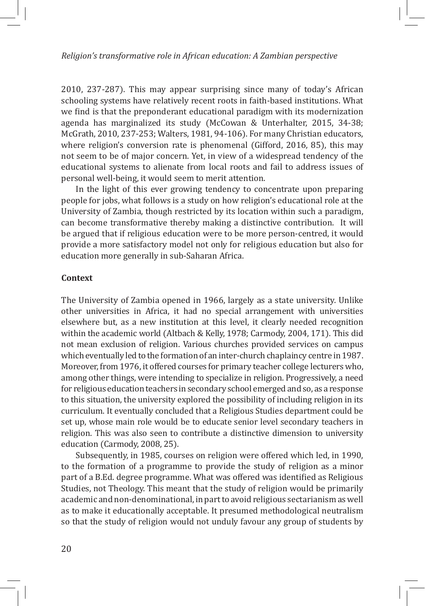#### *Religion's transformative role in African education: A Zambian perspective*

2010, 237-287). This may appear surprising since many of today's African schooling systems have relatively recent roots in faith-based institutions. What we find is that the preponderant educational paradigm with its modernization agenda has marginalized its study (McCowan & Unterhalter, 2015, 34-38; McGrath, 2010, 237-253; Walters, 1981, 94-106). For many Christian educators, where religion's conversion rate is phenomenal (Gifford, 2016, 85), this may not seem to be of major concern. Yet, in view of a widespread tendency of the educational systems to alienate from local roots and fail to address issues of personal well-being, it would seem to merit attention.

In the light of this ever growing tendency to concentrate upon preparing people for jobs, what follows is a study on how religion's educational role at the University of Zambia, though restricted by its location within such a paradigm, can become transformative thereby making a distinctive contribution. It will be argued that if religious education were to be more person-centred, it would provide a more satisfactory model not only for religious education but also for education more generally in sub-Saharan Africa.

#### **Context**

The University of Zambia opened in 1966, largely as a state university. Unlike other universities in Africa, it had no special arrangement with universities elsewhere but, as a new institution at this level, it clearly needed recognition within the academic world (Altbach & Kelly, 1978; Carmody, 2004, 171). This did not mean exclusion of religion. Various churches provided services on campus which eventually led to the formation of an inter-church chaplaincy centre in 1987. Moreover, from 1976, it offered courses for primary teacher college lecturers who, among other things, were intending to specialize in religion. Progressively, a need for religious education teachers in secondary school emerged and so, as a response to this situation, the university explored the possibility of including religion in its curriculum. It eventually concluded that a Religious Studies department could be set up, whose main role would be to educate senior level secondary teachers in religion. This was also seen to contribute a distinctive dimension to university education (Carmody, 2008, 25).

Subsequently, in 1985, courses on religion were offered which led, in 1990, to the formation of a programme to provide the study of religion as a minor part of a B.Ed. degree programme. What was offered was identified as Religious Studies, not Theology. This meant that the study of religion would be primarily academic and non-denominational, in part to avoid religious sectarianism as well as to make it educationally acceptable. It presumed methodological neutralism so that the study of religion would not unduly favour any group of students by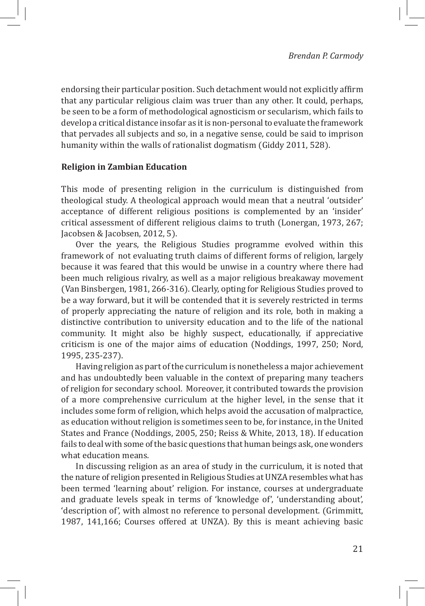endorsing their particular position. Such detachment would not explicitly affirm that any particular religious claim was truer than any other. It could, perhaps, be seen to be a form of methodological agnosticism or secularism, which fails to develop a critical distance insofar as it is non-personal to evaluate the framework that pervades all subjects and so, in a negative sense, could be said to imprison humanity within the walls of rationalist dogmatism (Giddy 2011, 528).

#### **Religion in Zambian Education**

This mode of presenting religion in the curriculum is distinguished from theological study. A theological approach would mean that a neutral 'outsider' acceptance of different religious positions is complemented by an 'insider' critical assessment of different religious claims to truth (Lonergan, 1973, 267; Jacobsen & Jacobsen, 2012, 5).

Over the years, the Religious Studies programme evolved within this framework of not evaluating truth claims of different forms of religion, largely because it was feared that this would be unwise in a country where there had been much religious rivalry, as well as a major religious breakaway movement (Van Binsbergen, 1981, 266-316). Clearly, opting for Religious Studies proved to be a way forward, but it will be contended that it is severely restricted in terms of properly appreciating the nature of religion and its role, both in making a distinctive contribution to university education and to the life of the national community. It might also be highly suspect, educationally, if appreciative criticism is one of the major aims of education (Noddings, 1997, 250; Nord, 1995, 235-237).

Having religion as part of the curriculum is nonetheless a major achievement and has undoubtedly been valuable in the context of preparing many teachers of religion for secondary school. Moreover, it contributed towards the provision of a more comprehensive curriculum at the higher level, in the sense that it includes some form of religion, which helps avoid the accusation of malpractice, as education without religion is sometimes seen to be, for instance, in the United States and France (Noddings, 2005, 250; Reiss & White, 2013, 18). If education fails to deal with some of the basic questions that human beings ask, one wonders what education means.

In discussing religion as an area of study in the curriculum, it is noted that the nature of religion presented in Religious Studies at UNZA resembles what has been termed 'learning about' religion. For instance, courses at undergraduate and graduate levels speak in terms of 'knowledge of', 'understanding about', 'description of', with almost no reference to personal development. (Grimmitt, 1987, 141,166; Courses offered at UNZA). By this is meant achieving basic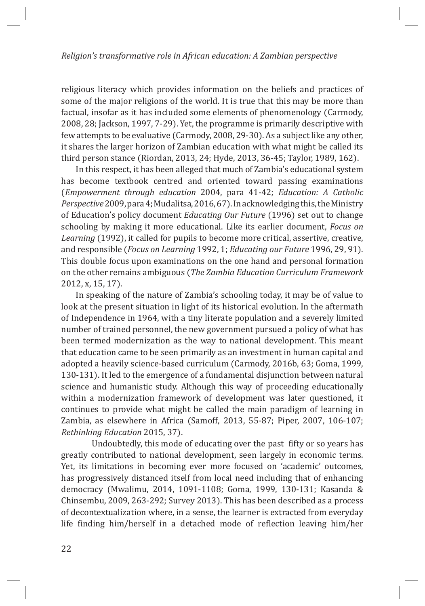religious literacy which provides information on the beliefs and practices of some of the major religions of the world. It is true that this may be more than factual, insofar as it has included some elements of phenomenology (Carmody, 2008, 28; Jackson, 1997, 7-29). Yet, the programme is primarily descriptive with few attempts to be evaluative (Carmody, 2008, 29-30). As a subject like any other, it shares the larger horizon of Zambian education with what might be called its third person stance (Riordan, 2013, 24; Hyde, 2013, 36-45; Taylor, 1989, 162).

In this respect, it has been alleged that much of Zambia's educational system has become textbook centred and oriented toward passing examinations (*Empowerment through education* 2004, para 41-42; *Education: A Catholic Perspective* 2009, para 4; Mudalitsa, 2016, 67). In acknowledging this, the Ministry of Education's policy document *Educating Our Future* (1996) set out to change schooling by making it more educational. Like its earlier document, *Focus on Learning* (1992), it called for pupils to become more critical, assertive, creative, and responsible (*Focus on Learning* 1992, 1; *Educating our Future* 1996, 29, 91). This double focus upon examinations on the one hand and personal formation on the other remains ambiguous (*The Zambia Education Curriculum Framework* 2012, x, 15, 17).

In speaking of the nature of Zambia's schooling today, it may be of value to look at the present situation in light of its historical evolution. In the aftermath of Independence in 1964, with a tiny literate population and a severely limited number of trained personnel, the new government pursued a policy of what has been termed modernization as the way to national development. This meant that education came to be seen primarily as an investment in human capital and adopted a heavily science-based curriculum (Carmody, 2016b, 63; Goma, 1999, 130-131). It led to the emergence of a fundamental disjunction between natural science and humanistic study. Although this way of proceeding educationally within a modernization framework of development was later questioned, it continues to provide what might be called the main paradigm of learning in Zambia, as elsewhere in Africa (Samoff, 2013, 55-87; Piper, 2007, 106-107; *Rethinking Education* 2015, 37).

Undoubtedly, this mode of educating over the past fifty or so years has greatly contributed to national development, seen largely in economic terms. Yet, its limitations in becoming ever more focused on 'academic' outcomes, has progressively distanced itself from local need including that of enhancing democracy (Mwalimu, 2014, 1091-1108; Goma, 1999, 130-131; Kasanda & Chinsembu, 2009, 263-292; Survey 2013). This has been described as a process of decontextualization where, in a sense, the learner is extracted from everyday life finding him/herself in a detached mode of reflection leaving him/her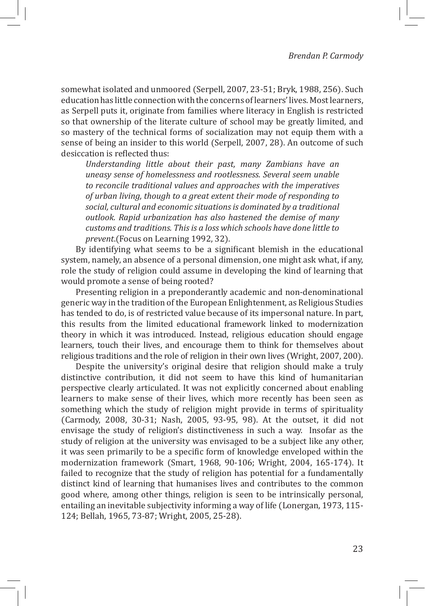somewhat isolated and unmoored (Serpell, 2007, 23-51; Bryk, 1988, 256). Such education has little connection with the concerns of learners' lives. Most learners, as Serpell puts it, originate from families where literacy in English is restricted so that ownership of the literate culture of school may be greatly limited, and so mastery of the technical forms of socialization may not equip them with a sense of being an insider to this world (Serpell, 2007, 28). An outcome of such desiccation is reflected thus:

*Understanding little about their past, many Zambians have an uneasy sense of homelessness and rootlessness. Several seem unable to reconcile traditional values and approaches with the imperatives of urban living, though to a great extent their mode of responding to social, cultural and economic situations is dominated by a traditional outlook. Rapid urbanization has also hastened the demise of many customs and traditions. This is a loss which schools have done little to prevent*.(Focus on Learning 1992, 32).

By identifying what seems to be a significant blemish in the educational system, namely, an absence of a personal dimension, one might ask what, if any, role the study of religion could assume in developing the kind of learning that would promote a sense of being rooted?

Presenting religion in a preponderantly academic and non-denominational generic way in the tradition of the European Enlightenment, as Religious Studies has tended to do, is of restricted value because of its impersonal nature. In part, this results from the limited educational framework linked to modernization theory in which it was introduced. Instead, religious education should engage learners, touch their lives, and encourage them to think for themselves about religious traditions and the role of religion in their own lives (Wright, 2007, 200).

Despite the university's original desire that religion should make a truly distinctive contribution, it did not seem to have this kind of humanitarian perspective clearly articulated. It was not explicitly concerned about enabling learners to make sense of their lives, which more recently has been seen as something which the study of religion might provide in terms of spirituality (Carmody, 2008, 30-31; Nash, 2005, 93-95, 98). At the outset, it did not envisage the study of religion's distinctiveness in such a way. Insofar as the study of religion at the university was envisaged to be a subject like any other, it was seen primarily to be a specific form of knowledge enveloped within the modernization framework (Smart, 1968, 90-106; Wright, 2004, 165-174). It failed to recognize that the study of religion has potential for a fundamentally distinct kind of learning that humanises lives and contributes to the common good where, among other things, religion is seen to be intrinsically personal, entailing an inevitable subjectivity informing a way of life (Lonergan, 1973, 115- 124; Bellah, 1965, 73-87; Wright, 2005, 25-28).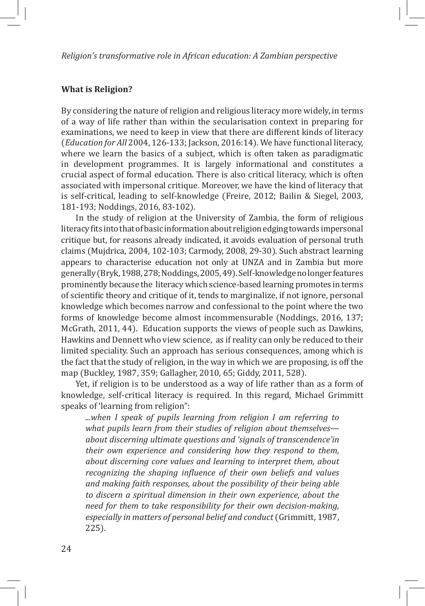#### *Religion's transformative role in African education: A Zambian perspective*

#### **What is Religion?**

By considering the nature of religion and religious literacy more widely, in terms of a way of life rather than within the secularisation context in preparing for examinations, we need to keep in view that there are different kinds of literacy (*Education for All* 2004, 126-133; Jackson, 2016:14). We have functional literacy, where we learn the basics of a subject, which is often taken as paradigmatic in development programmes. It is largely informational and constitutes a crucial aspect of formal education. There is also critical literacy, which is often associated with impersonal critique. Moreover, we have the kind of literacy that is self-critical, leading to self-knowledge (Freire, 2012; Bailin & Siegel, 2003, 181-193; Noddings, 2016, 83-102).

In the study of religion at the University of Zambia, the form of religious literacy fits into that of basic information about religion edging towards impersonal critique but, for reasons already indicated, it avoids evaluation of personal truth claims (Mujdrica, 2004, 102-103; Carmody, 2008, 29-30). Such abstract learning appears to characterise education not only at UNZA and in Zambia but more generally (Bryk, 1988, 278; Noddings, 2005, 49). Self-knowledge no longer features prominently because the literacy which science-based learning promotes in terms of scientific theory and critique of it, tends to marginalize, if not ignore, personal knowledge which becomes narrow and confessional to the point where the two forms of knowledge become almost incommensurable (Noddings, 2016, 137; McGrath, 2011, 44). Education supports the views of people such as Dawkins, Hawkins and Dennett who view science, as if reality can only be reduced to their limited speciality. Such an approach has serious consequences, among which is the fact that the study of religion, in the way in which we are proposing, is off the map (Buckley, 1987, 359; Gallagher, 2010, 65; Giddy, 2011, 528).

Yet, if religion is to be understood as a way of life rather than as a form of knowledge, self-critical literacy is required. In this regard, Michael Grimmitt speaks of 'learning from religion":

*...when I speak of pupils learning from religion I am referring to what pupils learn from their studies of religion about themselves about discerning ultimate questions and 'signals of transcendence'in their own experience and considering how they respond to them, about discerning core values and learning to interpret them, about recognizing the shaping influence of their own beliefs and values and making faith responses, about the possibility of their being able to discern a spiritual dimension in their own experience, about the need for them to take responsibility for their own decision-making, especially in matters of personal belief and conduct* (Grimmitt, 1987, 225).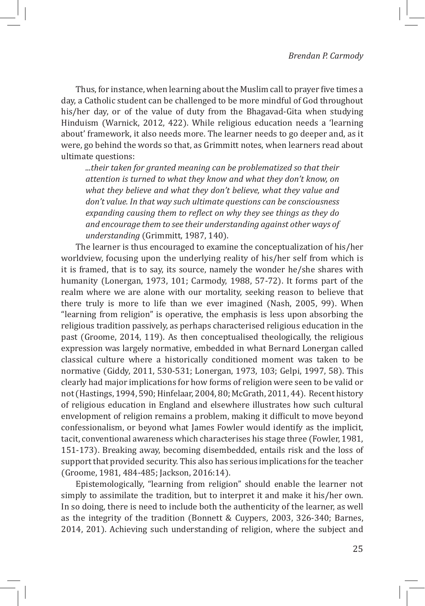Thus, for instance, when learning about the Muslim call to prayer five times a day, a Catholic student can be challenged to be more mindful of God throughout his/her day, or of the value of duty from the Bhagavad-Gita when studying Hinduism (Warnick, 2012, 422). While religious education needs a 'learning about' framework, it also needs more. The learner needs to go deeper and, as it were, go behind the words so that, as Grimmitt notes, when learners read about ultimate questions:

*...their taken for granted meaning can be problematized so that their attention is turned to what they know and what they don't know, on what they believe and what they don't believe, what they value and don't value. In that way such ultimate questions can be consciousness expanding causing them to reflect on why they see things as they do and encourage them to see their understanding against other ways of understanding* (Grimmitt, 1987, 140).

The learner is thus encouraged to examine the conceptualization of his/her worldview, focusing upon the underlying reality of his/her self from which is it is framed, that is to say, its source, namely the wonder he/she shares with humanity (Lonergan, 1973, 101; Carmody, 1988, 57-72). It forms part of the realm where we are alone with our mortality, seeking reason to believe that there truly is more to life than we ever imagined (Nash, 2005, 99). When "learning from religion" is operative, the emphasis is less upon absorbing the religious tradition passively, as perhaps characterised religious education in the past (Groome, 2014, 119). As then conceptualised theologically, the religious expression was largely normative, embedded in what Bernard Lonergan called classical culture where a historically conditioned moment was taken to be normative (Giddy, 2011, 530-531; Lonergan, 1973, 103; Gelpi, 1997, 58). This clearly had major implications for how forms of religion were seen to be valid or not (Hastings, 1994, 590; Hinfelaar, 2004, 80; McGrath, 2011, 44). Recent history of religious education in England and elsewhere illustrates how such cultural envelopment of religion remains a problem, making it difficult to move beyond confessionalism, or beyond what James Fowler would identify as the implicit, tacit, conventional awareness which characterises his stage three (Fowler, 1981, 151-173). Breaking away, becoming disembedded, entails risk and the loss of support that provided security. This also has serious implications for the teacher (Groome, 1981, 484-485; Jackson, 2016:14).

Epistemologically, "learning from religion" should enable the learner not simply to assimilate the tradition, but to interpret it and make it his/her own. In so doing, there is need to include both the authenticity of the learner, as well as the integrity of the tradition (Bonnett & Cuypers, 2003, 326-340; Barnes, 2014, 201). Achieving such understanding of religion, where the subject and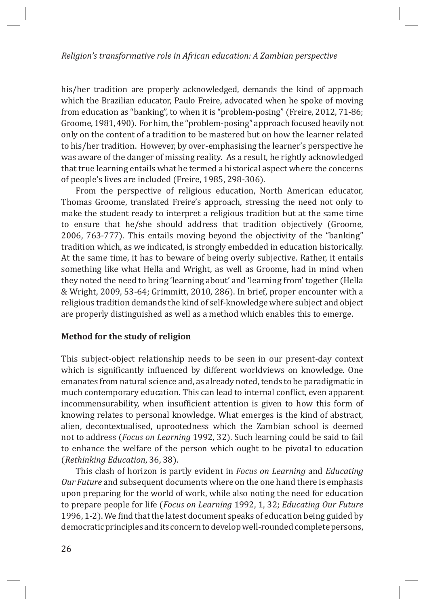#### *Religion's transformative role in African education: A Zambian perspective*

his/her tradition are properly acknowledged, demands the kind of approach which the Brazilian educator, Paulo Freire, advocated when he spoke of moving from education as "banking", to when it is "problem-posing" (Freire, 2012, 71-86; Groome, 1981, 490). For him, the "problem-posing" approach focused heavily not only on the content of a tradition to be mastered but on how the learner related to his/her tradition. However, by over-emphasising the learner's perspective he was aware of the danger of missing reality. As a result, he rightly acknowledged that true learning entails what he termed a historical aspect where the concerns of people's lives are included (Freire, 1985, 298-306).

From the perspective of religious education, North American educator, Thomas Groome, translated Freire's approach, stressing the need not only to make the student ready to interpret a religious tradition but at the same time to ensure that he/she should address that tradition objectively (Groome, 2006, 763-777). This entails moving beyond the objectivity of the "banking" tradition which, as we indicated, is strongly embedded in education historically. At the same time, it has to beware of being overly subjective. Rather, it entails something like what Hella and Wright, as well as Groome, had in mind when they noted the need to bring 'learning about' and 'learning from' together (Hella & Wright, 2009, 53-64; Grimmitt, 2010, 286). In brief, proper encounter with a religious tradition demands the kind of self-knowledge where subject and object are properly distinguished as well as a method which enables this to emerge.

#### **Method for the study of religion**

This subject-object relationship needs to be seen in our present-day context which is significantly influenced by different worldviews on knowledge. One emanates from natural science and, as already noted, tends to be paradigmatic in much contemporary education. This can lead to internal conflict, even apparent incommensurability, when insufficient attention is given to how this form of knowing relates to personal knowledge. What emerges is the kind of abstract, alien, decontextualised, uprootedness which the Zambian school is deemed not to address (*Focus on Learning* 1992, 32). Such learning could be said to fail to enhance the welfare of the person which ought to be pivotal to education (*Rethinking Education*, 36, 38).

This clash of horizon is partly evident in *Focus on Learning* and *Educating Our Future* and subsequent documents where on the one hand there is emphasis upon preparing for the world of work, while also noting the need for education to prepare people for life (*Focus on Learning* 1992, 1, 32; *Educating Our Future* 1996, 1-2). We find that the latest document speaks of education being guided by democratic principles and its concern to develop well-rounded complete persons,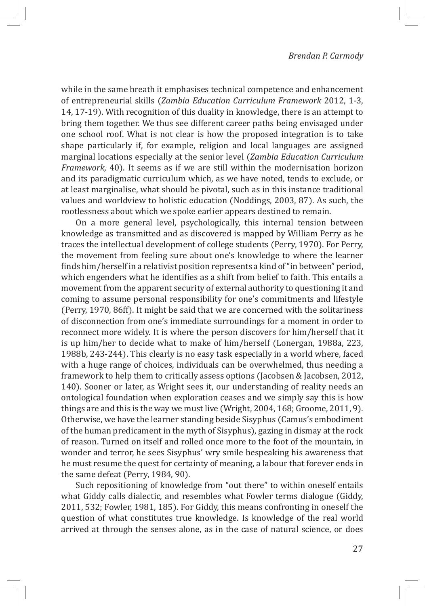while in the same breath it emphasises technical competence and enhancement of entrepreneurial skills (*Zambia Education Curriculum Framework* 2012, 1-3, 14, 17-19). With recognition of this duality in knowledge, there is an attempt to bring them together. We thus see different career paths being envisaged under one school roof. What is not clear is how the proposed integration is to take shape particularly if, for example, religion and local languages are assigned marginal locations especially at the senior level (*Zambia Education Curriculum Framework*, 40). It seems as if we are still within the modernisation horizon and its paradigmatic curriculum which, as we have noted, tends to exclude, or at least marginalise, what should be pivotal, such as in this instance traditional values and worldview to holistic education (Noddings, 2003, 87). As such, the rootlessness about which we spoke earlier appears destined to remain.

On a more general level, psychologically, this internal tension between knowledge as transmitted and as discovered is mapped by William Perry as he traces the intellectual development of college students (Perry, 1970). For Perry, the movement from feeling sure about one's knowledge to where the learner finds him/herself in a relativist position represents a kind of "in between" period, which engenders what he identifies as a shift from belief to faith. This entails a movement from the apparent security of external authority to questioning it and coming to assume personal responsibility for one's commitments and lifestyle (Perry, 1970, 86ff). It might be said that we are concerned with the solitariness of disconnection from one's immediate surroundings for a moment in order to reconnect more widely. It is where the person discovers for him/herself that it is up him/her to decide what to make of him/herself (Lonergan, 1988a, 223, 1988b, 243-244). This clearly is no easy task especially in a world where, faced with a huge range of choices, individuals can be overwhelmed, thus needing a framework to help them to critically assess options (Jacobsen & Jacobsen, 2012, 140). Sooner or later, as Wright sees it, our understanding of reality needs an ontological foundation when exploration ceases and we simply say this is how things are and this is the way we must live (Wright, 2004, 168; Groome, 2011, 9). Otherwise, we have the learner standing beside Sisyphus (Camus's embodiment of the human predicament in the myth of Sisyphus), gazing in dismay at the rock of reason. Turned on itself and rolled once more to the foot of the mountain, in wonder and terror, he sees Sisyphus' wry smile bespeaking his awareness that he must resume the quest for certainty of meaning, a labour that forever ends in the same defeat (Perry, 1984, 90).

Such repositioning of knowledge from "out there" to within oneself entails what Giddy calls dialectic, and resembles what Fowler terms dialogue (Giddy, 2011, 532; Fowler, 1981, 185). For Giddy, this means confronting in oneself the question of what constitutes true knowledge. Is knowledge of the real world arrived at through the senses alone, as in the case of natural science, or does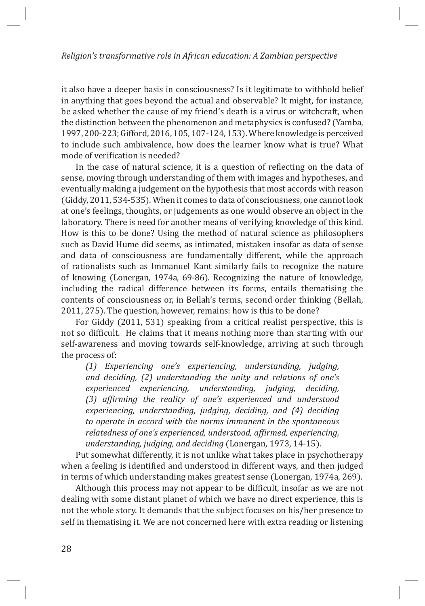it also have a deeper basis in consciousness? Is it legitimate to withhold belief in anything that goes beyond the actual and observable? It might, for instance, be asked whether the cause of my friend's death is a virus or witchcraft, when the distinction between the phenomenon and metaphysics is confused? (Yamba, 1997, 200-223; Gifford, 2016, 105, 107-124, 153). Where knowledge is perceived to include such ambivalence, how does the learner know what is true? What mode of verification is needed?

In the case of natural science, it is a question of reflecting on the data of sense, moving through understanding of them with images and hypotheses, and eventually making a judgement on the hypothesis that most accords with reason (Giddy, 2011, 534-535). When it comes to data of consciousness, one cannot look at one's feelings, thoughts, or judgements as one would observe an object in the laboratory. There is need for another means of verifying knowledge of this kind. How is this to be done? Using the method of natural science as philosophers such as David Hume did seems, as intimated, mistaken insofar as data of sense and data of consciousness are fundamentally different, while the approach of rationalists such as Immanuel Kant similarly fails to recognize the nature of knowing (Lonergan, 1974a, 69-86). Recognizing the nature of knowledge, including the radical difference between its forms, entails thematising the contents of consciousness or, in Bellah's terms, second order thinking (Bellah, 2011, 275). The question, however, remains: how is this to be done?

For Giddy (2011, 531) speaking from a critical realist perspective, this is not so difficult. He claims that it means nothing more than starting with our self-awareness and moving towards self-knowledge, arriving at such through the process of:

*(1) Experiencing one's experiencing, understanding, judging, and deciding, (2) understanding the unity and relations of one's experienced experiencing, understanding, judging, deciding, (3) affirming the reality of one's experienced and understood experiencing, understanding, judging, deciding, and (4) deciding to operate in accord with the norms immanent in the spontaneous relatedness of one's experienced, understood, affirmed, experiencing, understanding, judging, and deciding* (Lonergan, 1973, 14-15).

Put somewhat differently, it is not unlike what takes place in psychotherapy when a feeling is identified and understood in different ways, and then judged in terms of which understanding makes greatest sense (Lonergan, 1974a, 269).

Although this process may not appear to be difficult, insofar as we are not dealing with some distant planet of which we have no direct experience, this is not the whole story. It demands that the subject focuses on his/her presence to self in thematising it. We are not concerned here with extra reading or listening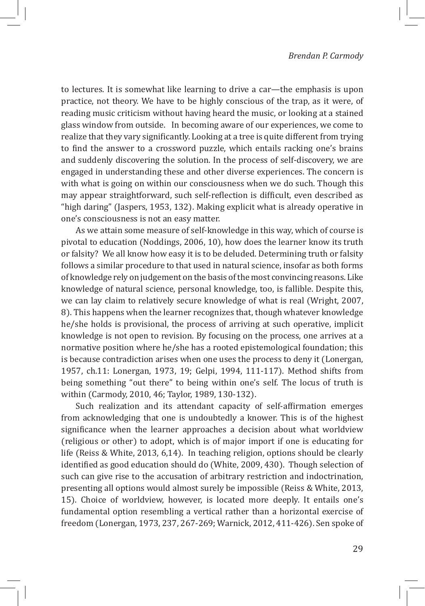to lectures. It is somewhat like learning to drive a car—the emphasis is upon practice, not theory. We have to be highly conscious of the trap, as it were, of reading music criticism without having heard the music, or looking at a stained glass window from outside. In becoming aware of our experiences, we come to realize that they vary significantly. Looking at a tree is quite different from trying to find the answer to a crossword puzzle, which entails racking one's brains and suddenly discovering the solution. In the process of self-discovery, we are engaged in understanding these and other diverse experiences. The concern is with what is going on within our consciousness when we do such. Though this may appear straightforward, such self-reflection is difficult, even described as "high daring" (Jaspers, 1953, 132). Making explicit what is already operative in one's consciousness is not an easy matter.

As we attain some measure of self-knowledge in this way, which of course is pivotal to education (Noddings, 2006, 10), how does the learner know its truth or falsity? We all know how easy it is to be deluded. Determining truth or falsity follows a similar procedure to that used in natural science, insofar as both forms of knowledge rely on judgement on the basis of the most convincing reasons. Like knowledge of natural science, personal knowledge, too, is fallible. Despite this, we can lay claim to relatively secure knowledge of what is real (Wright, 2007, 8). This happens when the learner recognizes that, though whatever knowledge he/she holds is provisional, the process of arriving at such operative, implicit knowledge is not open to revision. By focusing on the process, one arrives at a normative position where he/she has a rooted epistemological foundation; this is because contradiction arises when one uses the process to deny it (Lonergan, 1957, ch.11: Lonergan, 1973, 19; Gelpi, 1994, 111-117). Method shifts from being something "out there" to being within one's self. The locus of truth is within (Carmody, 2010, 46; Taylor, 1989, 130-132).

Such realization and its attendant capacity of self-affirmation emerges from acknowledging that one is undoubtedly a knower. This is of the highest significance when the learner approaches a decision about what worldview (religious or other) to adopt, which is of major import if one is educating for life (Reiss & White, 2013, 6,14). In teaching religion, options should be clearly identified as good education should do (White, 2009, 430). Though selection of such can give rise to the accusation of arbitrary restriction and indoctrination, presenting all options would almost surely be impossible (Reiss & White, 2013, 15). Choice of worldview, however, is located more deeply. It entails one's fundamental option resembling a vertical rather than a horizontal exercise of freedom (Lonergan, 1973, 237, 267-269; Warnick, 2012, 411-426). Sen spoke of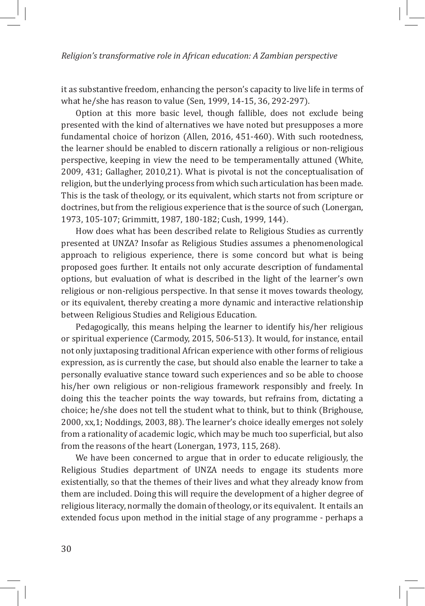it as substantive freedom, enhancing the person's capacity to live life in terms of what he/she has reason to value (Sen, 1999, 14-15, 36, 292-297).

Option at this more basic level, though fallible, does not exclude being presented with the kind of alternatives we have noted but presupposes a more fundamental choice of horizon (Allen, 2016, 451-460). With such rootedness, the learner should be enabled to discern rationally a religious or non-religious perspective, keeping in view the need to be temperamentally attuned (White, 2009, 431; Gallagher, 2010,21). What is pivotal is not the conceptualisation of religion, but the underlying process from which such articulation has been made. This is the task of theology, or its equivalent, which starts not from scripture or doctrines, but from the religious experience that is the source of such (Lonergan, 1973, 105-107; Grimmitt, 1987, 180-182; Cush, 1999, 144).

How does what has been described relate to Religious Studies as currently presented at UNZA? Insofar as Religious Studies assumes a phenomenological approach to religious experience, there is some concord but what is being proposed goes further. It entails not only accurate description of fundamental options, but evaluation of what is described in the light of the learner's own religious or non-religious perspective. In that sense it moves towards theology, or its equivalent, thereby creating a more dynamic and interactive relationship between Religious Studies and Religious Education.

Pedagogically, this means helping the learner to identify his/her religious or spiritual experience (Carmody, 2015, 506-513). It would, for instance, entail not only juxtaposing traditional African experience with other forms of religious expression, as is currently the case, but should also enable the learner to take a personally evaluative stance toward such experiences and so be able to choose his/her own religious or non-religious framework responsibly and freely. In doing this the teacher points the way towards, but refrains from, dictating a choice; he/she does not tell the student what to think, but to think (Brighouse, 2000, xx,1; Noddings, 2003, 88). The learner's choice ideally emerges not solely from a rationality of academic logic, which may be much too superficial, but also from the reasons of the heart (Lonergan, 1973, 115, 268).

We have been concerned to argue that in order to educate religiously, the Religious Studies department of UNZA needs to engage its students more existentially, so that the themes of their lives and what they already know from them are included. Doing this will require the development of a higher degree of religious literacy, normally the domain of theology, or its equivalent. It entails an extended focus upon method in the initial stage of any programme - perhaps a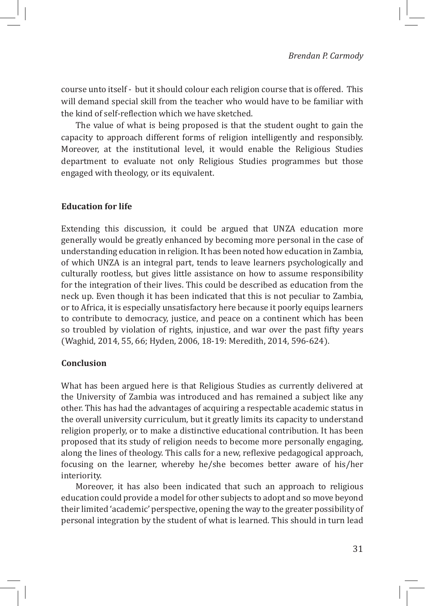course unto itself - but it should colour each religion course that is offered. This will demand special skill from the teacher who would have to be familiar with the kind of self-reflection which we have sketched.

The value of what is being proposed is that the student ought to gain the capacity to approach different forms of religion intelligently and responsibly. Moreover, at the institutional level, it would enable the Religious Studies department to evaluate not only Religious Studies programmes but those engaged with theology, or its equivalent.

#### **Education for life**

Extending this discussion, it could be argued that UNZA education more generally would be greatly enhanced by becoming more personal in the case of understanding education in religion. It has been noted how education in Zambia, of which UNZA is an integral part, tends to leave learners psychologically and culturally rootless, but gives little assistance on how to assume responsibility for the integration of their lives. This could be described as education from the neck up. Even though it has been indicated that this is not peculiar to Zambia, or to Africa, it is especially unsatisfactory here because it poorly equips learners to contribute to democracy, justice, and peace on a continent which has been so troubled by violation of rights, injustice, and war over the past fifty years (Waghid, 2014, 55, 66; Hyden, 2006, 18-19: Meredith, 2014, 596-624).

#### **Conclusion**

What has been argued here is that Religious Studies as currently delivered at the University of Zambia was introduced and has remained a subject like any other. This has had the advantages of acquiring a respectable academic status in the overall university curriculum, but it greatly limits its capacity to understand religion properly, or to make a distinctive educational contribution. It has been proposed that its study of religion needs to become more personally engaging, along the lines of theology. This calls for a new, reflexive pedagogical approach, focusing on the learner, whereby he/she becomes better aware of his/her interiority.

Moreover, it has also been indicated that such an approach to religious education could provide a model for other subjects to adopt and so move beyond their limited 'academic' perspective, opening the way to the greater possibility of personal integration by the student of what is learned. This should in turn lead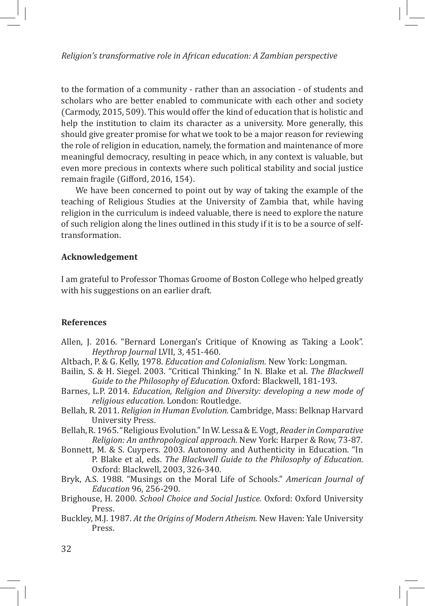*Religion's transformative role in African education: A Zambian perspective*

to the formation of a community - rather than an association - of students and scholars who are better enabled to communicate with each other and society (Carmody, 2015, 509). This would offer the kind of education that is holistic and help the institution to claim its character as a university. More generally, this should give greater promise for what we took to be a major reason for reviewing the role of religion in education, namely, the formation and maintenance of more meaningful democracy, resulting in peace which, in any context is valuable, but even more precious in contexts where such political stability and social justice remain fragile (Gifford, 2016, 154).

We have been concerned to point out by way of taking the example of the teaching of Religious Studies at the University of Zambia that, while having religion in the curriculum is indeed valuable, there is need to explore the nature of such religion along the lines outlined in this study if it is to be a source of selftransformation.

#### **Acknowledgement**

I am grateful to Professor Thomas Groome of Boston College who helped greatly with his suggestions on an earlier draft.

#### **References**

- Allen, J. 2016. "Bernard Lonergan's Critique of Knowing as Taking a Look". *Heythrop Journal* LVII, 3, 451-460.
- Altbach, P. & G. Kelly, 1978. *Education and Colonialism.* New York: Longman.
- Bailin, S. & H. Siegel. 2003. "Critical Thinking." In N. Blake et al. *The Blackwell Guide to the Philosophy of Education.* Oxford: Blackwell, 181-193.
- Barnes, L.P. 2014. *Education, Religion and Diversity: developing a new mode of religious education.* London: Routledge.
- Bellah, R. 2011. *Religion in Human Evolution.* Cambridge, Mass: Belknap Harvard University Press.
- Bellah, R. 1965. "Religious Evolution." In W. Lessa & E. Vogt, *Reader in Comparative Religion: An anthropological approach.* New York: Harper & Row, 73-87.
- Bonnett, M. & S. Cuypers. 2003. Autonomy and Authenticity in Education. "In P. Blake et al, eds. *The Blackwell Guide to the Philosophy of Education.* Oxford: Blackwell, 2003, 326-340.
- Bryk, A.S. 1988. "Musings on the Moral Life of Schools." *American Journal of Education* 96, 256-290.
- Brighouse, H. 2000. *School Choice and Social Justice.* Oxford: Oxford University Press.
- Buckley, M.J. 1987. *At the Origins of Modern Atheism.* New Haven: Yale University Press.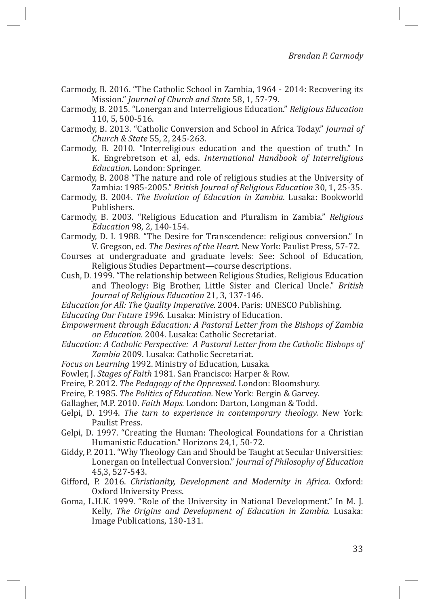Carmody, B. 2016. "The Catholic School in Zambia, 1964 - 2014: Recovering its Mission." *Journal of Church and State* 58, 1, 57-79.

Carmody, B. 2015. "Lonergan and Interreligious Education." *Religious Education* 110, 5, 500-516.

Carmody, B. 2013. "Catholic Conversion and School in Africa Today." *Journal of Church & State* 55, 2, 245-263.

Carmody, B. 2010. "Interreligious education and the question of truth." In K. Engrebretson et al, eds. *International Handbook of Interreligious Education.* London: Springer.

Carmody, B. 2008 "The nature and role of religious studies at the University of Zambia: 1985-2005." *British Journal of Religious Education* 30, 1, 25-35.

Carmody, B. 2004. *The Evolution of Education in Zambia.* Lusaka: Bookworld Publishers.

Carmody, B. 2003. "Religious Education and Pluralism in Zambia." *Religious Education* 98, 2, 140-154.

Carmody, D. L 1988. "The Desire for Transcendence: religious conversion." In V. Gregson, ed. *The Desires of the Heart.* New York: Paulist Press, 57-72.

- Courses at undergraduate and graduate levels: See: School of Education, Religious Studies Department—course descriptions.
- Cush, D. 1999. "The relationship between Religious Studies, Religious Education and Theology: Big Brother, Little Sister and Clerical Uncle." *British Journal of Religious Education* 21, 3, 137-146.

*Education for All: The Quality Imperative.* 2004. Paris: UNESCO Publishing.

*Educating Our Future 1996.* Lusaka: Ministry of Education.

*Empowerment through Education: A Pastoral Letter from the Bishops of Zambia on Education.* 2004. Lusaka: Catholic Secretariat.

*Education: A Catholic Perspective: A Pastoral Letter from the Catholic Bishops of Zambia* 2009. Lusaka: Catholic Secretariat.

*Focus on Learning* 1992. Ministry of Education, Lusaka.

Fowler, J. *Stages of Faith* 1981. San Francisco: Harper & Row.

Freire, P. 2012. *The Pedagogy of the Oppressed.* London: Bloomsbury.

Freire, P. 1985. *The Politics of Education.* New York: Bergin & Garvey.

Gallagher, M.P. 2010. *Faith Maps.* London: Darton, Longman & Todd.

- Gelpi, D. 1994. *The turn to experience in contemporary theology.* New York: Paulist Press.
- Gelpi, D. 1997. "Creating the Human: Theological Foundations for a Christian Humanistic Education." Horizons 24,1, 50-72.
- Giddy, P. 2011. "Why Theology Can and Should be Taught at Secular Universities: Lonergan on Intellectual Conversion." *Journal of Philosophy of Education*  45,3, 527-543.
- Gifford, P. 2016. *Christianity, Development and Modernity in Africa.* Oxford: Oxford University Press.
- Goma, L.H.K. 1999. "Role of the University in National Development." In M. J. Kelly, *The Origins and Development of Education in Zambia.* Lusaka: Image Publications, 130-131.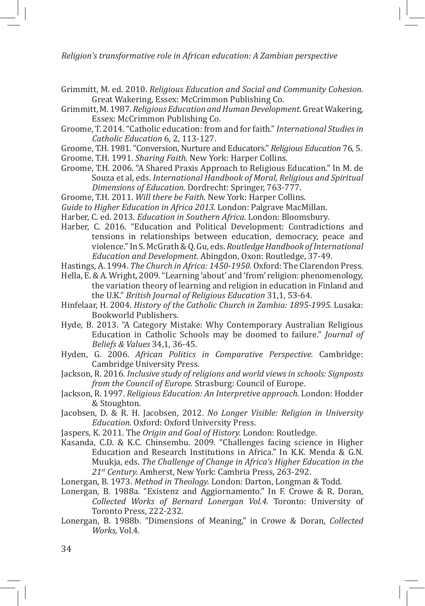*Religion's transformative role in African education: A Zambian perspective*

- Grimmitt, M. ed. 2010. *Religious Education and Social and Community Cohesion.* Great Wakering, Essex: McCrimmon Publishing Co.
- Grimmitt, M. 1987. *Religious Education and Human Development.* Great Wakering, Essex: McCrimmon Publishing Co.
- Groome, T. 2014. "Catholic education: from and for faith." *International Studies in Catholic Education* 6, 2, 113-127.
- Groome, T.H. 1981. "Conversion, Nurture and Educators." *Religious Education* 76, 5.

Groome, T.H. 1991. *Sharing Faith.* New York: Harper Collins.

Groome, T.H. 2006. "A Shared Praxis Approach to Religious Education." In M. de Souza et al, eds. *International Handbook of Moral, Religious and Spiritual Dimensions of Education.* Dordrecht: Springer, 763-777.

Groome, T.H. 2011. *Will there be Faith.* New York: Harper Collins.

*Guide to Higher Education in Africa 2013.* London: Palgrave MacMillan.

Harber, C. ed. 2013. *Education in Southern Africa.* London: Bloomsbury.

- Harber, C. 2016. "Education and Political Development: Contradictions and tensions in relationships between education, democracy, peace and violence." In S. McGrath & Q. Gu, eds. *Routledge Handbook of International Education and Development.* Abingdon, Oxon: Routledge, 37-49.
- Hastings, A. 1994. *The Church in Africa: 1450-1950.* Oxford: The Clarendon Press.
- Hella, E. & A. Wright, 2009. "Learning 'about' and 'from' religion: phenomenology, the variation theory of learning and religion in education in Finland and the U.K." *British Journal of Religious Education* 31,1, 53-64.
- Hinfelaar, H. 2004. *History of the Catholic Church in Zambia: 1895-1995.* Lusaka: Bookworld Publishers.
- Hyde, B. 2013. "A Category Mistake: Why Contemporary Australian Religious Education in Catholic Schools may be doomed to failure." *Journal of Beliefs & Values* 34,1, 36-45.
- Hyden, G. 2006. *African Politics in Comparative Perspective.* Cambridge: Cambridge University Press.
- Jackson, R. 2016. *Inclusive study of religions and world views in schools: Signposts from the Council of Europe*. Strasburg: Council of Europe.
- Jackson, R. 1997. *Religious Education: An Interpretive approach.* London: Hodder & Stoughton.
- Jacobsen, D. & R. H. Jacobsen, 2012. *No Longer Visible: Religion in University Education.* Oxford: Oxford University Press.
- Jaspers, K. 2011. The *Origin and Goal of History.* London: Routledge.
- Kasanda, C.D. & K.C. Chinsembu. 2009. "Challenges facing science in Higher Education and Research Institutions in Africa." In K.K. Menda & G.N. Muukja, eds. *The Challenge of Change in Africa's Higher Education in the 21st Century.* Amherst, New York: Cambria Press, 263-292.
- Lonergan, B. 1973. *Method in Theology.* London: Darton, Longman & Todd.
- Lonergan, B. 1988a. "Existenz and Aggiornamento." In F. Crowe & R. Doran, *Collected Works of Bernard Lonergan Vol.4.* Toronto: University of Toronto Press, 222-232.
- Lonergan, B. 1988b. "Dimensions of Meaning," in Crowe & Doran, *Collected Works,* Vol.4.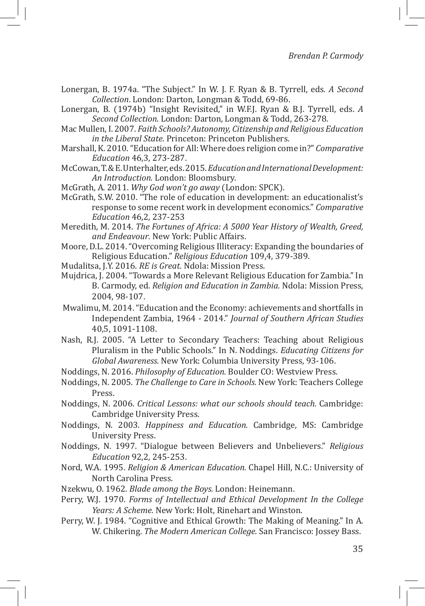- Lonergan, B. 1974a. "The Subject." In W. J. F. Ryan & B. Tyrrell, eds. *A Second Collection*. London: Darton, Longman & Todd, 69-86.
- Lonergan, B. (1974b) "Insight Revisited," in W.F.J. Ryan & B.J. Tyrrell, eds. *A Second Collection*. London: Darton, Longman & Todd, 263-278.
- Mac Mullen, I. 2007. *Faith Schools? Autonomy, Citizenship and Religious Education in the Liberal State*. Princeton: Princeton Publishers.
- Marshall, K. 2010. "Education for All: Where does religion come in?" *Comparative Education* 46,3, 273-287.
- McCowan, T. & E. Unterhalter, eds. 2015. *Education and International Development: An Introduction.* London: Bloomsbury.
- McGrath, A. 2011. *Why God won't go away* (London: SPCK).
- McGrath, S.W. 2010. "The role of education in development: an educationalist's response to some recent work in development economics." *Comparative Education* 46,2, 237-253
- Meredith, M. 2014. *The Fortunes of Africa: A 5000 Year History of Wealth, Greed, and Endeavour*. New York: Public Affairs.
- Moore, D.L. 2014. "Overcoming Religious Illiteracy: Expanding the boundaries of Religious Education." *Religious Education* 109,4, 379-389.
- Mudalitsa, J.Y. 2016. *RE is Great.* Ndola: Mission Press.
- Mujdrica, J. 2004. "Towards a More Relevant Religious Education for Zambia." In B. Carmody, ed. *Religion and Education in Zambia.* Ndola: Mission Press, 2004, 98-107.
- Mwalimu, M. 2014. "Education and the Economy: achievements and shortfalls in Independent Zambia, 1964 - 2014." *Journal of Southern African Studies* 40,5, 1091-1108.
- Nash, R.J. 2005. "A Letter to Secondary Teachers: Teaching about Religious Pluralism in the Public Schools." In N. Noddings. *Educating Citizens for Global Awareness.* New York: Columbia University Press, 93-106.
- Noddings, N. 2016. *Philosophy of Education.* Boulder CO: Westview Press.
- Noddings, N. 2005. *The Challenge to Care in Schools.* New York: Teachers College Press.
- Noddings, N. 2006. *Critical Lessons: what our schools should teach.* Cambridge: Cambridge University Press.
- Noddings, N. 2003. *Happiness and Education.* Cambridge, MS: Cambridge University Press.
- Noddings, N. 1997. "Dialogue between Believers and Unbelievers." *Religious Education* 92,2, 245-253.
- Nord, W.A. 1995. *Religion & American Education.* Chapel Hill, N.C.: University of North Carolina Press.
- Nzekwu, O. 1962. *Blade among the Boys.* London: Heinemann.
- Perry, W.J. 1970. *Forms of Intellectual and Ethical Development In the College Years: A Scheme.* New York: Holt, Rinehart and Winston.
- Perry, W. J. 1984. "Cognitive and Ethical Growth: The Making of Meaning." In A. W. Chikering. *The Modern American College.* San Francisco: Jossey Bass.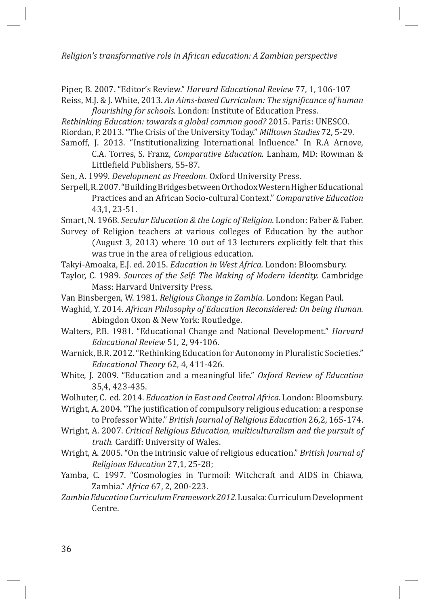*Religion's transformative role in African education: A Zambian perspective*

Piper, B. 2007. "Editor's Review." *Harvard Educational Review* 77, 1, 106-107 Reiss, M.J. & J. White, 2013. *An Aims-based Curriculum: The significance of human* 

*flourishing for schools.* London: Institute of Education Press. *Rethinking Education: towards a global common good?* 2015. Paris: UNESCO. Riordan, P. 2013. "The Crisis of the University Today." *Milltown Studies* 72, 5-29.

Samoff, J. 2013. "Institutionalizing International Influence." In R.A Arnove, C.A. Torres, S. Franz, *Comparative Education.* Lanham, MD: Rowman & Littlefield Publishers, 55-87.

Sen, A. 1999. *Development as Freedom.* Oxford University Press.

Serpell, R. 2007. "Building Bridges between Orthodox Western Higher Educational Practices and an African Socio-cultural Context." *Comparative Education* 43,1, 23-51.

Smart, N. 1968. *Secular Education & the Logic of Religion.* London: Faber & Faber.

- Survey of Religion teachers at various colleges of Education by the author (August 3, 2013) where 10 out of 13 lecturers explicitly felt that this was true in the area of religious education.
- Takyi-Amoaka, E.J. ed. 2015. *Education in West Africa.* London: Bloomsbury.
- Taylor, C. 1989. *Sources of the Self: The Making of Modern Identity.* Cambridge Mass: Harvard University Press.
- Van Binsbergen, W. 1981. *Religious Change in Zambia.* London: Kegan Paul.
- Waghid, Y. 2014. *African Philosophy of Education Reconsidered: On being Human.*  Abingdon Oxon & New York: Routledge.
- Walters, P.B. 1981. "Educational Change and National Development." *Harvard Educational Review* 51, 2, 94-106.

Warnick, B.R. 2012. "Rethinking Education for Autonomy in Pluralistic Societies." *Educational Theory* 62, 4, 411-426.

White, J. 2009. "Education and a meaningful life." *Oxford Review of Education* 35,4, 423-435.

Wolhuter, C. ed. 2014. *Education in East and Central Africa.* London: Bloomsbury.

- Wright, A. 2004. "The justification of compulsory religious education: a response to Professor White." *British Journal of Religious Education* 26,2, 165-174.
- Wright, A. 2007. *Critical Religious Education, multiculturalism and the pursuit of truth.* Cardiff: University of Wales.

Wright, A. 2005. "On the intrinsic value of religious education." *British Journal of Religious Education* 27,1, 25-28;

Yamba, C. 1997. "Cosmologies in Turmoil: Witchcraft and AIDS in Chiawa, Zambia." *Africa* 67, 2, 200-223.

*Zambia Education Curriculum Framework 2012.* Lusaka: Curriculum Development Centre.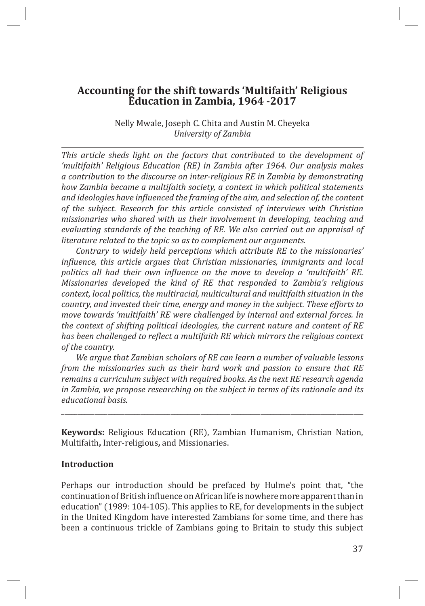Nelly Mwale, Joseph C. Chita and Austin M. Cheyeka *University of Zambia*

*This article sheds light on the factors that contributed to the development of 'multifaith' Religious Education (RE) in Zambia after 1964. Our analysis makes a contribution to the discourse on inter-religious RE in Zambia by demonstrating how Zambia became a multifaith society, a context in which political statements and ideologies have influenced the framing of the aim, and selection of, the content of the subject. Research for this article consisted of interviews with Christian missionaries who shared with us their involvement in developing, teaching and evaluating standards of the teaching of RE. We also carried out an appraisal of literature related to the topic so as to complement our arguments.* 

*Contrary to widely held perceptions which attribute RE to the missionaries' influence, this article argues that Christian missionaries, immigrants and local politics all had their own influence on the move to develop a 'multifaith' RE. Missionaries developed the kind of RE that responded to Zambia's religious context, local politics, the multiracial, multicultural and multifaith situation in the country, and invested their time, energy and money in the subject. These efforts to move towards 'multifaith' RE were challenged by internal and external forces. In the context of shifting political ideologies, the current nature and content of RE has been challenged to reflect a multifaith RE which mirrors the religious context of the country.* 

*We argue that Zambian scholars of RE can learn a number of valuable lessons from the missionaries such as their hard work and passion to ensure that RE remains a curriculum subject with required books. As the next RE research agenda in Zambia, we propose researching on the subject in terms of its rationale and its educational basis.* 

**Keywords:** Religious Education (RE), Zambian Humanism, Christian Nation, Multifaith**,** Inter-religious**,** and Missionaries.

\_\_\_\_\_\_\_\_\_\_\_\_\_\_\_\_\_\_\_\_\_\_\_\_\_\_\_\_\_\_\_\_\_\_\_\_\_\_\_\_\_\_\_\_\_\_\_\_\_\_\_\_\_\_\_\_\_\_\_\_\_\_\_\_\_\_\_\_\_\_\_\_\_\_\_\_\_\_\_\_\_\_\_\_\_\_\_\_\_\_\_

#### **Introduction**

Perhaps our introduction should be prefaced by Hulme's point that, "the continuation of British influence on African life is nowhere more apparent than in education" (1989: 104-105). This applies to RE, for developments in the subject in the United Kingdom have interested Zambians for some time, and there has been a continuous trickle of Zambians going to Britain to study this subject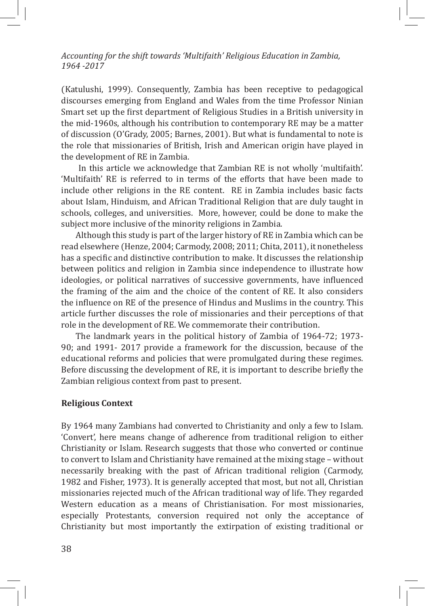(Katulushi, 1999). Consequently, Zambia has been receptive to pedagogical discourses emerging from England and Wales from the time Professor Ninian Smart set up the first department of Religious Studies in a British university in the mid-1960s, although his contribution to contemporary RE may be a matter of discussion (O'Grady, 2005; Barnes, 2001). But what is fundamental to note is the role that missionaries of British, Irish and American origin have played in the development of RE in Zambia.

 In this article we acknowledge that Zambian RE is not wholly 'multifaith'. 'Multifaith' RE is referred to in terms of the efforts that have been made to include other religions in the RE content. RE in Zambia includes basic facts about Islam, Hinduism, and African Traditional Religion that are duly taught in schools, colleges, and universities. More, however, could be done to make the subject more inclusive of the minority religions in Zambia.

Although this study is part of the larger history of RE in Zambia which can be read elsewhere (Henze, 2004; Carmody, 2008; 2011; Chita, 2011), it nonetheless has a specific and distinctive contribution to make. It discusses the relationship between politics and religion in Zambia since independence to illustrate how ideologies, or political narratives of successive governments, have influenced the framing of the aim and the choice of the content of RE. It also considers the influence on RE of the presence of Hindus and Muslims in the country. This article further discusses the role of missionaries and their perceptions of that role in the development of RE. We commemorate their contribution.

The landmark years in the political history of Zambia of 1964-72; 1973- 90; and 1991- 2017 provide a framework for the discussion, because of the educational reforms and policies that were promulgated during these regimes. Before discussing the development of RE, it is important to describe briefly the Zambian religious context from past to present.

# **Religious Context**

By 1964 many Zambians had converted to Christianity and only a few to Islam. 'Convert', here means change of adherence from traditional religion to either Christianity or Islam. Research suggests that those who converted or continue to convert to Islam and Christianity have remained at the mixing stage – without necessarily breaking with the past of African traditional religion (Carmody, 1982 and Fisher, 1973). It is generally accepted that most, but not all, Christian missionaries rejected much of the African traditional way of life. They regarded Western education as a means of Christianisation. For most missionaries, especially Protestants, conversion required not only the acceptance of Christianity but most importantly the extirpation of existing traditional or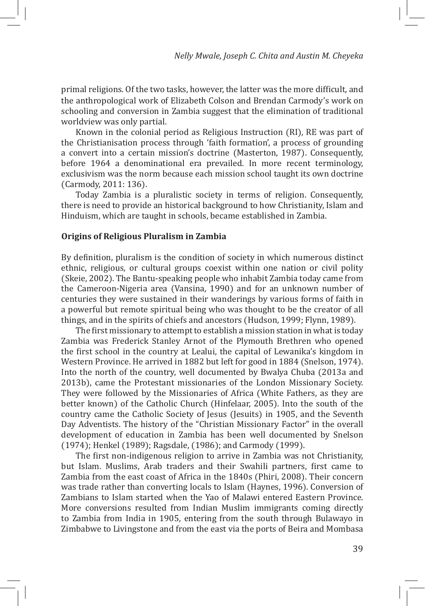primal religions. Of the two tasks, however, the latter was the more difficult, and the anthropological work of Elizabeth Colson and Brendan Carmody's work on schooling and conversion in Zambia suggest that the elimination of traditional worldview was only partial.

Known in the colonial period as Religious Instruction (RI), RE was part of the Christianisation process through 'faith formation', a process of grounding a convert into a certain mission's doctrine (Masterton, 1987). Consequently, before 1964 a denominational era prevailed. In more recent terminology, exclusivism was the norm because each mission school taught its own doctrine (Carmody, 2011: 136).

Today Zambia is a pluralistic society in terms of religion. Consequently, there is need to provide an historical background to how Christianity, Islam and Hinduism, which are taught in schools, became established in Zambia.

# **Origins of Religious Pluralism in Zambia**

By definition, pluralism is the condition of society in which numerous distinct ethnic, religious, or cultural groups coexist within one nation or civil polity (Skeie, 2002). The Bantu-speaking people who inhabit Zambia today came from the Cameroon-Nigeria area (Vansina, 1990) and for an unknown number of centuries they were sustained in their wanderings by various forms of faith in a powerful but remote spiritual being who was thought to be the creator of all things, and in the spirits of chiefs and ancestors (Hudson, 1999; Flynn, 1989).

The first missionary to attempt to establish a mission station in what is today Zambia was Frederick Stanley Arnot of the Plymouth Brethren who opened the first school in the country at Lealui, the capital of Lewanika's kingdom in Western Province. He arrived in 1882 but left for good in 1884 (Snelson, 1974). Into the north of the country, well documented by Bwalya Chuba (2013a and 2013b), came the Protestant missionaries of the London Missionary Society. They were followed by the Missionaries of Africa (White Fathers, as they are better known) of the Catholic Church (Hinfelaar, 2005). Into the south of the country came the Catholic Society of Jesus (Jesuits) in 1905, and the Seventh Day Adventists. The history of the "Christian Missionary Factor" in the overall development of education in Zambia has been well documented by Snelson (1974); Henkel (1989); Ragsdale, (1986); and Carmody (1999).

The first non-indigenous religion to arrive in Zambia was not Christianity, but Islam. Muslims, Arab traders and their Swahili partners, first came to Zambia from the east coast of Africa in the 1840s (Phiri, 2008). Their concern was trade rather than converting locals to Islam (Haynes, 1996). Conversion of Zambians to Islam started when the Yao of Malawi entered Eastern Province. More conversions resulted from Indian Muslim immigrants coming directly to Zambia from India in 1905, entering from the south through Bulawayo in Zimbabwe to Livingstone and from the east via the ports of Beira and Mombasa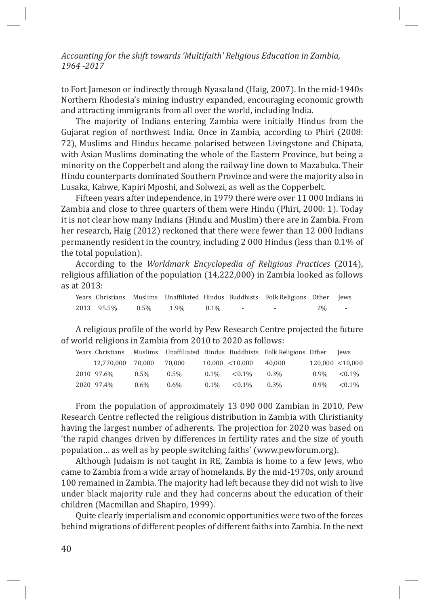to Fort Jameson or indirectly through Nyasaland (Haig, 2007). In the mid-1940s Northern Rhodesia's mining industry expanded, encouraging economic growth and attracting immigrants from all over the world, including India.

The majority of Indians entering Zambia were initially Hindus from the Gujarat region of northwest India. Once in Zambia, according to Phiri (2008: 72), Muslims and Hindus became polarised between Livingstone and Chipata, with Asian Muslims dominating the whole of the Eastern Province, but being a minority on the Copperbelt and along the railway line down to Mazabuka. Their Hindu counterparts dominated Southern Province and were the majority also in Lusaka, Kabwe, Kapiri Mposhi, and Solwezi, as well as the Copperbelt.

Fifteen years after independence, in 1979 there were over 11 000 Indians in Zambia and close to three quarters of them were Hindu (Phiri, 2000: 1). Today it is not clear how many Indians (Hindu and Muslim) there are in Zambia. From her research, Haig (2012) reckoned that there were fewer than 12 000 Indians permanently resident in the country, including 2 000 Hindus (less than 0.1% of the total population).

According to the *Worldmark Encyclopedia of Religious Practices* (2014), religious affiliation of the population (14,222,000) in Zambia looked as follows as at 2013:

|                 |         |         | Years Christians Muslims Unaffiliated Hindus Buddhists Folk Religions Other Jews |    |  |
|-----------------|---------|---------|----------------------------------------------------------------------------------|----|--|
| 2013 95.5% 0.5% | $1.9\%$ | $0.1\%$ |                                                                                  | 2% |  |

A religious profile of the world by Pew Research Centre projected the future of world religions in Zambia from 2010 to 2020 as follows:

| Years Christians  |         |         |         |                 | Muslims Unaffiliated Hindus Buddhists Folk Religions Other |                  | lews      |
|-------------------|---------|---------|---------|-----------------|------------------------------------------------------------|------------------|-----------|
| 12.770.000 70.000 |         | 70.000  |         | 10,000 < 10,000 | 40.000                                                     | 120,000 < 10,000 |           |
| 2010 97.6%        | $0.5\%$ | $0.5\%$ | $0.1\%$ | $< 0.1\%$       | $0.3\%$                                                    | $0.9\%$          | $< 0.1\%$ |
| 2020 97.4%        | $0.6\%$ | $0.6\%$ | $0.1\%$ | $< 0.1\%$       | $0.3\%$                                                    | $0.9\%$          | $< 0.1\%$ |

From the population of approximately 13 090 000 Zambian in 2010, Pew Research Centre reflected the religious distribution in Zambia with Christianity having the largest number of adherents. The projection for 2020 was based on 'the rapid changes driven by differences in fertility rates and the size of youth population… as well as by people switching faiths' (www.pewforum.org).

Although Judaism is not taught in RE, Zambia is home to a few Jews, who came to Zambia from a wide array of homelands. By the mid-1970s, only around 100 remained in Zambia. The majority had left because they did not wish to live under black majority rule and they had concerns about the education of their children (Macmillan and Shapiro, 1999).

Quite clearly imperialism and economic opportunities were two of the forces behind migrations of different peoples of different faiths into Zambia. In the next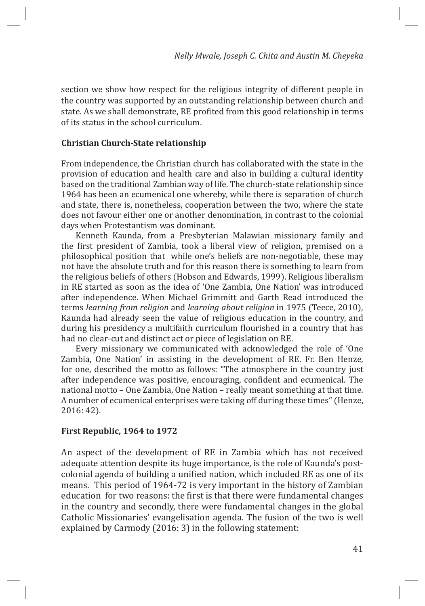section we show how respect for the religious integrity of different people in the country was supported by an outstanding relationship between church and state. As we shall demonstrate, RE profited from this good relationship in terms of its status in the school curriculum.

#### **Christian Church-State relationship**

From independence, the Christian church has collaborated with the state in the provision of education and health care and also in building a cultural identity based on the traditional Zambian way of life. The church-state relationship since 1964 has been an ecumenical one whereby, while there is separation of church and state, there is, nonetheless, cooperation between the two, where the state does not favour either one or another denomination, in contrast to the colonial days when Protestantism was dominant.

Kenneth Kaunda, from a Presbyterian Malawian missionary family and the first president of Zambia, took a liberal view of religion, premised on a philosophical position that while one's beliefs are non-negotiable, these may not have the absolute truth and for this reason there is something to learn from the religious beliefs of others (Hobson and Edwards, 1999). Religious liberalism in RE started as soon as the idea of 'One Zambia, One Nation' was introduced after independence. When Michael Grimmitt and Garth Read introduced the terms *learning from religion* and *learning about religion* in 1975 (Teece, 2010), Kaunda had already seen the value of religious education in the country, and during his presidency a multifaith curriculum flourished in a country that has had no clear-cut and distinct act or piece of legislation on RE.

Every missionary we communicated with acknowledged the role of 'One Zambia, One Nation' in assisting in the development of RE. Fr. Ben Henze, for one, described the motto as follows: "The atmosphere in the country just after independence was positive, encouraging, confident and ecumenical. The national motto – One Zambia, One Nation – really meant something at that time. A number of ecumenical enterprises were taking off during these times" (Henze, 2016: 42).

#### **First Republic, 1964 to 1972**

An aspect of the development of RE in Zambia which has not received adequate attention despite its huge importance, is the role of Kaunda's postcolonial agenda of building a unified nation, which included RE as one of its means. This period of 1964-72 is very important in the history of Zambian education for two reasons: the first is that there were fundamental changes in the country and secondly, there were fundamental changes in the global Catholic Missionaries' evangelisation agenda. The fusion of the two is well explained by Carmody (2016: 3) in the following statement: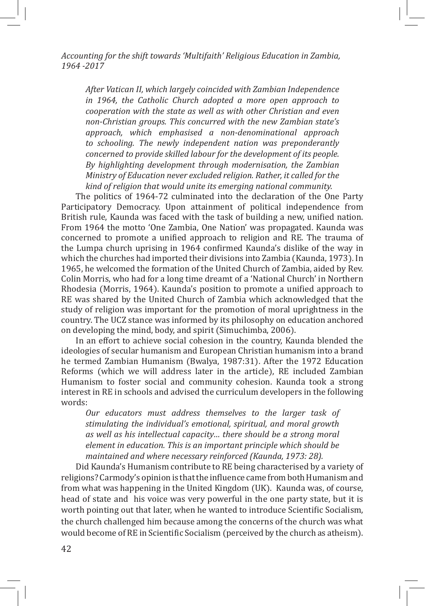*After Vatican II, which largely coincided with Zambian Independence in 1964, the Catholic Church adopted a more open approach to cooperation with the state as well as with other Christian and even non-Christian groups. This concurred with the new Zambian state's approach, which emphasised a non-denominational approach to schooling. The newly independent nation was preponderantly concerned to provide skilled labour for the development of its people. By highlighting development through modernisation, the Zambian Ministry of Education never excluded religion. Rather, it called for the kind of religion that would unite its emerging national community.* 

The politics of 1964-72 culminated into the declaration of the One Party Participatory Democracy. Upon attainment of political independence from British rule, Kaunda was faced with the task of building a new, unified nation. From 1964 the motto 'One Zambia, One Nation' was propagated. Kaunda was concerned to promote a unified approach to religion and RE. The trauma of the Lumpa church uprising in 1964 confirmed Kaunda's dislike of the way in which the churches had imported their divisions into Zambia (Kaunda, 1973). In 1965, he welcomed the formation of the United Church of Zambia, aided by Rev. Colin Morris, who had for a long time dreamt of a 'National Church' in Northern Rhodesia (Morris, 1964). Kaunda's position to promote a unified approach to RE was shared by the United Church of Zambia which acknowledged that the study of religion was important for the promotion of moral uprightness in the country. The UCZ stance was informed by its philosophy on education anchored on developing the mind, body, and spirit (Simuchimba, 2006).

In an effort to achieve social cohesion in the country, Kaunda blended the ideologies of secular humanism and European Christian humanism into a brand he termed Zambian Humanism (Bwalya, 1987:31). After the 1972 Education Reforms (which we will address later in the article), RE included Zambian Humanism to foster social and community cohesion. Kaunda took a strong interest in RE in schools and advised the curriculum developers in the following words:

*Our educators must address themselves to the larger task of stimulating the individual's emotional, spiritual, and moral growth as well as his intellectual capacity… there should be a strong moral element in education. This is an important principle which should be maintained and where necessary reinforced (Kaunda, 1973: 28).* 

Did Kaunda's Humanism contribute to RE being characterised by a variety of religions? Carmody's opinion is that the influence came from both Humanism and from what was happening in the United Kingdom (UK). Kaunda was, of course, head of state and his voice was very powerful in the one party state, but it is worth pointing out that later, when he wanted to introduce Scientific Socialism, the church challenged him because among the concerns of the church was what would become of RE in Scientific Socialism (perceived by the church as atheism).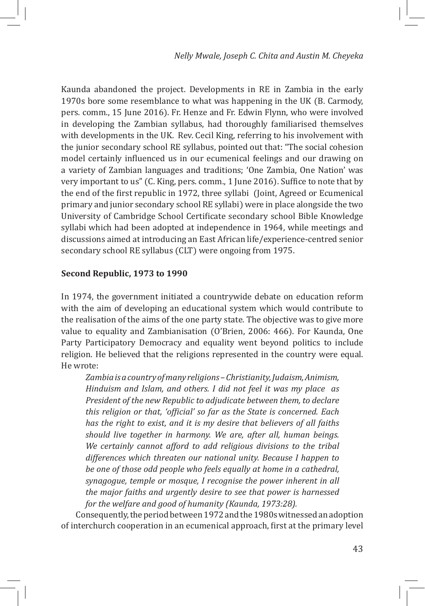Kaunda abandoned the project. Developments in RE in Zambia in the early 1970s bore some resemblance to what was happening in the UK (B. Carmody, pers. comm., 15 June 2016). Fr. Henze and Fr. Edwin Flynn, who were involved in developing the Zambian syllabus, had thoroughly familiarised themselves with developments in the UK. Rev. Cecil King, referring to his involvement with the junior secondary school RE syllabus, pointed out that: "The social cohesion model certainly influenced us in our ecumenical feelings and our drawing on a variety of Zambian languages and traditions; 'One Zambia, One Nation' was very important to us" (C. King, pers. comm., 1 June 2016). Suffice to note that by the end of the first republic in 1972, three syllabi (Joint, Agreed or Ecumenical primary and junior secondary school RE syllabi) were in place alongside the two University of Cambridge School Certificate secondary school Bible Knowledge syllabi which had been adopted at independence in 1964, while meetings and discussions aimed at introducing an East African life/experience-centred senior secondary school RE syllabus (CLT) were ongoing from 1975.

# **Second Republic, 1973 to 1990**

In 1974, the government initiated a countrywide debate on education reform with the aim of developing an educational system which would contribute to the realisation of the aims of the one party state. The objective was to give more value to equality and Zambianisation (O'Brien, 2006: 466). For Kaunda, One Party Participatory Democracy and equality went beyond politics to include religion. He believed that the religions represented in the country were equal. He wrote:

*Zambia is a country of many religions – Christianity, Judaism, Animism, Hinduism and Islam, and others. I did not feel it was my place as President of the new Republic to adjudicate between them, to declare this religion or that, 'official' so far as the State is concerned. Each has the right to exist, and it is my desire that believers of all faiths should live together in harmony. We are, after all, human beings. We certainly cannot afford to add religious divisions to the tribal differences which threaten our national unity. Because I happen to be one of those odd people who feels equally at home in a cathedral, synagogue, temple or mosque, I recognise the power inherent in all the major faiths and urgently desire to see that power is harnessed for the welfare and good of humanity (Kaunda, 1973:28).* 

Consequently, the period between 1972 and the 1980s witnessed an adoption of interchurch cooperation in an ecumenical approach, first at the primary level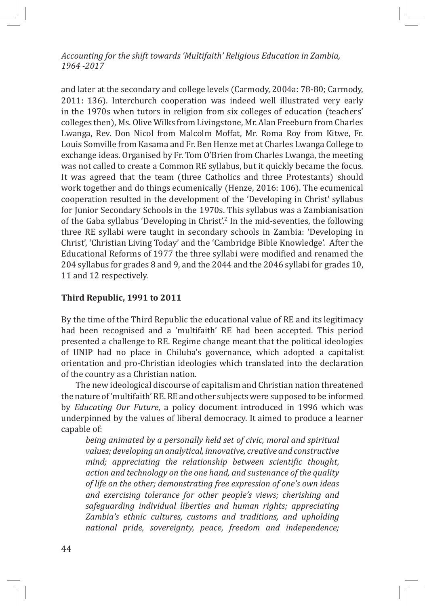and later at the secondary and college levels (Carmody, 2004a: 78-80; Carmody, 2011: 136). Interchurch cooperation was indeed well illustrated very early in the 1970s when tutors in religion from six colleges of education (teachers' colleges then), Ms. Olive Wilks from Livingstone, Mr. Alan Freeburn from Charles Lwanga, Rev. Don Nicol from Malcolm Moffat, Mr. Roma Roy from Kitwe, Fr. Louis Somville from Kasama and Fr. Ben Henze met at Charles Lwanga College to exchange ideas. Organised by Fr. Tom O'Brien from Charles Lwanga, the meeting was not called to create a Common RE syllabus, but it quickly became the focus. It was agreed that the team (three Catholics and three Protestants) should work together and do things ecumenically (Henze, 2016: 106). The ecumenical cooperation resulted in the development of the 'Developing in Christ' syllabus for Junior Secondary Schools in the 1970s. This syllabus was a Zambianisation of the Gaba syllabus 'Developing in Christ'.<sup>2</sup> In the mid-seventies, the following three RE syllabi were taught in secondary schools in Zambia: 'Developing in Christ', 'Christian Living Today' and the 'Cambridge Bible Knowledge'. After the Educational Reforms of 1977 the three syllabi were modified and renamed the 204 syllabus for grades 8 and 9, and the 2044 and the 2046 syllabi for grades 10, 11 and 12 respectively.

# **Third Republic, 1991 to 2011**

By the time of the Third Republic the educational value of RE and its legitimacy had been recognised and a 'multifaith' RE had been accepted. This period presented a challenge to RE. Regime change meant that the political ideologies of UNIP had no place in Chiluba's governance, which adopted a capitalist orientation and pro-Christian ideologies which translated into the declaration of the country as a Christian nation.

The new ideological discourse of capitalism and Christian nation threatened the nature of 'multifaith' RE. RE and other subjects were supposed to be informed by *Educating Our Future*, a policy document introduced in 1996 which was underpinned by the values of liberal democracy. It aimed to produce a learner capable of:

*being animated by a personally held set of civic, moral and spiritual values; developing an analytical, innovative, creative and constructive mind; appreciating the relationship between scientific thought, action and technology on the one hand, and sustenance of the quality of life on the other; demonstrating free expression of one's own ideas and exercising tolerance for other people's views; cherishing and safeguarding individual liberties and human rights; appreciating Zambia's ethnic cultures, customs and traditions, and upholding national pride, sovereignty, peace, freedom and independence;*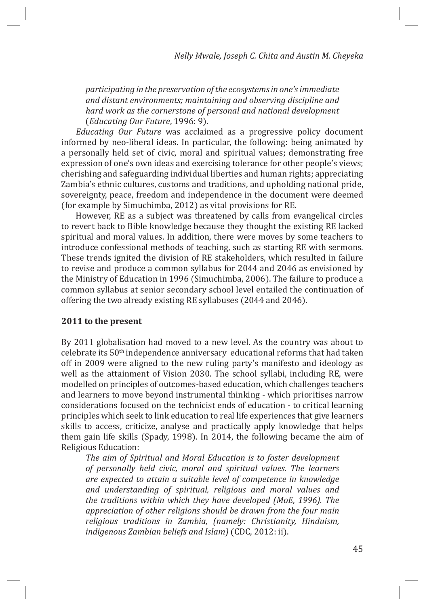*participating in the preservation of the ecosystems in one's immediate and distant environments; maintaining and observing discipline and hard work as the cornerstone of personal and national development* (*Educating Our Future*, 1996: 9).

*Educating Our Future* was acclaimed as a progressive policy document informed by neo-liberal ideas. In particular, the following: being animated by a personally held set of civic, moral and spiritual values; demonstrating free expression of one's own ideas and exercising tolerance for other people's views; cherishing and safeguarding individual liberties and human rights; appreciating Zambia's ethnic cultures, customs and traditions, and upholding national pride, sovereignty, peace, freedom and independence in the document were deemed (for example by Simuchimba, 2012) as vital provisions for RE.

However, RE as a subject was threatened by calls from evangelical circles to revert back to Bible knowledge because they thought the existing RE lacked spiritual and moral values. In addition, there were moves by some teachers to introduce confessional methods of teaching, such as starting RE with sermons. These trends ignited the division of RE stakeholders, which resulted in failure to revise and produce a common syllabus for 2044 and 2046 as envisioned by the Ministry of Education in 1996 (Simuchimba, 2006). The failure to produce a common syllabus at senior secondary school level entailed the continuation of offering the two already existing RE syllabuses (2044 and 2046).

#### **2011 to the present**

By 2011 globalisation had moved to a new level. As the country was about to celebrate its 50th independence anniversary educational reforms that had taken off in 2009 were aligned to the new ruling party's manifesto and ideology as well as the attainment of Vision 2030. The school syllabi, including RE, were modelled on principles of outcomes-based education, which challenges teachers and learners to move beyond instrumental thinking - which prioritises narrow considerations focused on the technicist ends of education - to critical learning principles which seek to link education to real life experiences that give learners skills to access, criticize, analyse and practically apply knowledge that helps them gain life skills (Spady, 1998). In 2014, the following became the aim of Religious Education:

*The aim of Spiritual and Moral Education is to foster development of personally held civic, moral and spiritual values. The learners are expected to attain a suitable level of competence in knowledge and understanding of spiritual, religious and moral values and the traditions within which they have developed (MoE, 1996). The appreciation of other religions should be drawn from the four main religious traditions in Zambia, (namely: Christianity, Hinduism, indigenous Zambian beliefs and Islam)* (CDC, 2012: ii).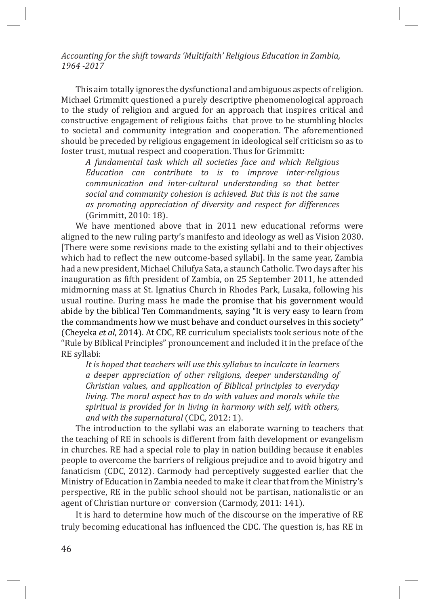This aim totally ignores the dysfunctional and ambiguous aspects of religion. Michael Grimmitt questioned a purely descriptive phenomenological approach to the study of religion and argued for an approach that inspires critical and constructive engagement of religious faiths that prove to be stumbling blocks to societal and community integration and cooperation. The aforementioned should be preceded by religious engagement in ideological self criticism so as to foster trust, mutual respect and cooperation. Thus for Grimmitt:

*A fundamental task which all societies face and which Religious Education can contribute to is to improve inter-religious communication and inter-cultural understanding so that better social and community cohesion is achieved. But this is not the same as promoting appreciation of diversity and respect for differences* (Grimmitt, 2010: 18).

We have mentioned above that in 2011 new educational reforms were aligned to the new ruling party's manifesto and ideology as well as Vision 2030. [There were some revisions made to the existing syllabi and to their objectives which had to reflect the new outcome-based syllabi]. In the same year, Zambia had a new president, Michael Chilufya Sata, a staunch Catholic. Two days after his inauguration as fifth president of Zambia, on 25 September 2011, he attended midmorning mass at St. Ignatius Church in Rhodes Park, Lusaka, following his usual routine. During mass he made the promise that his government would abide by the biblical Ten Commandments, saying "It is very easy to learn from the commandments how we must behave and conduct ourselves in this society" (Cheyeka *et al*, 2014). At CDC, RE curriculum specialists took serious note of the "Rule by Biblical Principles" pronouncement and included it in the preface of the RE syllabi:

*It is hoped that teachers will use this syllabus to inculcate in learners a deeper appreciation of other religions, deeper understanding of Christian values, and application of Biblical principles to everyday living. The moral aspect has to do with values and morals while the spiritual is provided for in living in harmony with self, with others, and with the supernatural* (CDC, 2012: 1).

The introduction to the syllabi was an elaborate warning to teachers that the teaching of RE in schools is different from faith development or evangelism in churches. RE had a special role to play in nation building because it enables people to overcome the barriers of religious prejudice and to avoid bigotry and fanaticism (CDC, 2012). Carmody had perceptively suggested earlier that the Ministry of Education in Zambia needed to make it clear that from the Ministry's perspective, RE in the public school should not be partisan, nationalistic or an agent of Christian nurture or conversion (Carmody, 2011: 141).

It is hard to determine how much of the discourse on the imperative of RE truly becoming educational has influenced the CDC. The question is, has RE in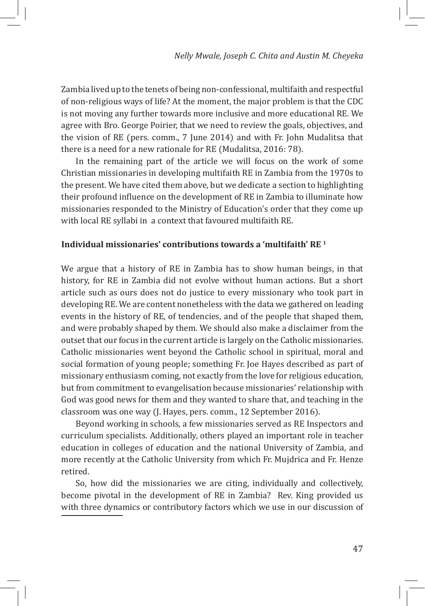Zambia lived up to the tenets of being non-confessional, multifaith and respectful of non-religious ways of life? At the moment, the major problem is that the CDC is not moving any further towards more inclusive and more educational RE. We agree with Bro. George Poirier, that we need to review the goals, objectives, and the vision of RE (pers. comm., 7 June 2014) and with Fr. John Mudalitsa that there is a need for a new rationale for RE (Mudalitsa, 2016: 78).

In the remaining part of the article we will focus on the work of some Christian missionaries in developing multifaith RE in Zambia from the 1970s to the present. We have cited them above, but we dedicate a section to highlighting their profound influence on the development of RE in Zambia to illuminate how missionaries responded to the Ministry of Education's order that they come up with local RE syllabi in a context that favoured multifaith RE.

# **Individual missionaries' contributions towards a 'multifaith' RE 1**

We argue that a history of RE in Zambia has to show human beings, in that history, for RE in Zambia did not evolve without human actions. But a short article such as ours does not do justice to every missionary who took part in developing RE. We are content nonetheless with the data we gathered on leading events in the history of RE, of tendencies, and of the people that shaped them, and were probably shaped by them. We should also make a disclaimer from the outset that our focus in the current article is largely on the Catholic missionaries. Catholic missionaries went beyond the Catholic school in spiritual, moral and social formation of young people; something Fr. Joe Hayes described as part of missionary enthusiasm coming, not exactly from the love for religious education, but from commitment to evangelisation because missionaries' relationship with God was good news for them and they wanted to share that, and teaching in the classroom was one way (J. Hayes, pers. comm., 12 September 2016).

Beyond working in schools, a few missionaries served as RE Inspectors and curriculum specialists. Additionally, others played an important role in teacher education in colleges of education and the national University of Zambia, and more recently at the Catholic University from which Fr. Mujdrica and Fr. Henze retired.

So, how did the missionaries we are citing, individually and collectively, become pivotal in the development of RE in Zambia? Rev. King provided us with three dynamics or contributory factors which we use in our discussion of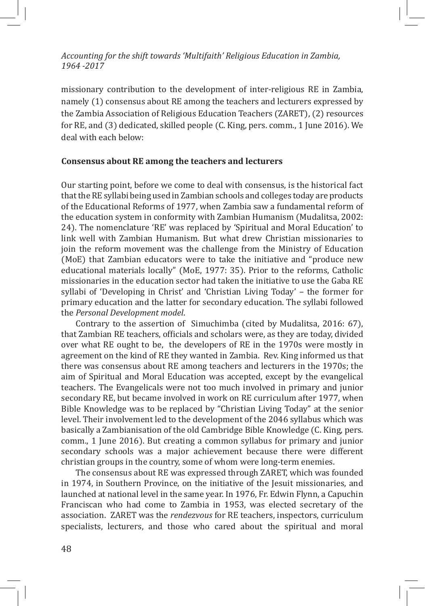missionary contribution to the development of inter-religious RE in Zambia, namely (1) consensus about RE among the teachers and lecturers expressed by the Zambia Association of Religious Education Teachers (ZARET), (2) resources for RE, and (3) dedicated, skilled people (C. King, pers. comm., 1 June 2016). We deal with each below:

#### **Consensus about RE among the teachers and lecturers**

Our starting point, before we come to deal with consensus, is the historical fact that the RE syllabi being used in Zambian schools and colleges today are products of the Educational Reforms of 1977, when Zambia saw a fundamental reform of the education system in conformity with Zambian Humanism (Mudalitsa, 2002: 24). The nomenclature 'RE' was replaced by 'Spiritual and Moral Education' to link well with Zambian Humanism. But what drew Christian missionaries to join the reform movement was the challenge from the Ministry of Education (MoE) that Zambian educators were to take the initiative and "produce new educational materials locally" (MoE, 1977: 35). Prior to the reforms, Catholic missionaries in the education sector had taken the initiative to use the Gaba RE syllabi of 'Developing in Christ' and 'Christian Living Today' – the former for primary education and the latter for secondary education. The syllabi followed the *Personal Development model*.

Contrary to the assertion of Simuchimba (cited by Mudalitsa, 2016: 67), that Zambian RE teachers, officials and scholars were, as they are today, divided over what RE ought to be, the developers of RE in the 1970s were mostly in agreement on the kind of RE they wanted in Zambia. Rev. King informed us that there was consensus about RE among teachers and lecturers in the 1970s; the aim of Spiritual and Moral Education was accepted, except by the evangelical teachers. The Evangelicals were not too much involved in primary and junior secondary RE, but became involved in work on RE curriculum after 1977, when Bible Knowledge was to be replaced by "Christian Living Today" at the senior level. Their involvement led to the development of the 2046 syllabus which was basically a Zambianisation of the old Cambridge Bible Knowledge (C. King, pers. comm., 1 June 2016). But creating a common syllabus for primary and junior secondary schools was a major achievement because there were different christian groups in the country, some of whom were long-term enemies.

The consensus about RE was expressed through ZARET, which was founded in 1974, in Southern Province, on the initiative of the Jesuit missionaries, and launched at national level in the same year. In 1976, Fr. Edwin Flynn, a Capuchin Franciscan who had come to Zambia in 1953, was elected secretary of the association. ZARET was the *rendezvous* for RE teachers, inspectors, curriculum specialists, lecturers, and those who cared about the spiritual and moral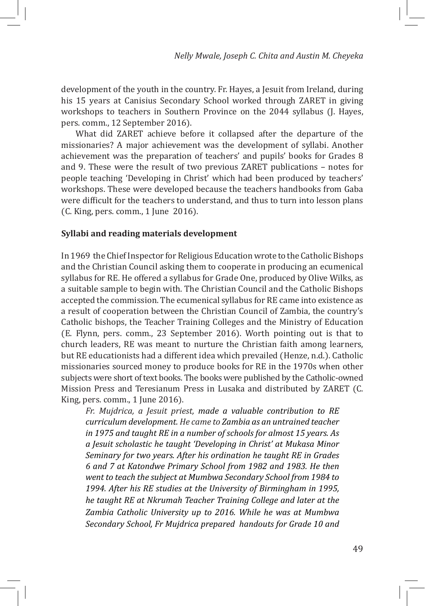development of the youth in the country. Fr. Hayes, a Jesuit from Ireland, during his 15 years at Canisius Secondary School worked through ZARET in giving workshops to teachers in Southern Province on the 2044 syllabus (J. Hayes, pers. comm., 12 September 2016).

What did ZARET achieve before it collapsed after the departure of the missionaries? A major achievement was the development of syllabi. Another achievement was the preparation of teachers' and pupils' books for Grades 8 and 9. These were the result of two previous ZARET publications – notes for people teaching 'Developing in Christ' which had been produced by teachers' workshops. These were developed because the teachers handbooks from Gaba were difficult for the teachers to understand, and thus to turn into lesson plans (C. King, pers. comm., 1 June 2016).

#### **Syllabi and reading materials development**

In 1969 the Chief Inspector for Religious Education wrote to the Catholic Bishops and the Christian Council asking them to cooperate in producing an ecumenical syllabus for RE. He offered a syllabus for Grade One, produced by Olive Wilks, as a suitable sample to begin with. The Christian Council and the Catholic Bishops accepted the commission. The ecumenical syllabus for RE came into existence as a result of cooperation between the Christian Council of Zambia, the country's Catholic bishops, the Teacher Training Colleges and the Ministry of Education (E. Flynn, pers. comm., 23 September 2016). Worth pointing out is that to church leaders, RE was meant to nurture the Christian faith among learners, but RE educationists had a different idea which prevailed (Henze, n.d.). Catholic missionaries sourced money to produce books for RE in the 1970s when other subjects were short of text books. The books were published by the Catholic-owned Mission Press and Teresianum Press in Lusaka and distributed by ZARET (C. King, pers. comm., 1 June 2016).

*Fr. Mujdrica, a Jesuit priest, made a valuable contribution to RE curriculum development. He came to Zambia as an untrained teacher in 1975 and taught RE in a number of schools for almost 15 years. As a Jesuit scholastic he taught 'Developing in Christ' at Mukasa Minor Seminary for two years. After his ordination he taught RE in Grades 6 and 7 at Katondwe Primary School from 1982 and 1983. He then went to teach the subject at Mumbwa Secondary School from 1984 to 1994. After his RE studies at the University of Birmingham in 1995, he taught RE at Nkrumah Teacher Training College and later at the Zambia Catholic University up to 2016. While he was at Mumbwa Secondary School, Fr Mujdrica prepared handouts for Grade 10 and*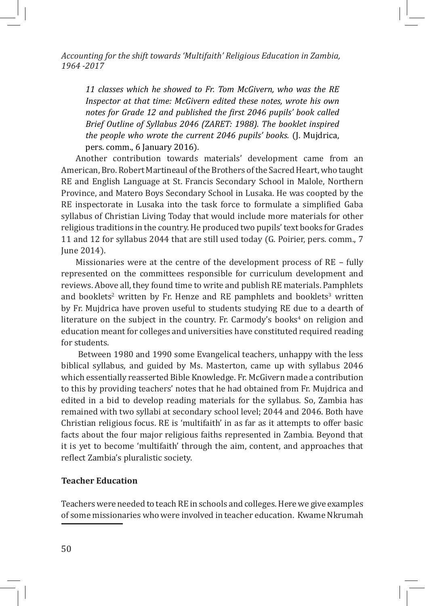*11 classes which he showed to Fr. Tom McGivern, who was the RE Inspector at that time: McGivern edited these notes, wrote his own notes for Grade 12 and published the first 2046 pupils' book called Brief Outline of Syllabus 2046 (ZARET: 1988). The booklet inspired the people who wrote the current 2046 pupils' books.* (J. Mujdrica, pers. comm., 6 January 2016).

Another contribution towards materials' development came from an American, Bro. Robert Martineaul of the Brothers of the Sacred Heart, who taught RE and English Language at St. Francis Secondary School in Malole, Northern Province, and Matero Boys Secondary School in Lusaka. He was coopted by the RE inspectorate in Lusaka into the task force to formulate a simplified Gaba syllabus of Christian Living Today that would include more materials for other religious traditions in the country. He produced two pupils' text books for Grades 11 and 12 for syllabus 2044 that are still used today (G. Poirier, pers. comm., 7 June 2014).

Missionaries were at the centre of the development process of RE – fully represented on the committees responsible for curriculum development and reviews. Above all, they found time to write and publish RE materials. Pamphlets and booklets<sup>2</sup> written by Fr. Henze and RE pamphlets and booklets<sup>3</sup> written by Fr. Mujdrica have proven useful to students studying RE due to a dearth of literature on the subject in the country. Fr. Carmody's books<sup>4</sup> on religion and education meant for colleges and universities have constituted required reading for students.

 Between 1980 and 1990 some Evangelical teachers, unhappy with the less biblical syllabus, and guided by Ms. Masterton, came up with syllabus 2046 which essentially reasserted Bible Knowledge. Fr. McGivern made a contribution to this by providing teachers' notes that he had obtained from Fr. Mujdrica and edited in a bid to develop reading materials for the syllabus. So, Zambia has remained with two syllabi at secondary school level; 2044 and 2046. Both have Christian religious focus. RE is 'multifaith' in as far as it attempts to offer basic facts about the four major religious faiths represented in Zambia. Beyond that it is yet to become 'multifaith' through the aim, content, and approaches that reflect Zambia's pluralistic society.

# **Teacher Education**

Teachers were needed to teach RE in schools and colleges. Here we give examples of some missionaries who were involved in teacher education. Kwame Nkrumah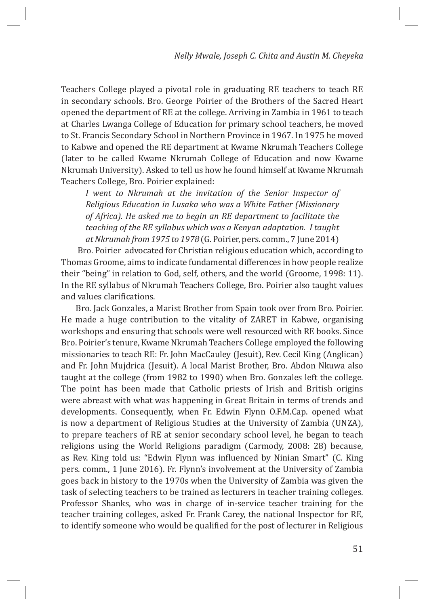Teachers College played a pivotal role in graduating RE teachers to teach RE in secondary schools. Bro. George Poirier of the Brothers of the Sacred Heart opened the department of RE at the college. Arriving in Zambia in 1961 to teach at Charles Lwanga College of Education for primary school teachers, he moved to St. Francis Secondary School in Northern Province in 1967. In 1975 he moved to Kabwe and opened the RE department at Kwame Nkrumah Teachers College (later to be called Kwame Nkrumah College of Education and now Kwame Nkrumah University). Asked to tell us how he found himself at Kwame Nkrumah Teachers College, Bro. Poirier explained:

*I went to Nkrumah at the invitation of the Senior Inspector of Religious Education in Lusaka who was a White Father (Missionary of Africa). He asked me to begin an RE department to facilitate the teaching of the RE syllabus which was a Kenyan adaptation. I taught at Nkrumah from 1975 to 1978* (G. Poirier, pers. comm., 7 June 2014)

 Bro. Poirier advocated for Christian religious education which, according to Thomas Groome, aims to indicate fundamental differences in how people realize their "being" in relation to God, self, others, and the world (Groome, 1998: 11). In the RE syllabus of Nkrumah Teachers College, Bro. Poirier also taught values and values clarifications.

Bro. Jack Gonzales, a Marist Brother from Spain took over from Bro. Poirier. He made a huge contribution to the vitality of ZARET in Kabwe, organising workshops and ensuring that schools were well resourced with RE books. Since Bro. Poirier's tenure, Kwame Nkrumah Teachers College employed the following missionaries to teach RE: Fr. John MacCauley (Jesuit), Rev. Cecil King (Anglican) and Fr. John Mujdrica (Jesuit). A local Marist Brother, Bro. Abdon Nkuwa also taught at the college (from 1982 to 1990) when Bro. Gonzales left the college. The point has been made that Catholic priests of Irish and British origins were abreast with what was happening in Great Britain in terms of trends and developments. Consequently, when Fr. Edwin Flynn O.F.M.Cap. opened what is now a department of Religious Studies at the University of Zambia (UNZA), to prepare teachers of RE at senior secondary school level, he began to teach religions using the World Religions paradigm (Carmody, 2008: 28) because, as Rev. King told us: "Edwin Flynn was influenced by Ninian Smart" (C. King pers. comm., 1 June 2016). Fr. Flynn's involvement at the University of Zambia goes back in history to the 1970s when the University of Zambia was given the task of selecting teachers to be trained as lecturers in teacher training colleges. Professor Shanks, who was in charge of in-service teacher training for the teacher training colleges, asked Fr. Frank Carey, the national Inspector for RE, to identify someone who would be qualified for the post of lecturer in Religious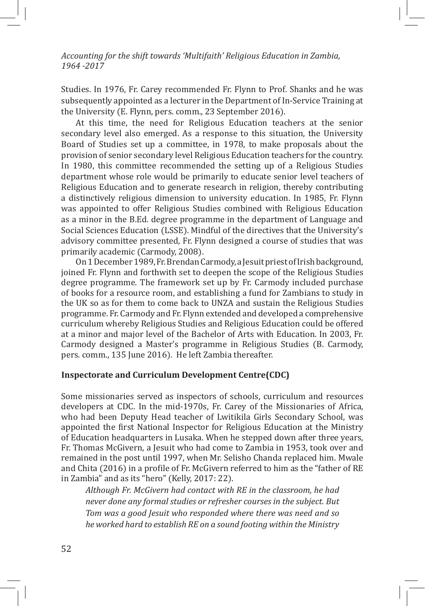Studies. In 1976, Fr. Carey recommended Fr. Flynn to Prof. Shanks and he was subsequently appointed as a lecturer in the Department of In-Service Training at the University (E. Flynn, pers. comm., 23 September 2016).

At this time, the need for Religious Education teachers at the senior secondary level also emerged. As a response to this situation, the University Board of Studies set up a committee, in 1978, to make proposals about the provision of senior secondary level Religious Education teachers for the country. In 1980, this committee recommended the setting up of a Religious Studies department whose role would be primarily to educate senior level teachers of Religious Education and to generate research in religion, thereby contributing a distinctively religious dimension to university education. In 1985, Fr. Flynn was appointed to offer Religious Studies combined with Religious Education as a minor in the B.Ed. degree programme in the department of Language and Social Sciences Education (LSSE). Mindful of the directives that the University's advisory committee presented, Fr. Flynn designed a course of studies that was primarily academic (Carmody, 2008).

On 1 December 1989, Fr. Brendan Carmody, a Jesuit priest of Irish background, joined Fr. Flynn and forthwith set to deepen the scope of the Religious Studies degree programme. The framework set up by Fr. Carmody included purchase of books for a resource room, and establishing a fund for Zambians to study in the UK so as for them to come back to UNZA and sustain the Religious Studies programme. Fr. Carmody and Fr. Flynn extended and developed a comprehensive curriculum whereby Religious Studies and Religious Education could be offered at a minor and major level of the Bachelor of Arts with Education. In 2003, Fr. Carmody designed a Master's programme in Religious Studies (B. Carmody, pers. comm., 135 June 2016). He left Zambia thereafter.

#### **Inspectorate and Curriculum Development Centre(CDC)**

Some missionaries served as inspectors of schools, curriculum and resources developers at CDC. In the mid-1970s, Fr. Carey of the Missionaries of Africa, who had been Deputy Head teacher of Lwitikila Girls Secondary School, was appointed the first National Inspector for Religious Education at the Ministry of Education headquarters in Lusaka. When he stepped down after three years, Fr. Thomas McGivern, a Jesuit who had come to Zambia in 1953, took over and remained in the post until 1997, when Mr. Selisho Chanda replaced him. Mwale and Chita (2016) in a profile of Fr. McGivern referred to him as the "father of RE in Zambia" and as its "hero" (Kelly, 2017: 22).

*Although Fr. McGivern had contact with RE in the classroom, he had never done any formal studies or refresher courses in the subject. But Tom was a good Jesuit who responded where there was need and so he worked hard to establish RE on a sound footing within the Ministry*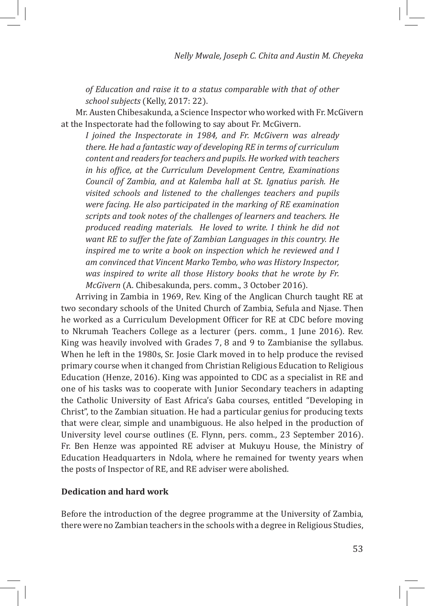*of Education and raise it to a status comparable with that of other school subjects* (Kelly, 2017: 22).

Mr. Austen Chibesakunda, a Science Inspector who worked with Fr. McGivern at the Inspectorate had the following to say about Fr. McGivern.

*I joined the Inspectorate in 1984, and Fr. McGivern was already there. He had a fantastic way of developing RE in terms of curriculum content and readers for teachers and pupils. He worked with teachers in his office, at the Curriculum Development Centre, Examinations Council of Zambia, and at Kalemba hall at St. Ignatius parish. He visited schools and listened to the challenges teachers and pupils were facing. He also participated in the marking of RE examination scripts and took notes of the challenges of learners and teachers. He produced reading materials. He loved to write. I think he did not want RE to suffer the fate of Zambian Languages in this country. He inspired me to write a book on inspection which he reviewed and I am convinced that Vincent Marko Tembo, who was History Inspector, was inspired to write all those History books that he wrote by Fr. McGivern* (A. Chibesakunda, pers. comm., 3 October 2016).

Arriving in Zambia in 1969, Rev. King of the Anglican Church taught RE at two secondary schools of the United Church of Zambia, Sefula and Njase. Then he worked as a Curriculum Development Officer for RE at CDC before moving to Nkrumah Teachers College as a lecturer (pers. comm., 1 June 2016). Rev. King was heavily involved with Grades 7, 8 and 9 to Zambianise the syllabus. When he left in the 1980s, Sr. Josie Clark moved in to help produce the revised primary course when it changed from Christian Religious Education to Religious Education (Henze, 2016). King was appointed to CDC as a specialist in RE and one of his tasks was to cooperate with Junior Secondary teachers in adapting the Catholic University of East Africa's Gaba courses, entitled "Developing in Christ", to the Zambian situation. He had a particular genius for producing texts that were clear, simple and unambiguous. He also helped in the production of University level course outlines (E. Flynn, pers. comm., 23 September 2016). Fr. Ben Henze was appointed RE adviser at Mukuyu House, the Ministry of Education Headquarters in Ndola, where he remained for twenty years when the posts of Inspector of RE, and RE adviser were abolished.

# **Dedication and hard work**

Before the introduction of the degree programme at the University of Zambia, there were no Zambian teachers in the schools with a degree in Religious Studies,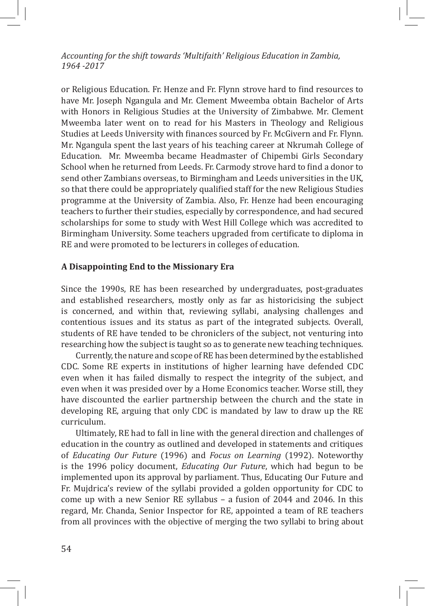or Religious Education. Fr. Henze and Fr. Flynn strove hard to find resources to have Mr. Joseph Ngangula and Mr. Clement Mweemba obtain Bachelor of Arts with Honors in Religious Studies at the University of Zimbabwe. Mr. Clement Mweemba later went on to read for his Masters in Theology and Religious Studies at Leeds University with finances sourced by Fr. McGivern and Fr. Flynn. Mr. Ngangula spent the last years of his teaching career at Nkrumah College of Education. Mr. Mweemba became Headmaster of Chipembi Girls Secondary School when he returned from Leeds. Fr. Carmody strove hard to find a donor to send other Zambians overseas, to Birmingham and Leeds universities in the UK, so that there could be appropriately qualified staff for the new Religious Studies programme at the University of Zambia. Also, Fr. Henze had been encouraging teachers to further their studies, especially by correspondence, and had secured scholarships for some to study with West Hill College which was accredited to Birmingham University. Some teachers upgraded from certificate to diploma in RE and were promoted to be lecturers in colleges of education.

#### **A Disappointing End to the Missionary Era**

Since the 1990s, RE has been researched by undergraduates, post-graduates and established researchers, mostly only as far as historicising the subject is concerned, and within that, reviewing syllabi, analysing challenges and contentious issues and its status as part of the integrated subjects. Overall, students of RE have tended to be chroniclers of the subject, not venturing into researching how the subject is taught so as to generate new teaching techniques.

Currently, the nature and scope of RE has been determined by the established CDC. Some RE experts in institutions of higher learning have defended CDC even when it has failed dismally to respect the integrity of the subject, and even when it was presided over by a Home Economics teacher. Worse still, they have discounted the earlier partnership between the church and the state in developing RE, arguing that only CDC is mandated by law to draw up the RE curriculum.

Ultimately, RE had to fall in line with the general direction and challenges of education in the country as outlined and developed in statements and critiques of *Educating Our Future* (1996) and *Focus on Learning* (1992). Noteworthy is the 1996 policy document, *Educating Our Future*, which had begun to be implemented upon its approval by parliament. Thus, Educating Our Future and Fr. Mujdrica's review of the syllabi provided a golden opportunity for CDC to come up with a new Senior RE syllabus – a fusion of 2044 and 2046. In this regard, Mr. Chanda, Senior Inspector for RE, appointed a team of RE teachers from all provinces with the objective of merging the two syllabi to bring about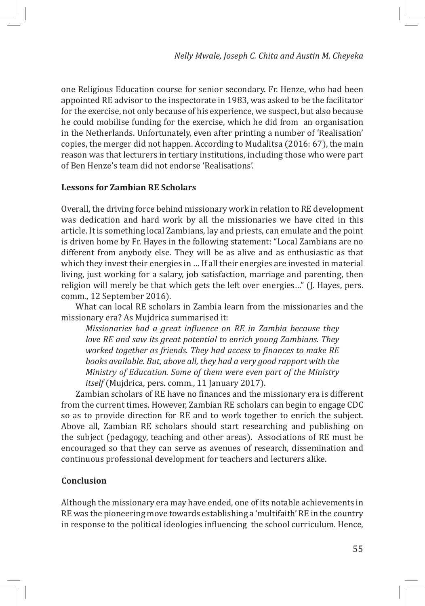one Religious Education course for senior secondary. Fr. Henze, who had been appointed RE advisor to the inspectorate in 1983, was asked to be the facilitator for the exercise, not only because of his experience, we suspect, but also because he could mobilise funding for the exercise, which he did from an organisation in the Netherlands. Unfortunately, even after printing a number of 'Realisation' copies, the merger did not happen. According to Mudalitsa (2016: 67), the main reason was that lecturers in tertiary institutions, including those who were part of Ben Henze's team did not endorse 'Realisations'.

# **Lessons for Zambian RE Scholars**

Overall, the driving force behind missionary work in relation to RE development was dedication and hard work by all the missionaries we have cited in this article. It is something local Zambians, lay and priests, can emulate and the point is driven home by Fr. Hayes in the following statement: "Local Zambians are no different from anybody else. They will be as alive and as enthusiastic as that which they invest their energies in … If all their energies are invested in material living, just working for a salary, job satisfaction, marriage and parenting, then religion will merely be that which gets the left over energies…" (J. Hayes, pers. comm., 12 September 2016).

What can local RE scholars in Zambia learn from the missionaries and the missionary era? As Mujdrica summarised it:

*Missionaries had a great influence on RE in Zambia because they love RE and saw its great potential to enrich young Zambians. They worked together as friends. They had access to finances to make RE books available. But, above all, they had a very good rapport with the Ministry of Education. Some of them were even part of the Ministry itself* (Mujdrica, pers. comm., 11 January 2017).

Zambian scholars of RE have no finances and the missionary era is different from the current times. However, Zambian RE scholars can begin to engage CDC so as to provide direction for RE and to work together to enrich the subject. Above all, Zambian RE scholars should start researching and publishing on the subject (pedagogy, teaching and other areas). Associations of RE must be encouraged so that they can serve as avenues of research, dissemination and continuous professional development for teachers and lecturers alike.

# **Conclusion**

Although the missionary era may have ended, one of its notable achievements in RE was the pioneering move towards establishing a 'multifaith' RE in the country in response to the political ideologies influencing the school curriculum. Hence,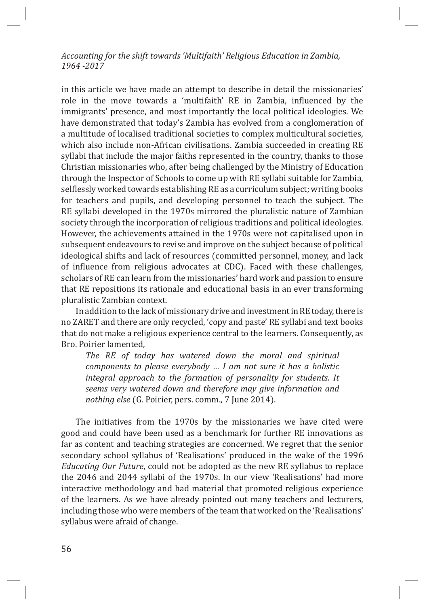in this article we have made an attempt to describe in detail the missionaries' role in the move towards a 'multifaith' RE in Zambia, influenced by the immigrants' presence, and most importantly the local political ideologies. We have demonstrated that today's Zambia has evolved from a conglomeration of a multitude of localised traditional societies to complex multicultural societies, which also include non-African civilisations. Zambia succeeded in creating RE syllabi that include the major faiths represented in the country, thanks to those Christian missionaries who, after being challenged by the Ministry of Education through the Inspector of Schools to come up with RE syllabi suitable for Zambia, selflessly worked towards establishing RE as a curriculum subject; writing books for teachers and pupils, and developing personnel to teach the subject. The RE syllabi developed in the 1970s mirrored the pluralistic nature of Zambian society through the incorporation of religious traditions and political ideologies. However, the achievements attained in the 1970s were not capitalised upon in subsequent endeavours to revise and improve on the subject because of political ideological shifts and lack of resources (committed personnel, money, and lack of influence from religious advocates at CDC). Faced with these challenges, scholars of RE can learn from the missionaries' hard work and passion to ensure that RE repositions its rationale and educational basis in an ever transforming pluralistic Zambian context.

In addition to the lack of missionary drive and investment in RE today, there is no ZARET and there are only recycled, 'copy and paste' RE syllabi and text books that do not make a religious experience central to the learners. Consequently, as Bro. Poirier lamented,

*The RE of today has watered down the moral and spiritual components to please everybody … I am not sure it has a holistic integral approach to the formation of personality for students. It seems very watered down and therefore may give information and nothing else* (G. Poirier, pers. comm., 7 June 2014).

The initiatives from the 1970s by the missionaries we have cited were good and could have been used as a benchmark for further RE innovations as far as content and teaching strategies are concerned. We regret that the senior secondary school syllabus of 'Realisations' produced in the wake of the 1996 *Educating Our Future*, could not be adopted as the new RE syllabus to replace the 2046 and 2044 syllabi of the 1970s. In our view 'Realisations' had more interactive methodology and had material that promoted religious experience of the learners. As we have already pointed out many teachers and lecturers, including those who were members of the team that worked on the 'Realisations' syllabus were afraid of change.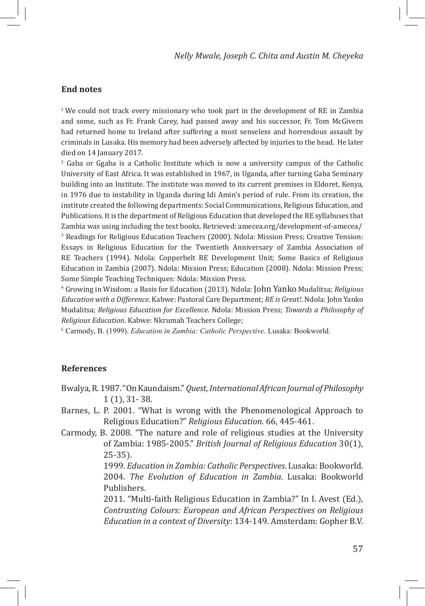# **End notes**

<sup>1</sup> We could not track every missionary who took part in the development of RE in Zambia and some, such as Fr. Frank Carey, had passed away and his successor, Fr. Tom McGivern had returned home to Ireland after suffering a most senseless and horrendous assault by criminals in Lusaka. His memory had been adversely affected by injuries to the head. He later died on 14 January 2017.

2 Gaba or Ggaba is a Catholic Institute which is now a university campus of the Catholic University of East Africa. It was established in 1967, in Uganda, after turning Gaba Seminary building into an Institute. The institute was moved to its current premises in Eldoret, Kenya, in 1976 due to instability in Uganda during Idi Amin's period of rule. From its creation, the institute created the following departments: Social Communications, Religious Education, and Publications. It is the department of Religious Education that developed the RE syllabuses that Zambia was using including the text books. Retrieved: amecea.org/development-of-amecea/ 3 Readings for Religious Education Teachers (2000). Ndola: Mission Press; Creative Tension: Essays in Religious Education for the Twentieth Anniversary of Zambia Association of RE Teachers (1994). Ndola: Copperbelt RE Development Unit; Some Basics of Religious Education in Zambia (2007). Ndola: Mission Press; Education (2008). Ndola: Mission Press; Some Simple Teaching Techniques: Ndola: Mission Press.

4 Growing in Wisdom: a Basis for Education (2013). Ndola: John Yanko Mudalitsa; *Religious Education with a Difference*. Kabwe: Pastoral Care Department; *RE is Great!*. Ndola: John Yanko Mudalitsa; *Religious Education for Excellence*. Ndola: Mission Press; *Towards a Philosophy of Religious Education*. Kabwe: Nkrumah Teachers College;

<sup>5</sup> Carmody, B. (1999). *Education in Zambia: Catholic Perspective*. Lusaka: Bookworld.

#### **References**

- Bwalya, R. 1987. "On Kaundaism." *Quest, International African Journal of Philosophy* 1 (1), 31- 38.
- Barnes, L. P. 2001. "What is wrong with the Phenomenological Approach to Religious Education?" *Religious Education*. 66, 445-461.
- Carmody, B. 2008. "The nature and role of religious studies at the University of Zambia: 1985-2005." *British Journal of Religious Education* 30(1), 25-35).

1999. *Education in Zambia: Catholic Perspectives*. Lusaka: Bookworld. 2004. *The Evolution of Education in Zambia*. Lusaka: Bookworld Publishers.

2011. "Multi-faith Religious Education in Zambia?" In I. Avest (Ed.), *Contrasting Colours: European and African Perspectives on Religious Education in a context of Diversity*: 134-149. Amsterdam: Gopher B.V.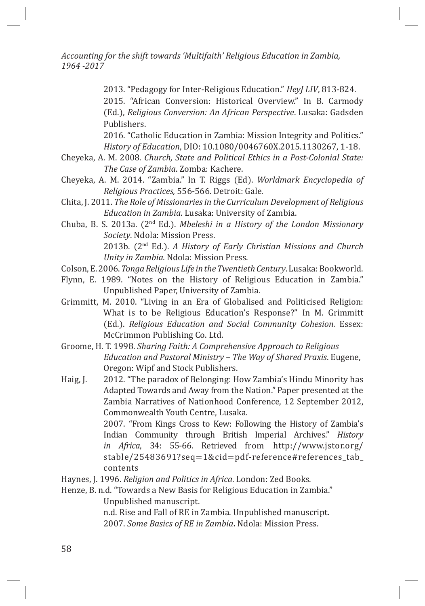> 2013. "Pedagogy for Inter-Religious Education." *HeyJ LIV*, 813-824. 2015. "African Conversion: Historical Overview." In B. Carmody (Ed.), *Religious Conversion: An African Perspective*. Lusaka: Gadsden Publishers.

> 2016. "Catholic Education in Zambia: Mission Integrity and Politics." *History of Education*, DIO: 10.1080/0046760X.2015.1130267, 1-18.

- Cheyeka, A. M. 2008. *Church, State and Political Ethics in a Post-Colonial State: The Case of Zambia*. Zomba: Kachere.
- Cheyeka, A. M. 2014. "Zambia." In T. Riggs (Ed). *Worldmark Encyclopedia of Religious Practices,* 556-566. Detroit: Gale.
- Chita, J. 2011. *The Role of Missionaries in the Curriculum Development of Religious Education in Zambia.* Lusaka: University of Zambia.
- Chuba, B. S. 2013a. (2nd Ed.). *Mbeleshi in a History of the London Missionary Society*. Ndola: Mission Press. 2013b. (2nd Ed.). *A History of Early Christian Missions and Church Unity in Zambia.* Ndola: Mission Press.
- Colson, E. 2006. *Tonga Religious Life in the Twentieth Century*. Lusaka: Bookworld.
- Flynn, E. 1989. "Notes on the History of Religious Education in Zambia." Unpublished Paper, University of Zambia.
- Grimmitt, M. 2010. "Living in an Era of Globalised and Politicised Religion: What is to be Religious Education's Response?" In M. Grimmitt (Ed.). *Religious Education and Social Community Cohesion*. Essex: McCrimmon Publishing Co. Ltd.
- Groome, H. T. 1998. *Sharing Faith: A Comprehensive Approach to Religious Education and Pastoral Ministry – The Way of Shared Praxis*. Eugene, Oregon: Wipf and Stock Publishers.
- Haig, J. 2012. "The paradox of Belonging: How Zambia's Hindu Minority has Adapted Towards and Away from the Nation." Paper presented at the Zambia Narratives of Nationhood Conference, 12 September 2012, Commonwealth Youth Centre, Lusaka. 2007. "From Kings Cross to Kew: Following the History of Zambia's

Indian Community through British Imperial Archives." *History in Africa*, 34: 55-66. Retrieved from http://www.jstor.org/ stable/25483691?seq=1&cid=pdf-reference#references\_tab\_ contents

Haynes, J. 1996. *Religion and Politics in Africa*. London: Zed Books.

Henze, B. n.d. "Towards a New Basis for Religious Education in Zambia."

Unpublished manuscript.

n.d. Rise and Fall of RE in Zambia. Unpublished manuscript. 2007. *Some Basics of RE in Zambia***.** Ndola: Mission Press.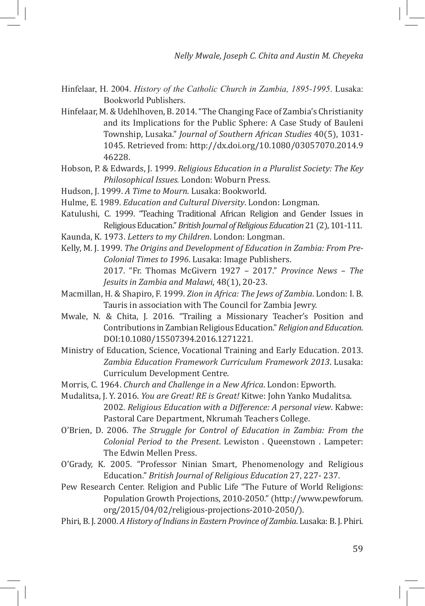- Hinfelaar, H. 2004. *History of the Catholic Church in Zambia, 1895-1995*. Lusaka: Bookworld Publishers.
- Hinfelaar, M. & Udehlhoven, B. 2014. "The Changing Face of Zambia's Christianity and its Implications for the Public Sphere: A Case Study of Bauleni Township, Lusaka." *Journal of Southern African Studies* 40(5), 1031- 1045. Retrieved from: http://dx.doi.org/10.1080/03057070.2014.9 46228.
- Hobson, P. & Edwards, J. 1999. *Religious Education in a Pluralist Society: The Key Philosophical Issues.* London: Woburn Press.
- Hudson, J. 1999. *A Time to Mourn*. Lusaka: Bookworld.
- Hulme, E. 1989. *Education and Cultural Diversity*. London: Longman.
- Katulushi, C. 1999. "Teaching Traditional African Religion and Gender Issues in Religious Education." *British Journal of Religious Education* 21 (2), 101-111.
- Kaunda, K. 1973. *Letters to my Children*. London: Longman.
- Kelly, M. J. 1999. *The Origins and Development of Education in Zambia: From Pre-Colonial Times to 1996*. Lusaka: Image Publishers. 2017. "Fr. Thomas McGivern 1927 – 2017." *Province News – The Jesuits in Zambia and Malawi*, 48(1), 20-23.
- Macmillan, H. & Shapiro, F. 1999. *Zion in Africa: The Jews of Zambia*. London: I. B. Tauris in association with The Council for Zambia Jewry.
- Mwale, N. & Chita, J. 2016. "Trailing a Missionary Teacher's Position and Contributions in Zambian Religious Education." *Religion and Education*. DOI:10.1080/15507394.2016.1271221.
- Ministry of Education, Science, Vocational Training and Early Education. 2013. *Zambia Education Framework Curriculum Framework 2013*. Lusaka: Curriculum Development Centre.
- Morris, C. 1964. *Church and Challenge in a New Africa*. London: Epworth.
- Mudalitsa, J. Y. 2016. *You are Great! RE is Great!* Kitwe: John Yanko Mudalitsa. 2002. *Religious Education with a Difference: A personal view*. Kabwe: Pastoral Care Department, Nkrumah Teachers College.
- O'Brien, D. 2006. *The Struggle for Control of Education in Zambia: From the Colonial Period to the Present*. Lewiston . Queenstown . Lampeter: The Edwin Mellen Press.
- O'Grady, K. 2005. "Professor Ninian Smart, Phenomenology and Religious Education." *British Journal of Religious Education* 27, 227- 237.
- Pew Research Center. Religion and Public Life "The Future of World Religions: Population Growth Projections, 2010-2050." (http://www.pewforum. org/2015/04/02/religious-projections-2010-2050/).
- Phiri, B. J. 2000. *A History of Indians in Eastern Province of Zambia*. Lusaka: B. J. Phiri.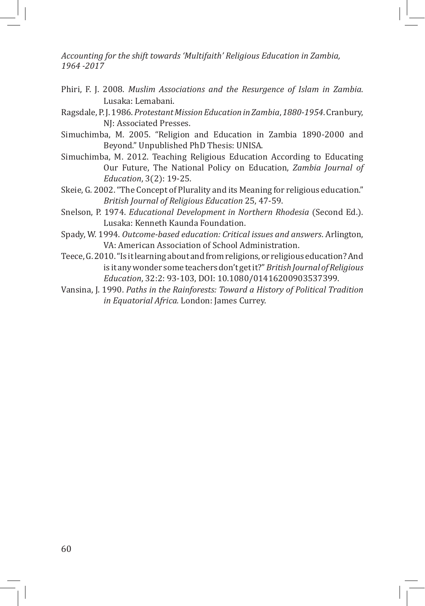- Phiri, F. J. 2008. *Muslim Associations and the Resurgence of Islam in Zambia*. Lusaka: Lemabani.
- Ragsdale, P. J. 1986. *Protestant Mission Education in Zambia*, *1880-1954*. Cranbury, NJ: Associated Presses.
- Simuchimba, M. 2005. "Religion and Education in Zambia 1890-2000 and Beyond." Unpublished PhD Thesis: UNISA.
- Simuchimba, M. 2012. Teaching Religious Education According to Educating Our Future, The National Policy on Education, *Zambia Journal of Education*, 3(2): 19-25.
- Skeie, G. 2002. "The Concept of Plurality and its Meaning for religious education." *British Journal of Religious Education* 25, 47-59.
- Snelson, P. 1974. *Educational Development in Northern Rhodesia* (Second Ed.). Lusaka: Kenneth Kaunda Foundation.
- Spady, W. 1994. *Outcome-based education: Critical issues and answers*. Arlington, VA: American Association of School Administration.
- Teece, G. 2010. "Is it learning about and from religions, or religious education? And is it any wonder some teachers don't get it?" *British Journal of Religious Education*, 32:2: 93-103, DOI: 10.1080/01416200903537399.
- Vansina, J. 1990. *Paths in the Rainforests: Toward a History of Political Tradition in Equatorial Africa.* London: James Currey.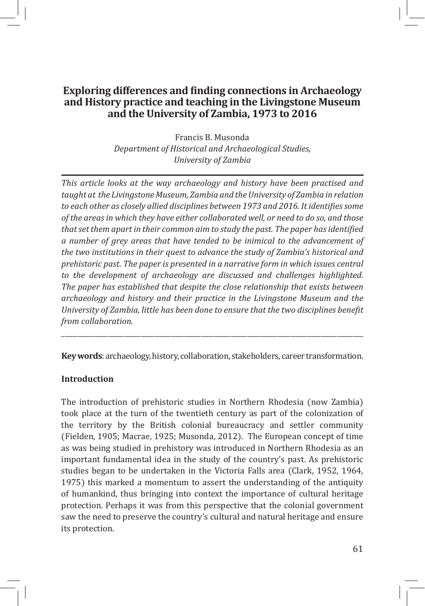# **Exploring differences and finding connections in Archaeology and History practice and teaching in the Livingstone Museum and the University of Zambia, 1973 to 2016**

Francis B. Musonda *Department of Historical and Archaeological Studies, University of Zambia*

*This article looks at the way archaeology and history have been practised and taught at the Livingstone Museum, Zambia and the University of Zambia in relation to each other as closely allied disciplines between 1973 and 2016. It identifies some of the areas in which they have either collaborated well, or need to do so, and those that set them apart in their common aim to study the past. The paper has identified a number of grey areas that have tended to be inimical to the advancement of the two institutions in their quest to advance the study of Zambia's historical and prehistoric past. The paper is presented in a narrative form in which issues central to the development of archaeology are discussed and challenges highlighted. The paper has established that despite the close relationship that exists between archaeology and history and their practice in the Livingstone Museum and the University of Zambia, little has been done to ensure that the two disciplines benefit from collaboration.*

**Key words**: archaeology, history, collaboration, stakeholders, career transformation.

\_\_\_\_\_\_\_\_\_\_\_\_\_\_\_\_\_\_\_\_\_\_\_\_\_\_\_\_\_\_\_\_\_\_\_\_\_\_\_\_\_\_\_\_\_\_\_\_\_\_\_\_\_\_\_\_\_\_\_\_\_\_\_\_\_\_\_\_\_\_\_\_\_\_\_\_\_\_\_\_\_\_\_\_\_\_\_\_\_\_\_

# **Introduction**

The introduction of prehistoric studies in Northern Rhodesia (now Zambia) took place at the turn of the twentieth century as part of the colonization of the territory by the British colonial bureaucracy and settler community (Fielden, 1905; Macrae, 1925; Musonda, 2012). The European concept of time as was being studied in prehistory was introduced in Northern Rhodesia as an important fundamental idea in the study of the country's past. As prehistoric studies began to be undertaken in the Victoria Falls area (Clark, 1952, 1964, 1975) this marked a momentum to assert the understanding of the antiquity of humankind, thus bringing into context the importance of cultural heritage protection. Perhaps it was from this perspective that the colonial government saw the need to preserve the country's cultural and natural heritage and ensure its protection.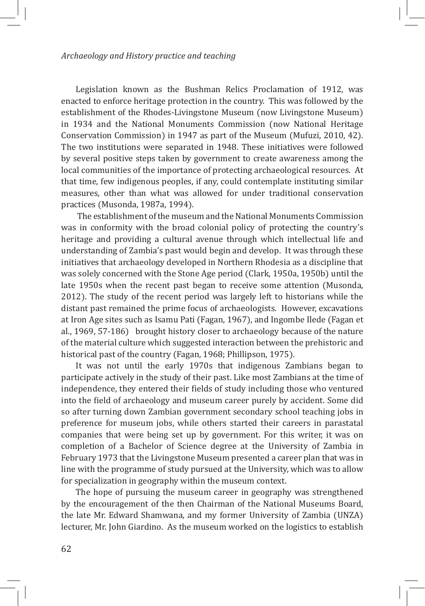#### *Archaeology and History practice and teaching*

Legislation known as the Bushman Relics Proclamation of 1912, was enacted to enforce heritage protection in the country. This was followed by the establishment of the Rhodes-Livingstone Museum (now Livingstone Museum) in 1934 and the National Monuments Commission (now National Heritage Conservation Commission) in 1947 as part of the Museum (Mufuzi, 2010, 42). The two institutions were separated in 1948. These initiatives were followed by several positive steps taken by government to create awareness among the local communities of the importance of protecting archaeological resources. At that time, few indigenous peoples, if any, could contemplate instituting similar measures, other than what was allowed for under traditional conservation practices (Musonda, 1987a, 1994).

 The establishment of the museum and the National Monuments Commission was in conformity with the broad colonial policy of protecting the country's heritage and providing a cultural avenue through which intellectual life and understanding of Zambia's past would begin and develop. It was through these initiatives that archaeology developed in Northern Rhodesia as a discipline that was solely concerned with the Stone Age period (Clark, 1950a, 1950b) until the late 1950s when the recent past began to receive some attention (Musonda, 2012). The study of the recent period was largely left to historians while the distant past remained the prime focus of archaeologists. However, excavations at Iron Age sites such as Isamu Pati (Fagan, 1967), and Ingombe Ilede (Fagan et al., 1969, 57-186) brought history closer to archaeology because of the nature of the material culture which suggested interaction between the prehistoric and historical past of the country (Fagan, 1968; Phillipson, 1975).

It was not until the early 1970s that indigenous Zambians began to participate actively in the study of their past. Like most Zambians at the time of independence, they entered their fields of study including those who ventured into the field of archaeology and museum career purely by accident. Some did so after turning down Zambian government secondary school teaching jobs in preference for museum jobs, while others started their careers in parastatal companies that were being set up by government. For this writer, it was on completion of a Bachelor of Science degree at the University of Zambia in February 1973 that the Livingstone Museum presented a career plan that was in line with the programme of study pursued at the University, which was to allow for specialization in geography within the museum context.

The hope of pursuing the museum career in geography was strengthened by the encouragement of the then Chairman of the National Museums Board, the late Mr. Edward Shamwana, and my former University of Zambia (UNZA) lecturer, Mr. John Giardino. As the museum worked on the logistics to establish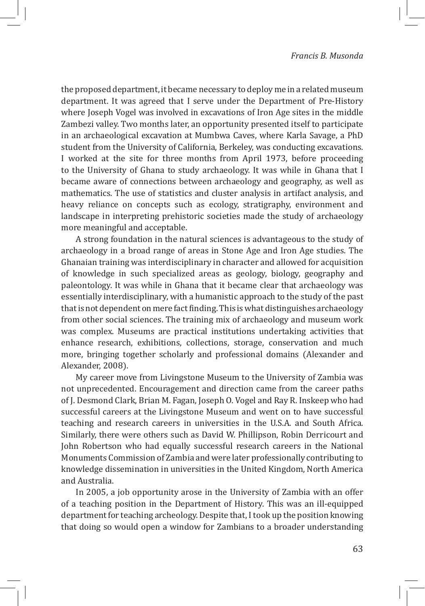the proposed department, it became necessary to deploy me in a related museum department. It was agreed that I serve under the Department of Pre-History where Joseph Vogel was involved in excavations of Iron Age sites in the middle Zambezi valley. Two months later, an opportunity presented itself to participate in an archaeological excavation at Mumbwa Caves, where Karla Savage, a PhD student from the University of California, Berkeley, was conducting excavations. I worked at the site for three months from April 1973, before proceeding to the University of Ghana to study archaeology. It was while in Ghana that I became aware of connections between archaeology and geography, as well as mathematics. The use of statistics and cluster analysis in artifact analysis, and heavy reliance on concepts such as ecology, stratigraphy, environment and landscape in interpreting prehistoric societies made the study of archaeology more meaningful and acceptable.

A strong foundation in the natural sciences is advantageous to the study of archaeology in a broad range of areas in Stone Age and Iron Age studies. The Ghanaian training was interdisciplinary in character and allowed for acquisition of knowledge in such specialized areas as geology, biology, geography and paleontology. It was while in Ghana that it became clear that archaeology was essentially interdisciplinary, with a humanistic approach to the study of the past that is not dependent on mere fact finding. This is what distinguishes archaeology from other social sciences. The training mix of archaeology and museum work was complex. Museums are practical institutions undertaking activities that enhance research, exhibitions, collections, storage, conservation and much more, bringing together scholarly and professional domains (Alexander and Alexander, 2008).

My career move from Livingstone Museum to the University of Zambia was not unprecedented. Encouragement and direction came from the career paths of J. Desmond Clark, Brian M. Fagan, Joseph O. Vogel and Ray R. Inskeep who had successful careers at the Livingstone Museum and went on to have successful teaching and research careers in universities in the U.S.A. and South Africa. Similarly, there were others such as David W. Phillipson, Robin Derricourt and John Robertson who had equally successful research careers in the National Monuments Commission of Zambia and were later professionally contributing to knowledge dissemination in universities in the United Kingdom, North America and Australia.

In 2005, a job opportunity arose in the University of Zambia with an offer of a teaching position in the Department of History. This was an ill-equipped department for teaching archeology. Despite that, I took up the position knowing that doing so would open a window for Zambians to a broader understanding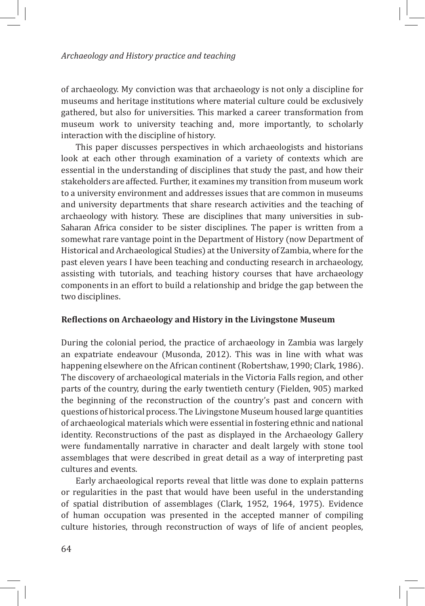#### *Archaeology and History practice and teaching*

of archaeology. My conviction was that archaeology is not only a discipline for museums and heritage institutions where material culture could be exclusively gathered, but also for universities. This marked a career transformation from museum work to university teaching and, more importantly, to scholarly interaction with the discipline of history.

This paper discusses perspectives in which archaeologists and historians look at each other through examination of a variety of contexts which are essential in the understanding of disciplines that study the past, and how their stakeholders are affected. Further, it examines my transition from museum work to a university environment and addresses issues that are common in museums and university departments that share research activities and the teaching of archaeology with history. These are disciplines that many universities in sub-Saharan Africa consider to be sister disciplines. The paper is written from a somewhat rare vantage point in the Department of History (now Department of Historical and Archaeological Studies) at the University of Zambia, where for the past eleven years I have been teaching and conducting research in archaeology, assisting with tutorials, and teaching history courses that have archaeology components in an effort to build a relationship and bridge the gap between the two disciplines.

### **Reflections on Archaeology and History in the Livingstone Museum**

During the colonial period, the practice of archaeology in Zambia was largely an expatriate endeavour (Musonda, 2012). This was in line with what was happening elsewhere on the African continent (Robertshaw, 1990; Clark, 1986). The discovery of archaeological materials in the Victoria Falls region, and other parts of the country, during the early twentieth century (Fielden, 905) marked the beginning of the reconstruction of the country's past and concern with questions of historical process. The Livingstone Museum housed large quantities of archaeological materials which were essential in fostering ethnic and national identity. Reconstructions of the past as displayed in the Archaeology Gallery were fundamentally narrative in character and dealt largely with stone tool assemblages that were described in great detail as a way of interpreting past cultures and events.

Early archaeological reports reveal that little was done to explain patterns or regularities in the past that would have been useful in the understanding of spatial distribution of assemblages (Clark, 1952, 1964, 1975). Evidence of human occupation was presented in the accepted manner of compiling culture histories, through reconstruction of ways of life of ancient peoples,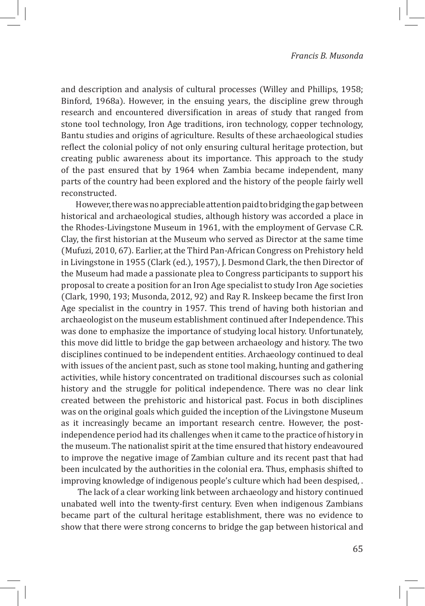and description and analysis of cultural processes (Willey and Phillips, 1958; Binford, 1968a). However, in the ensuing years, the discipline grew through research and encountered diversification in areas of study that ranged from stone tool technology, Iron Age traditions, iron technology, copper technology, Bantu studies and origins of agriculture. Results of these archaeological studies reflect the colonial policy of not only ensuring cultural heritage protection, but creating public awareness about its importance. This approach to the study of the past ensured that by 1964 when Zambia became independent, many parts of the country had been explored and the history of the people fairly well reconstructed.

However, there was no appreciable attention paid to bridging the gap between historical and archaeological studies, although history was accorded a place in the Rhodes-Livingstone Museum in 1961, with the employment of Gervase C.R. Clay, the first historian at the Museum who served as Director at the same time (Mufuzi, 2010, 67). Earlier, at the Third Pan-African Congress on Prehistory held in Livingstone in 1955 (Clark (ed.), 1957), J. Desmond Clark, the then Director of the Museum had made a passionate plea to Congress participants to support his proposal to create a position for an Iron Age specialist to study Iron Age societies (Clark, 1990, 193; Musonda, 2012, 92) and Ray R. Inskeep became the first Iron Age specialist in the country in 1957. This trend of having both historian and archaeologist on the museum establishment continued after Independence. This was done to emphasize the importance of studying local history. Unfortunately, this move did little to bridge the gap between archaeology and history. The two disciplines continued to be independent entities. Archaeology continued to deal with issues of the ancient past, such as stone tool making, hunting and gathering activities, while history concentrated on traditional discourses such as colonial history and the struggle for political independence. There was no clear link created between the prehistoric and historical past. Focus in both disciplines was on the original goals which guided the inception of the Livingstone Museum as it increasingly became an important research centre. However, the postindependence period had its challenges when it came to the practice of history in the museum. The nationalist spirit at the time ensured that history endeavoured to improve the negative image of Zambian culture and its recent past that had been inculcated by the authorities in the colonial era. Thus, emphasis shifted to improving knowledge of indigenous people's culture which had been despised, .

 The lack of a clear working link between archaeology and history continued unabated well into the twenty-first century. Even when indigenous Zambians became part of the cultural heritage establishment, there was no evidence to show that there were strong concerns to bridge the gap between historical and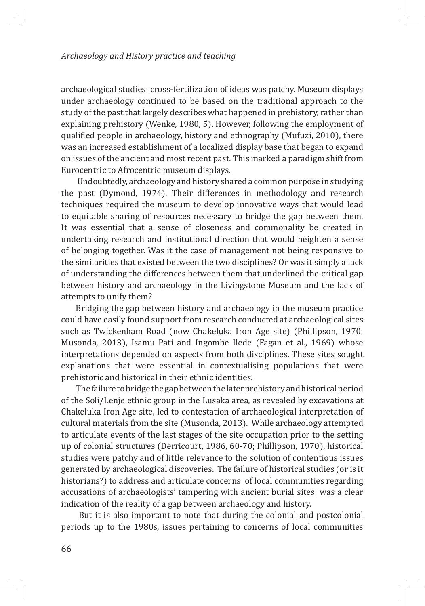#### *Archaeology and History practice and teaching*

archaeological studies; cross-fertilization of ideas was patchy. Museum displays under archaeology continued to be based on the traditional approach to the study of the past that largely describes what happened in prehistory, rather than explaining prehistory (Wenke, 1980, 5). However, following the employment of qualified people in archaeology, history and ethnography (Mufuzi, 2010), there was an increased establishment of a localized display base that began to expand on issues of the ancient and most recent past. This marked a paradigm shift from Eurocentric to Afrocentric museum displays.

 Undoubtedly, archaeology and history shared a common purpose in studying the past (Dymond, 1974). Their differences in methodology and research techniques required the museum to develop innovative ways that would lead to equitable sharing of resources necessary to bridge the gap between them. It was essential that a sense of closeness and commonality be created in undertaking research and institutional direction that would heighten a sense of belonging together. Was it the case of management not being responsive to the similarities that existed between the two disciplines? Or was it simply a lack of understanding the differences between them that underlined the critical gap between history and archaeology in the Livingstone Museum and the lack of attempts to unify them?

Bridging the gap between history and archaeology in the museum practice could have easily found support from research conducted at archaeological sites such as Twickenham Road (now Chakeluka Iron Age site) (Phillipson, 1970; Musonda, 2013), Isamu Pati and Ingombe Ilede (Fagan et al., 1969) whose interpretations depended on aspects from both disciplines. These sites sought explanations that were essential in contextualising populations that were prehistoric and historical in their ethnic identities.

The failure to bridge the gap between the later prehistory and historical period of the Soli/Lenje ethnic group in the Lusaka area, as revealed by excavations at Chakeluka Iron Age site, led to contestation of archaeological interpretation of cultural materials from the site (Musonda, 2013). While archaeology attempted to articulate events of the last stages of the site occupation prior to the setting up of colonial structures (Derricourt, 1986, 60-70; Phillipson, 1970), historical studies were patchy and of little relevance to the solution of contentious issues generated by archaeological discoveries. The failure of historical studies (or is it historians?) to address and articulate concerns of local communities regarding accusations of archaeologists' tampering with ancient burial sites was a clear indication of the reality of a gap between archaeology and history.

 But it is also important to note that during the colonial and postcolonial periods up to the 1980s, issues pertaining to concerns of local communities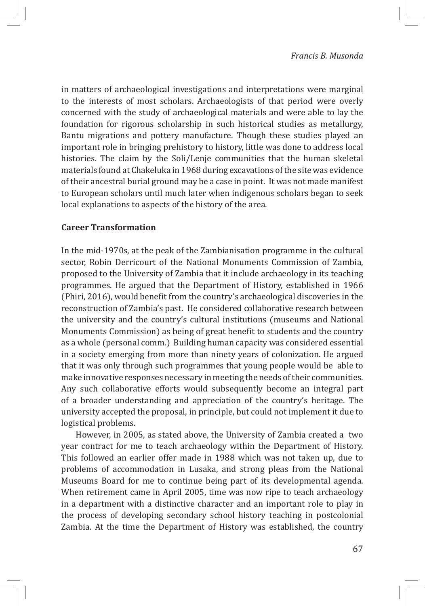in matters of archaeological investigations and interpretations were marginal to the interests of most scholars. Archaeologists of that period were overly concerned with the study of archaeological materials and were able to lay the foundation for rigorous scholarship in such historical studies as metallurgy, Bantu migrations and pottery manufacture. Though these studies played an important role in bringing prehistory to history, little was done to address local histories. The claim by the Soli/Lenje communities that the human skeletal materials found at Chakeluka in 1968 during excavations of the site was evidence of their ancestral burial ground may be a case in point. It was not made manifest to European scholars until much later when indigenous scholars began to seek local explanations to aspects of the history of the area.

# **Career Transformation**

In the mid-1970s, at the peak of the Zambianisation programme in the cultural sector, Robin Derricourt of the National Monuments Commission of Zambia, proposed to the University of Zambia that it include archaeology in its teaching programmes. He argued that the Department of History, established in 1966 (Phiri, 2016), would benefit from the country's archaeological discoveries in the reconstruction of Zambia's past. He considered collaborative research between the university and the country's cultural institutions (museums and National Monuments Commission) as being of great benefit to students and the country as a whole (personal comm.) Building human capacity was considered essential in a society emerging from more than ninety years of colonization. He argued that it was only through such programmes that young people would be able to make innovative responses necessary in meeting the needs of their communities. Any such collaborative efforts would subsequently become an integral part of a broader understanding and appreciation of the country's heritage. The university accepted the proposal, in principle, but could not implement it due to logistical problems.

However, in 2005, as stated above, the University of Zambia created a two year contract for me to teach archaeology within the Department of History. This followed an earlier offer made in 1988 which was not taken up, due to problems of accommodation in Lusaka, and strong pleas from the National Museums Board for me to continue being part of its developmental agenda. When retirement came in April 2005, time was now ripe to teach archaeology in a department with a distinctive character and an important role to play in the process of developing secondary school history teaching in postcolonial Zambia. At the time the Department of History was established, the country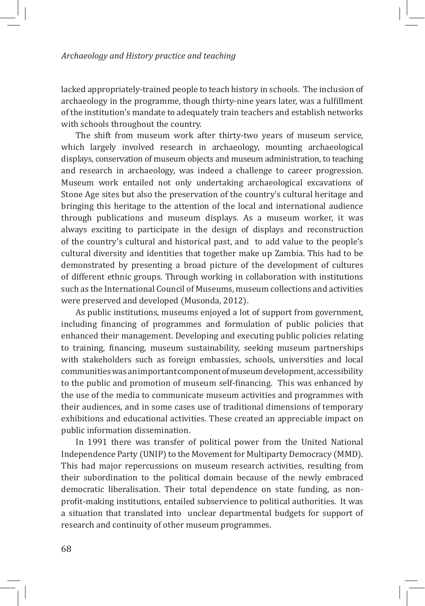#### *Archaeology and History practice and teaching*

lacked appropriately-trained people to teach history in schools. The inclusion of archaeology in the programme, though thirty-nine years later, was a fulfillment of the institution's mandate to adequately train teachers and establish networks with schools throughout the country.

The shift from museum work after thirty-two years of museum service, which largely involved research in archaeology, mounting archaeological displays, conservation of museum objects and museum administration, to teaching and research in archaeology, was indeed a challenge to career progression. Museum work entailed not only undertaking archaeological excavations of Stone Age sites but also the preservation of the country's cultural heritage and bringing this heritage to the attention of the local and international audience through publications and museum displays. As a museum worker, it was always exciting to participate in the design of displays and reconstruction of the country's cultural and historical past, and to add value to the people's cultural diversity and identities that together make up Zambia. This had to be demonstrated by presenting a broad picture of the development of cultures of different ethnic groups. Through working in collaboration with institutions such as the International Council of Museums, museum collections and activities were preserved and developed (Musonda, 2012).

As public institutions, museums enjoyed a lot of support from government, including financing of programmes and formulation of public policies that enhanced their management. Developing and executing public policies relating to training, financing, museum sustainability, seeking museum partnerships with stakeholders such as foreign embassies, schools, universities and local communities was an important component of museum development, accessibility to the public and promotion of museum self-financing. This was enhanced by the use of the media to communicate museum activities and programmes with their audiences, and in some cases use of traditional dimensions of temporary exhibitions and educational activities. These created an appreciable impact on public information dissemination.

In 1991 there was transfer of political power from the United National Independence Party (UNIP) to the Movement for Multiparty Democracy (MMD). This had major repercussions on museum research activities, resulting from their subordination to the political domain because of the newly embraced democratic liberalisation. Their total dependence on state funding, as nonprofit-making institutions, entailed subservience to political authorities. It was a situation that translated into unclear departmental budgets for support of research and continuity of other museum programmes.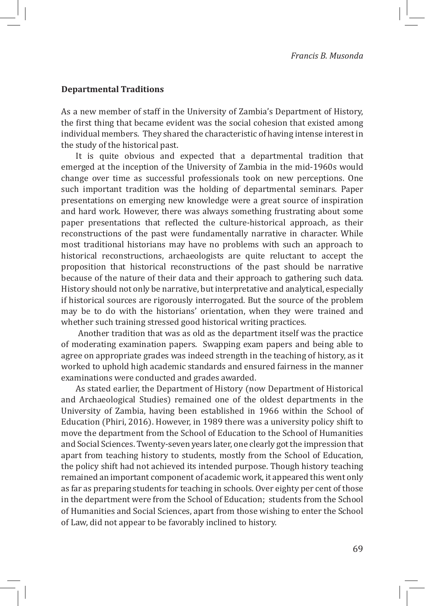## **Departmental Traditions**

As a new member of staff in the University of Zambia's Department of History, the first thing that became evident was the social cohesion that existed among individual members. They shared the characteristic of having intense interest in the study of the historical past.

It is quite obvious and expected that a departmental tradition that emerged at the inception of the University of Zambia in the mid-1960s would change over time as successful professionals took on new perceptions. One such important tradition was the holding of departmental seminars. Paper presentations on emerging new knowledge were a great source of inspiration and hard work. However, there was always something frustrating about some paper presentations that reflected the culture-historical approach, as their reconstructions of the past were fundamentally narrative in character. While most traditional historians may have no problems with such an approach to historical reconstructions, archaeologists are quite reluctant to accept the proposition that historical reconstructions of the past should be narrative because of the nature of their data and their approach to gathering such data. History should not only be narrative, but interpretative and analytical, especially if historical sources are rigorously interrogated. But the source of the problem may be to do with the historians' orientation, when they were trained and whether such training stressed good historical writing practices.

 Another tradition that was as old as the department itself was the practice of moderating examination papers. Swapping exam papers and being able to agree on appropriate grades was indeed strength in the teaching of history, as it worked to uphold high academic standards and ensured fairness in the manner examinations were conducted and grades awarded.

As stated earlier, the Department of History (now Department of Historical and Archaeological Studies) remained one of the oldest departments in the University of Zambia, having been established in 1966 within the School of Education (Phiri, 2016). However, in 1989 there was a university policy shift to move the department from the School of Education to the School of Humanities and Social Sciences. Twenty-seven years later, one clearly got the impression that apart from teaching history to students, mostly from the School of Education, the policy shift had not achieved its intended purpose. Though history teaching remained an important component of academic work, it appeared this went only as far as preparing students for teaching in schools. Over eighty per cent of those in the department were from the School of Education; students from the School of Humanities and Social Sciences, apart from those wishing to enter the School of Law, did not appear to be favorably inclined to history.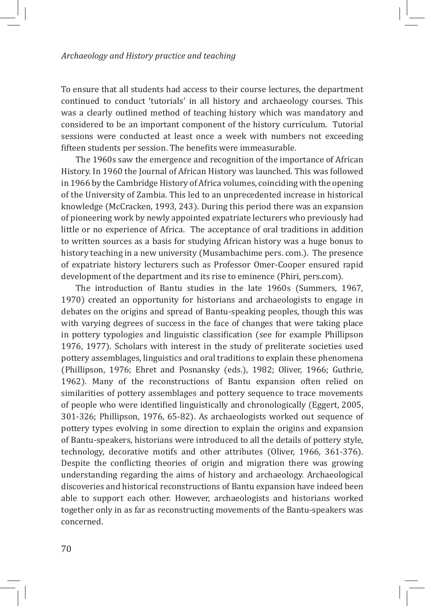To ensure that all students had access to their course lectures, the department continued to conduct 'tutorials' in all history and archaeology courses. This was a clearly outlined method of teaching history which was mandatory and considered to be an important component of the history curriculum. Tutorial sessions were conducted at least once a week with numbers not exceeding fifteen students per session. The benefits were immeasurable.

The 1960s saw the emergence and recognition of the importance of African History. In 1960 the Journal of African History was launched. This was followed in 1966 by the Cambridge History of Africa volumes, coinciding with the opening of the University of Zambia. This led to an unprecedented increase in historical knowledge (McCracken, 1993, 243). During this period there was an expansion of pioneering work by newly appointed expatriate lecturers who previously had little or no experience of Africa. The acceptance of oral traditions in addition to written sources as a basis for studying African history was a huge bonus to history teaching in a new university (Musambachime pers. com.). The presence of expatriate history lecturers such as Professor Omer-Cooper ensured rapid development of the department and its rise to eminence (Phiri, pers.com).

The introduction of Bantu studies in the late 1960s (Summers, 1967, 1970) created an opportunity for historians and archaeologists to engage in debates on the origins and spread of Bantu-speaking peoples, though this was with varying degrees of success in the face of changes that were taking place in pottery typologies and linguistic classification (see for example Phillipson 1976, 1977). Scholars with interest in the study of preliterate societies used pottery assemblages, linguistics and oral traditions to explain these phenomena (Phillipson, 1976; Ehret and Posnansky (eds.), 1982; Oliver, 1966; Guthrie, 1962). Many of the reconstructions of Bantu expansion often relied on similarities of pottery assemblages and pottery sequence to trace movements of people who were identified linguistically and chronologically (Eggert, 2005, 301-326; Phillipson, 1976, 65-82). As archaeologists worked out sequence of pottery types evolving in some direction to explain the origins and expansion of Bantu-speakers, historians were introduced to all the details of pottery style, technology, decorative motifs and other attributes (Oliver, 1966, 361-376). Despite the conflicting theories of origin and migration there was growing understanding regarding the aims of history and archaeology. Archaeological discoveries and historical reconstructions of Bantu expansion have indeed been able to support each other. However, archaeologists and historians worked together only in as far as reconstructing movements of the Bantu-speakers was concerned.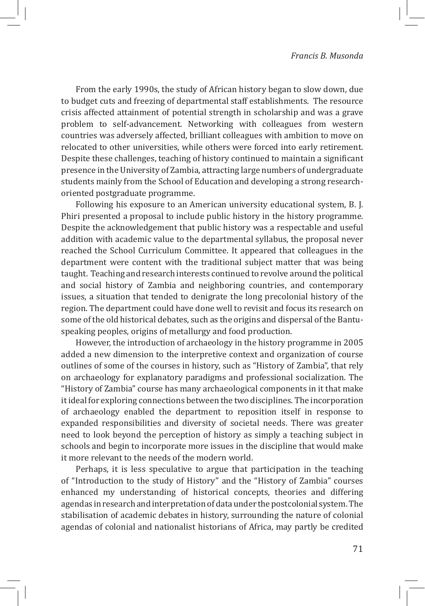From the early 1990s, the study of African history began to slow down, due to budget cuts and freezing of departmental staff establishments. The resource crisis affected attainment of potential strength in scholarship and was a grave problem to self-advancement. Networking with colleagues from western countries was adversely affected, brilliant colleagues with ambition to move on relocated to other universities, while others were forced into early retirement. Despite these challenges, teaching of history continued to maintain a significant presence in the University of Zambia, attracting large numbers of undergraduate students mainly from the School of Education and developing a strong researchoriented postgraduate programme.

Following his exposure to an American university educational system, B. J. Phiri presented a proposal to include public history in the history programme. Despite the acknowledgement that public history was a respectable and useful addition with academic value to the departmental syllabus, the proposal never reached the School Curriculum Committee. It appeared that colleagues in the department were content with the traditional subject matter that was being taught. Teaching and research interests continued to revolve around the political and social history of Zambia and neighboring countries, and contemporary issues, a situation that tended to denigrate the long precolonial history of the region. The department could have done well to revisit and focus its research on some of the old historical debates, such as the origins and dispersal of the Bantuspeaking peoples, origins of metallurgy and food production.

However, the introduction of archaeology in the history programme in 2005 added a new dimension to the interpretive context and organization of course outlines of some of the courses in history, such as "History of Zambia", that rely on archaeology for explanatory paradigms and professional socialization. The "History of Zambia" course has many archaeological components in it that make it ideal for exploring connections between the two disciplines. The incorporation of archaeology enabled the department to reposition itself in response to expanded responsibilities and diversity of societal needs. There was greater need to look beyond the perception of history as simply a teaching subject in schools and begin to incorporate more issues in the discipline that would make it more relevant to the needs of the modern world.

Perhaps, it is less speculative to argue that participation in the teaching of "Introduction to the study of History" and the "History of Zambia" courses enhanced my understanding of historical concepts, theories and differing agendas in research and interpretation of data under the postcolonial system. The stabilisation of academic debates in history, surrounding the nature of colonial agendas of colonial and nationalist historians of Africa, may partly be credited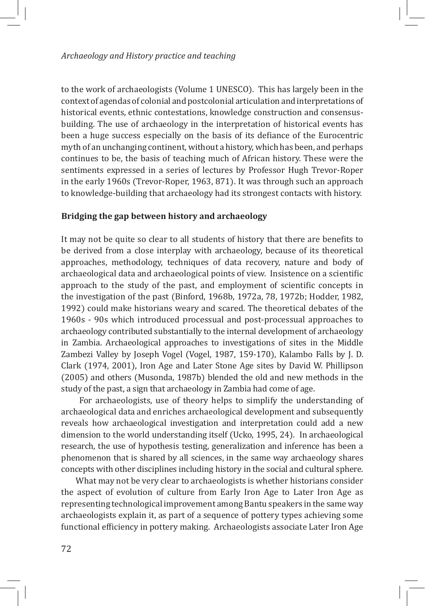to the work of archaeologists (Volume 1 UNESCO). This has largely been in the context of agendas of colonial and postcolonial articulation and interpretations of historical events, ethnic contestations, knowledge construction and consensusbuilding. The use of archaeology in the interpretation of historical events has been a huge success especially on the basis of its defiance of the Eurocentric myth of an unchanging continent, without a history, which has been, and perhaps continues to be, the basis of teaching much of African history. These were the sentiments expressed in a series of lectures by Professor Hugh Trevor-Roper in the early 1960s (Trevor-Roper, 1963, 871). It was through such an approach to knowledge-building that archaeology had its strongest contacts with history.

## **Bridging the gap between history and archaeology**

It may not be quite so clear to all students of history that there are benefits to be derived from a close interplay with archaeology, because of its theoretical approaches, methodology, techniques of data recovery, nature and body of archaeological data and archaeological points of view. Insistence on a scientific approach to the study of the past, and employment of scientific concepts in the investigation of the past (Binford, 1968b, 1972a, 78, 1972b; Hodder, 1982, 1992) could make historians weary and scared. The theoretical debates of the 1960s - 90s which introduced processual and post-processual approaches to archaeology contributed substantially to the internal development of archaeology in Zambia. Archaeological approaches to investigations of sites in the Middle Zambezi Valley by Joseph Vogel (Vogel, 1987, 159-170), Kalambo Falls by J. D. Clark (1974, 2001), Iron Age and Later Stone Age sites by David W. Phillipson (2005) and others (Musonda, 1987b) blended the old and new methods in the study of the past, a sign that archaeology in Zambia had come of age.

 For archaeologists, use of theory helps to simplify the understanding of archaeological data and enriches archaeological development and subsequently reveals how archaeological investigation and interpretation could add a new dimension to the world understanding itself (Ucko, 1995, 24). In archaeological research, the use of hypothesis testing, generalization and inference has been a phenomenon that is shared by all sciences, in the same way archaeology shares concepts with other disciplines including history in the social and cultural sphere.

What may not be very clear to archaeologists is whether historians consider the aspect of evolution of culture from Early Iron Age to Later Iron Age as representing technological improvement among Bantu speakers in the same way archaeologists explain it, as part of a sequence of pottery types achieving some functional efficiency in pottery making. Archaeologists associate Later Iron Age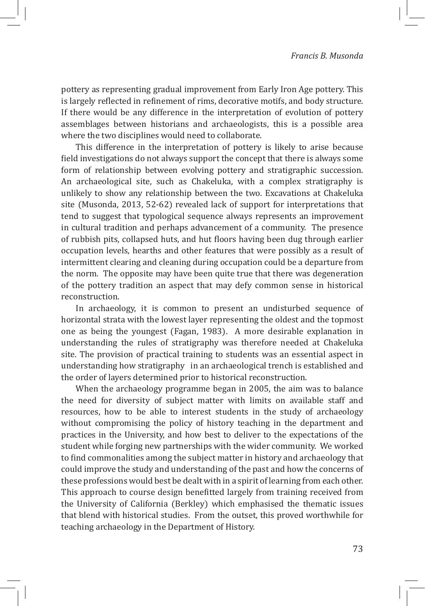pottery as representing gradual improvement from Early Iron Age pottery. This is largely reflected in refinement of rims, decorative motifs, and body structure. If there would be any difference in the interpretation of evolution of pottery assemblages between historians and archaeologists, this is a possible area where the two disciplines would need to collaborate.

This difference in the interpretation of pottery is likely to arise because field investigations do not always support the concept that there is always some form of relationship between evolving pottery and stratigraphic succession. An archaeological site, such as Chakeluka, with a complex stratigraphy is unlikely to show any relationship between the two. Excavations at Chakeluka site (Musonda, 2013, 52-62) revealed lack of support for interpretations that tend to suggest that typological sequence always represents an improvement in cultural tradition and perhaps advancement of a community. The presence of rubbish pits, collapsed huts, and hut floors having been dug through earlier occupation levels, hearths and other features that were possibly as a result of intermittent clearing and cleaning during occupation could be a departure from the norm. The opposite may have been quite true that there was degeneration of the pottery tradition an aspect that may defy common sense in historical reconstruction.

In archaeology, it is common to present an undisturbed sequence of horizontal strata with the lowest layer representing the oldest and the topmost one as being the youngest (Fagan, 1983). A more desirable explanation in understanding the rules of stratigraphy was therefore needed at Chakeluka site. The provision of practical training to students was an essential aspect in understanding how stratigraphy in an archaeological trench is established and the order of layers determined prior to historical reconstruction.

When the archaeology programme began in 2005, the aim was to balance the need for diversity of subject matter with limits on available staff and resources, how to be able to interest students in the study of archaeology without compromising the policy of history teaching in the department and practices in the University, and how best to deliver to the expectations of the student while forging new partnerships with the wider community. We worked to find commonalities among the subject matter in history and archaeology that could improve the study and understanding of the past and how the concerns of these professions would best be dealt with in a spirit of learning from each other. This approach to course design benefitted largely from training received from the University of California (Berkley) which emphasised the thematic issues that blend with historical studies. From the outset, this proved worthwhile for teaching archaeology in the Department of History.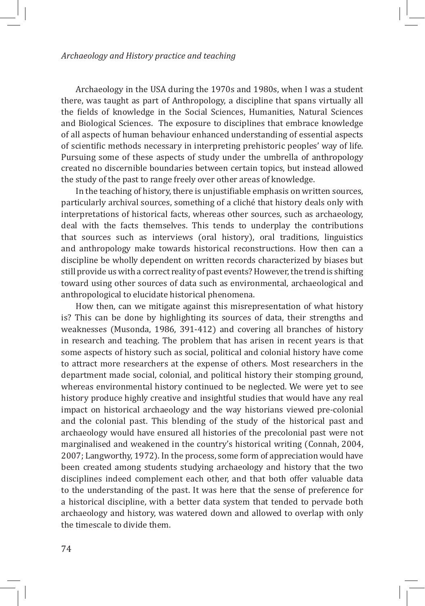Archaeology in the USA during the 1970s and 1980s, when I was a student there, was taught as part of Anthropology, a discipline that spans virtually all the fields of knowledge in the Social Sciences, Humanities, Natural Sciences and Biological Sciences. The exposure to disciplines that embrace knowledge of all aspects of human behaviour enhanced understanding of essential aspects of scientific methods necessary in interpreting prehistoric peoples' way of life. Pursuing some of these aspects of study under the umbrella of anthropology created no discernible boundaries between certain topics, but instead allowed the study of the past to range freely over other areas of knowledge.

In the teaching of history, there is unjustifiable emphasis on written sources, particularly archival sources, something of a cliché that history deals only with interpretations of historical facts, whereas other sources, such as archaeology, deal with the facts themselves. This tends to underplay the contributions that sources such as interviews (oral history), oral traditions, linguistics and anthropology make towards historical reconstructions. How then can a discipline be wholly dependent on written records characterized by biases but still provide us with a correct reality of past events? However, the trend is shifting toward using other sources of data such as environmental, archaeological and anthropological to elucidate historical phenomena.

How then, can we mitigate against this misrepresentation of what history is? This can be done by highlighting its sources of data, their strengths and weaknesses (Musonda, 1986, 391-412) and covering all branches of history in research and teaching. The problem that has arisen in recent years is that some aspects of history such as social, political and colonial history have come to attract more researchers at the expense of others. Most researchers in the department made social, colonial, and political history their stomping ground, whereas environmental history continued to be neglected. We were yet to see history produce highly creative and insightful studies that would have any real impact on historical archaeology and the way historians viewed pre-colonial and the colonial past. This blending of the study of the historical past and archaeology would have ensured all histories of the precolonial past were not marginalised and weakened in the country's historical writing (Connah, 2004, 2007; Langworthy, 1972). In the process, some form of appreciation would have been created among students studying archaeology and history that the two disciplines indeed complement each other, and that both offer valuable data to the understanding of the past. It was here that the sense of preference for a historical discipline, with a better data system that tended to pervade both archaeology and history, was watered down and allowed to overlap with only the timescale to divide them.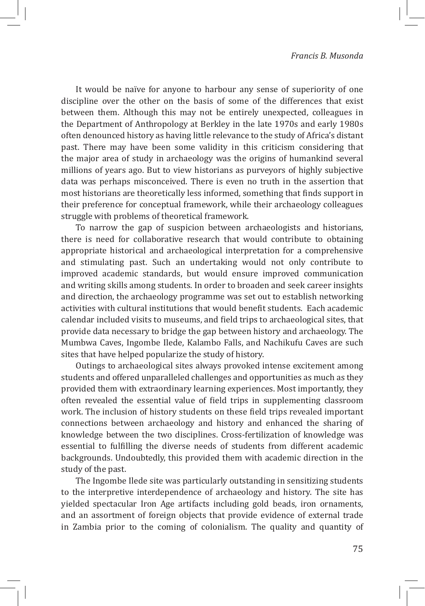It would be naïve for anyone to harbour any sense of superiority of one discipline over the other on the basis of some of the differences that exist between them. Although this may not be entirely unexpected, colleagues in the Department of Anthropology at Berkley in the late 1970s and early 1980s often denounced history as having little relevance to the study of Africa's distant past. There may have been some validity in this criticism considering that the major area of study in archaeology was the origins of humankind several millions of years ago. But to view historians as purveyors of highly subjective data was perhaps misconceived. There is even no truth in the assertion that most historians are theoretically less informed, something that finds support in their preference for conceptual framework, while their archaeology colleagues struggle with problems of theoretical framework.

To narrow the gap of suspicion between archaeologists and historians, there is need for collaborative research that would contribute to obtaining appropriate historical and archaeological interpretation for a comprehensive and stimulating past. Such an undertaking would not only contribute to improved academic standards, but would ensure improved communication and writing skills among students. In order to broaden and seek career insights and direction, the archaeology programme was set out to establish networking activities with cultural institutions that would benefit students. Each academic calendar included visits to museums, and field trips to archaeological sites, that provide data necessary to bridge the gap between history and archaeology. The Mumbwa Caves, Ingombe Ilede, Kalambo Falls, and Nachikufu Caves are such sites that have helped popularize the study of history.

Outings to archaeological sites always provoked intense excitement among students and offered unparalleled challenges and opportunities as much as they provided them with extraordinary learning experiences. Most importantly, they often revealed the essential value of field trips in supplementing classroom work. The inclusion of history students on these field trips revealed important connections between archaeology and history and enhanced the sharing of knowledge between the two disciplines. Cross-fertilization of knowledge was essential to fulfilling the diverse needs of students from different academic backgrounds. Undoubtedly, this provided them with academic direction in the study of the past.

The Ingombe Ilede site was particularly outstanding in sensitizing students to the interpretive interdependence of archaeology and history. The site has yielded spectacular Iron Age artifacts including gold beads, iron ornaments, and an assortment of foreign objects that provide evidence of external trade in Zambia prior to the coming of colonialism. The quality and quantity of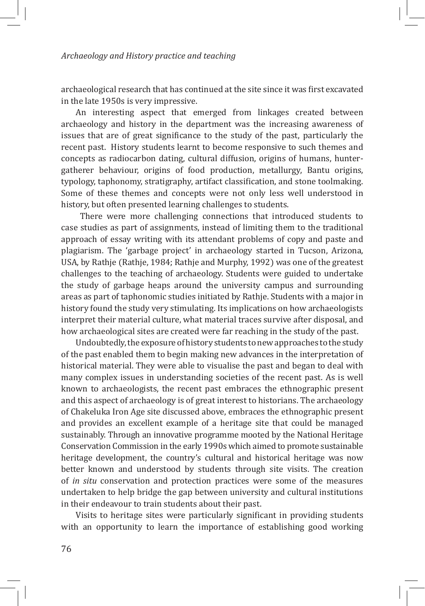archaeological research that has continued at the site since it was first excavated in the late 1950s is very impressive.

An interesting aspect that emerged from linkages created between archaeology and history in the department was the increasing awareness of issues that are of great significance to the study of the past, particularly the recent past. History students learnt to become responsive to such themes and concepts as radiocarbon dating, cultural diffusion, origins of humans, huntergatherer behaviour, origins of food production, metallurgy, Bantu origins, typology, taphonomy, stratigraphy, artifact classification, and stone toolmaking. Some of these themes and concepts were not only less well understood in history, but often presented learning challenges to students.

 There were more challenging connections that introduced students to case studies as part of assignments, instead of limiting them to the traditional approach of essay writing with its attendant problems of copy and paste and plagiarism. The 'garbage project' in archaeology started in Tucson, Arizona, USA, by Rathje (Rathje, 1984; Rathje and Murphy, 1992) was one of the greatest challenges to the teaching of archaeology. Students were guided to undertake the study of garbage heaps around the university campus and surrounding areas as part of taphonomic studies initiated by Rathje. Students with a major in history found the study very stimulating. Its implications on how archaeologists interpret their material culture, what material traces survive after disposal, and how archaeological sites are created were far reaching in the study of the past.

Undoubtedly, the exposure of history students to new approaches to the study of the past enabled them to begin making new advances in the interpretation of historical material. They were able to visualise the past and began to deal with many complex issues in understanding societies of the recent past. As is well known to archaeologists, the recent past embraces the ethnographic present and this aspect of archaeology is of great interest to historians. The archaeology of Chakeluka Iron Age site discussed above, embraces the ethnographic present and provides an excellent example of a heritage site that could be managed sustainably. Through an innovative programme mooted by the National Heritage Conservation Commission in the early 1990s which aimed to promote sustainable heritage development, the country's cultural and historical heritage was now better known and understood by students through site visits. The creation of *in situ* conservation and protection practices were some of the measures undertaken to help bridge the gap between university and cultural institutions in their endeavour to train students about their past.

Visits to heritage sites were particularly significant in providing students with an opportunity to learn the importance of establishing good working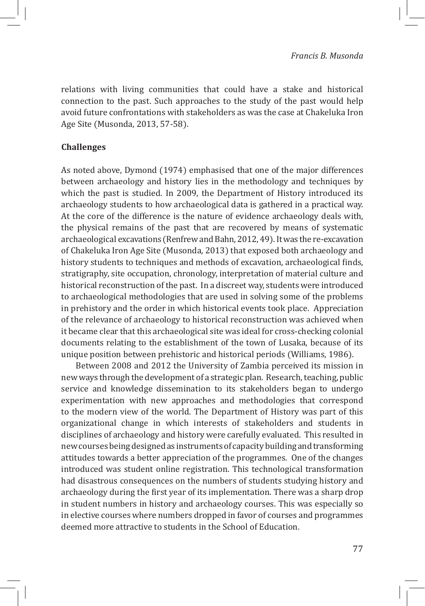relations with living communities that could have a stake and historical connection to the past. Such approaches to the study of the past would help avoid future confrontations with stakeholders as was the case at Chakeluka Iron Age Site (Musonda, 2013, 57-58).

## **Challenges**

As noted above, Dymond (1974) emphasised that one of the major differences between archaeology and history lies in the methodology and techniques by which the past is studied. In 2009, the Department of History introduced its archaeology students to how archaeological data is gathered in a practical way. At the core of the difference is the nature of evidence archaeology deals with, the physical remains of the past that are recovered by means of systematic archaeological excavations (Renfrew and Bahn, 2012, 49). It was the re-excavation of Chakeluka Iron Age Site (Musonda, 2013) that exposed both archaeology and history students to techniques and methods of excavation, archaeological finds, stratigraphy, site occupation, chronology, interpretation of material culture and historical reconstruction of the past. In a discreet way, students were introduced to archaeological methodologies that are used in solving some of the problems in prehistory and the order in which historical events took place. Appreciation of the relevance of archaeology to historical reconstruction was achieved when it became clear that this archaeological site was ideal for cross-checking colonial documents relating to the establishment of the town of Lusaka, because of its unique position between prehistoric and historical periods (Williams, 1986).

Between 2008 and 2012 the University of Zambia perceived its mission in new ways through the development of a strategic plan. Research, teaching, public service and knowledge dissemination to its stakeholders began to undergo experimentation with new approaches and methodologies that correspond to the modern view of the world. The Department of History was part of this organizational change in which interests of stakeholders and students in disciplines of archaeology and history were carefully evaluated. This resulted in new courses being designed as instruments of capacity building and transforming attitudes towards a better appreciation of the programmes. One of the changes introduced was student online registration. This technological transformation had disastrous consequences on the numbers of students studying history and archaeology during the first year of its implementation. There was a sharp drop in student numbers in history and archaeology courses. This was especially so in elective courses where numbers dropped in favor of courses and programmes deemed more attractive to students in the School of Education.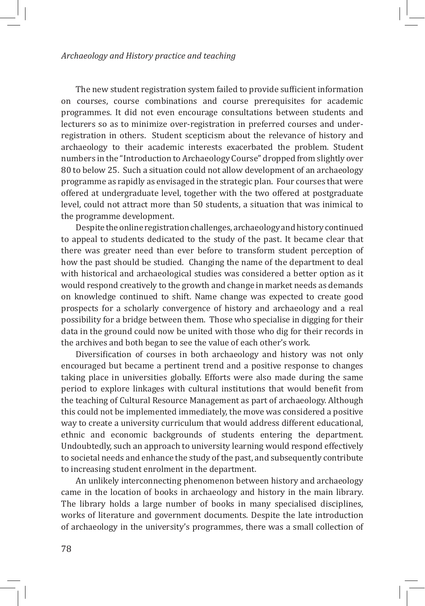The new student registration system failed to provide sufficient information on courses, course combinations and course prerequisites for academic programmes. It did not even encourage consultations between students and lecturers so as to minimize over-registration in preferred courses and underregistration in others. Student scepticism about the relevance of history and archaeology to their academic interests exacerbated the problem. Student numbers in the "Introduction to Archaeology Course" dropped from slightly over 80 to below 25. Such a situation could not allow development of an archaeology programme as rapidly as envisaged in the strategic plan. Four courses that were offered at undergraduate level, together with the two offered at postgraduate level, could not attract more than 50 students, a situation that was inimical to the programme development.

Despite the online registration challenges, archaeology and history continued to appeal to students dedicated to the study of the past. It became clear that there was greater need than ever before to transform student perception of how the past should be studied. Changing the name of the department to deal with historical and archaeological studies was considered a better option as it would respond creatively to the growth and change in market needs as demands on knowledge continued to shift. Name change was expected to create good prospects for a scholarly convergence of history and archaeology and a real possibility for a bridge between them. Those who specialise in digging for their data in the ground could now be united with those who dig for their records in the archives and both began to see the value of each other's work.

Diversification of courses in both archaeology and history was not only encouraged but became a pertinent trend and a positive response to changes taking place in universities globally. Efforts were also made during the same period to explore linkages with cultural institutions that would benefit from the teaching of Cultural Resource Management as part of archaeology. Although this could not be implemented immediately, the move was considered a positive way to create a university curriculum that would address different educational, ethnic and economic backgrounds of students entering the department. Undoubtedly, such an approach to university learning would respond effectively to societal needs and enhance the study of the past, and subsequently contribute to increasing student enrolment in the department.

An unlikely interconnecting phenomenon between history and archaeology came in the location of books in archaeology and history in the main library. The library holds a large number of books in many specialised disciplines, works of literature and government documents. Despite the late introduction of archaeology in the university's programmes, there was a small collection of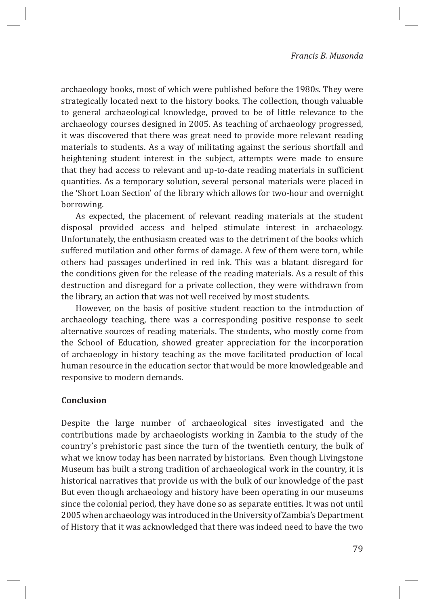archaeology books, most of which were published before the 1980s. They were strategically located next to the history books. The collection, though valuable to general archaeological knowledge, proved to be of little relevance to the archaeology courses designed in 2005. As teaching of archaeology progressed, it was discovered that there was great need to provide more relevant reading materials to students. As a way of militating against the serious shortfall and heightening student interest in the subject, attempts were made to ensure that they had access to relevant and up-to-date reading materials in sufficient quantities. As a temporary solution, several personal materials were placed in the 'Short Loan Section' of the library which allows for two-hour and overnight borrowing.

As expected, the placement of relevant reading materials at the student disposal provided access and helped stimulate interest in archaeology. Unfortunately, the enthusiasm created was to the detriment of the books which suffered mutilation and other forms of damage. A few of them were torn, while others had passages underlined in red ink. This was a blatant disregard for the conditions given for the release of the reading materials. As a result of this destruction and disregard for a private collection, they were withdrawn from the library, an action that was not well received by most students.

However, on the basis of positive student reaction to the introduction of archaeology teaching, there was a corresponding positive response to seek alternative sources of reading materials. The students, who mostly come from the School of Education, showed greater appreciation for the incorporation of archaeology in history teaching as the move facilitated production of local human resource in the education sector that would be more knowledgeable and responsive to modern demands.

## **Conclusion**

Despite the large number of archaeological sites investigated and the contributions made by archaeologists working in Zambia to the study of the country's prehistoric past since the turn of the twentieth century, the bulk of what we know today has been narrated by historians. Even though Livingstone Museum has built a strong tradition of archaeological work in the country, it is historical narratives that provide us with the bulk of our knowledge of the past But even though archaeology and history have been operating in our museums since the colonial period, they have done so as separate entities. It was not until 2005 when archaeology was introduced in the University of Zambia's Department of History that it was acknowledged that there was indeed need to have the two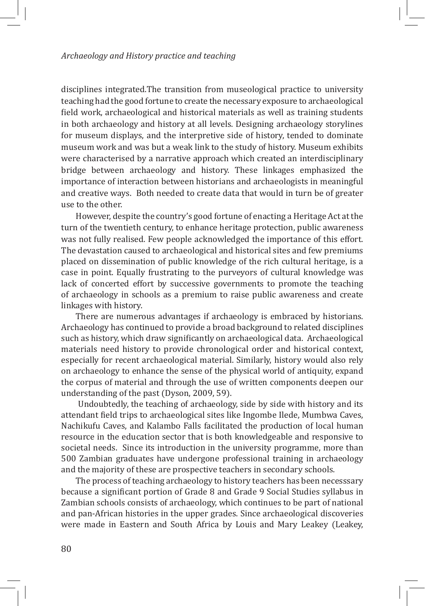disciplines integrated.The transition from museological practice to university teaching had the good fortune to create the necessary exposure to archaeological field work, archaeological and historical materials as well as training students in both archaeology and history at all levels. Designing archaeology storylines for museum displays, and the interpretive side of history, tended to dominate museum work and was but a weak link to the study of history. Museum exhibits were characterised by a narrative approach which created an interdisciplinary bridge between archaeology and history. These linkages emphasized the importance of interaction between historians and archaeologists in meaningful and creative ways. Both needed to create data that would in turn be of greater use to the other.

However, despite the country's good fortune of enacting a Heritage Act at the turn of the twentieth century, to enhance heritage protection, public awareness was not fully realised. Few people acknowledged the importance of this effort. The devastation caused to archaeological and historical sites and few premiums placed on dissemination of public knowledge of the rich cultural heritage, is a case in point. Equally frustrating to the purveyors of cultural knowledge was lack of concerted effort by successive governments to promote the teaching of archaeology in schools as a premium to raise public awareness and create linkages with history.

There are numerous advantages if archaeology is embraced by historians. Archaeology has continued to provide a broad background to related disciplines such as history, which draw significantly on archaeological data. Archaeological materials need history to provide chronological order and historical context, especially for recent archaeological material. Similarly, history would also rely on archaeology to enhance the sense of the physical world of antiquity, expand the corpus of material and through the use of written components deepen our understanding of the past (Dyson, 2009, 59).

 Undoubtedly, the teaching of archaeology, side by side with history and its attendant field trips to archaeological sites like Ingombe Ilede, Mumbwa Caves, Nachikufu Caves, and Kalambo Falls facilitated the production of local human resource in the education sector that is both knowledgeable and responsive to societal needs. Since its introduction in the university programme, more than 500 Zambian graduates have undergone professional training in archaeology and the majority of these are prospective teachers in secondary schools.

The process of teaching archaeology to history teachers has been necesssary because a significant portion of Grade 8 and Grade 9 Social Studies syllabus in Zambian schools consists of archaeology, which continues to be part of national and pan-African histories in the upper grades. Since archaeological discoveries were made in Eastern and South Africa by Louis and Mary Leakey (Leakey,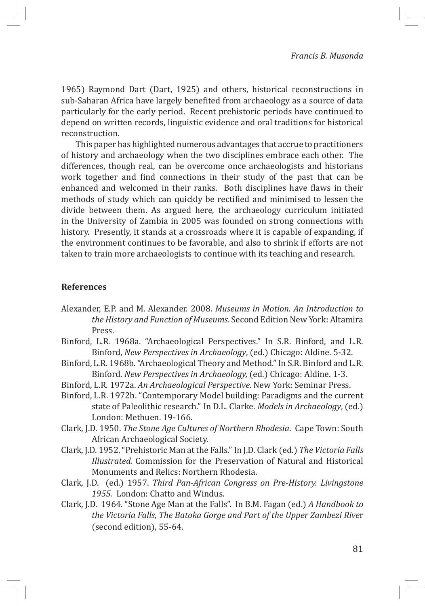1965) Raymond Dart (Dart, 1925) and others, historical reconstructions in sub-Saharan Africa have largely benefited from archaeology as a source of data particularly for the early period. Recent prehistoric periods have continued to depend on written records, linguistic evidence and oral traditions for historical reconstruction.

This paper has highlighted numerous advantages that accrue to practitioners of history and archaeology when the two disciplines embrace each other. The differences, though real, can be overcome once archaeologists and historians work together and find connections in their study of the past that can be enhanced and welcomed in their ranks. Both disciplines have flaws in their methods of study which can quickly be rectified and minimised to lessen the divide between them. As argued here, the archaeology curriculum initiated in the University of Zambia in 2005 was founded on strong connections with history. Presently, it stands at a crossroads where it is capable of expanding, if the environment continues to be favorable, and also to shrink if efforts are not taken to train more archaeologists to continue with its teaching and research.

## **References**

- Alexander, E.P. and M. Alexander. 2008. *Museums in Motion. An Introduction to the History and Function of Museums*. Second Edition New York: Altamira Press.
- Binford, L.R. 1968a. "Archaeological Perspectives." In S.R. Binford, and L.R. Binford, *New Perspectives in Archaeology*, (ed.) Chicago: Aldine. 5-32.
- Binford, L.R. 1968b. "Archaeological Theory and Method." In S.R. Binford and L.R. Binford. *New Perspectives in Archaeology,* (ed.) Chicago: Aldine. 1-3.
- Binford, L.R. 1972a. *An Archaeological Perspective*. New York: Seminar Press.
- Binford, L.R. 1972b. "Contemporary Model building: Paradigms and the current state of Paleolithic research." In D.L. Clarke. *Models in Archaeology*, (ed.) London: Methuen. 19-166.
- Clark, J.D. 1950. *The Stone Age Cultures of Northern Rhodesia*. Cape Town: South African Archaeological Society.
- Clark, J.D. 1952. "Prehistoric Man at the Falls." In J.D. Clark (ed.) *The Victoria Falls Illustrated.* Commission for the Preservation of Natural and Historical Monuments and Relics: Northern Rhodesia.
- Clark, J.D. (ed.) 1957. *Third Pan-African Congress on Pre-History. Livingstone 1955*. London: Chatto and Windus.
- Clark, J.D. 1964. "Stone Age Man at the Falls". In B.M. Fagan (ed.) *A Handbook to the Victoria Falls, The Batoka Gorge and Part of the Upper Zambezi Rive*r (second edition), 55-64.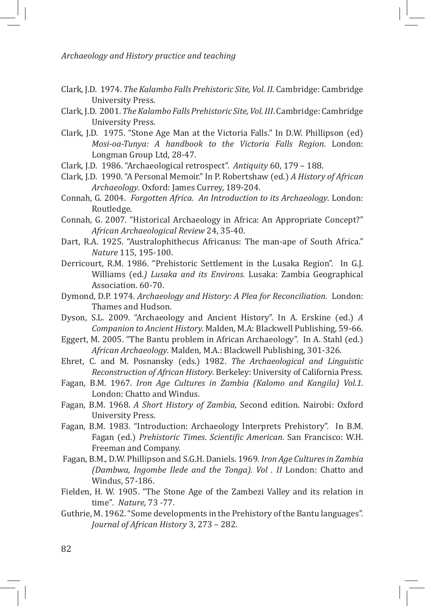- Clark, J.D. 1974. *The Kalambo Falls Prehistoric Site, Vol. II*. Cambridge: Cambridge University Press.
- Clark, J.D. 2001. *The Kalambo Falls Prehistoric Site, Vol. III*. Cambridge: Cambridge University Press.
- Clark, J.D. 1975. "Stone Age Man at the Victoria Falls." In D.W. Phillipson (ed) *Mosi-oa-Tunya: A handbook to the Victoria Falls Region*. London: Longman Group Ltd, 28-47.
- Clark, J.D. 1986. "Archaeological retrospect". *Antiquity* 60, 179 188.
- Clark, J.D. 1990. "A Personal Memoir." In P. Robertshaw (ed.) *A History of African Archaeology*. Oxford: James Currey, 189-204.
- Connah, G. 2004. *Forgotten Africa. An Introduction to its Archaeology*. London: Routledge.
- Connah, G. 2007. "Historical Archaeology in Africa: An Appropriate Concept?" *African Archaeological Review* 24, 35-40.
- Dart, R.A. 1925. "Australophithecus Africanus: The man-ape of South Africa." *Nature* 115, 195-100.
- Derricourt, R.M. 1986. "Prehistoric Settlement in the Lusaka Region". In G.J. Williams (ed.*) Lusaka and its Environs.* Lusaka: Zambia Geographical Association. 60-70.
- Dymond, D.P. 1974. *Archaeology and History: A Plea for Reconciliation*. London: Thames and Hudson.
- Dyson, S.L. 2009. "Archaeology and Ancient History". In A. Erskine (ed.) *A Companion to Ancient History.* Malden, M.A: Blackwell Publishing, 59-66.
- Eggert, M. 2005. "The Bantu problem in African Archaeology". In A. Stahl (ed.) *African Archaeology*. Malden, M.A.: Blackwell Publishing, 301-326.
- Ehret, C. and M. Posnansky (eds.) 1982. *The Archaeological and Linguistic Reconstruction of African History*. Berkeley: University of California Press.
- Fagan, B.M. 1967. *Iron Age Cultures in Zambia (Kalomo and Kangila) Vol.1*. London: Chatto and Windus.
- Fagan, B.M. 1968. *A Short History of Zambia*, Second edition. Nairobi: Oxford University Press.
- Fagan, B.M. 1983. "Introduction: Archaeology Interprets Prehistory". In B.M. Fagan (ed.) *Prehistoric Times*. *Scientific American*. San Francisco: W.H. Freeman and Company.
- Fagan, B.M., D.W. Phillipson and S.G.H. Daniels. 1969*. Iron Age Cultures in Zambia (Dambwa, Ingombe Ilede and the Tonga). Vol . II* London: Chatto and Windus, 57-186.
- Fielden, H. W. 1905. "The Stone Age of the Zambezi Valley and its relation in time"*. Nature,* 73 -77.
- Guthrie, M. 1962. "Some developments in the Prehistory of the Bantu languages". *Journal of African History* 3, 273 – 282.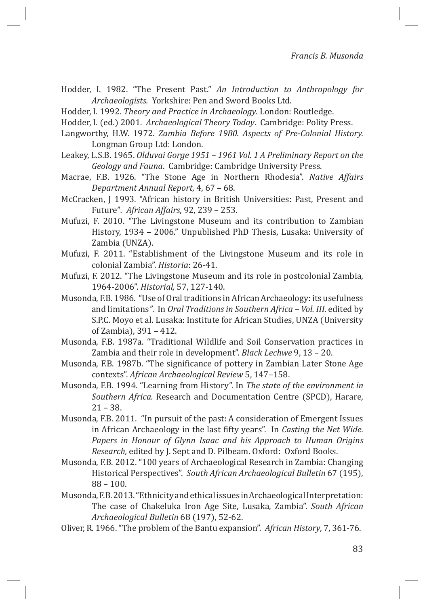Hodder, I. 1982. "The Present Past." *An Introduction to Anthropology for Archaeologists.* Yorkshire: Pen and Sword Books Ltd.

Hodder, I. 1992. *Theory and Practice in Archaeology*. London: Routledge.

- Hodder, I. (ed.) 2001. *Archaeological Theory Today*. Cambridge: Polity Press.
- Langworthy, H.W. 1972. *Zambia Before 1980. Aspects of Pre-Colonial History.* Longman Group Ltd: London.
- Leakey, L.S.B. 1965. *Olduvai Gorge 1951 1961 Vol. 1 A Preliminary Report on the Geology and Fauna*. Cambridge: Cambridge University Press.
- Macrae, F.B. 1926. "The Stone Age in Northern Rhodesia". *Native Affairs Department Annual Report*, 4, 67 – 68.
- McCracken, J 1993. "African history in British Universities: Past, Present and Future"*. African Affairs*, 92, 239 – 253.
- Mufuzi, F. 2010. "The Livingstone Museum and its contribution to Zambian History, 1934 – 2006." Unpublished PhD Thesis, Lusaka: University of Zambia (UNZA).
- Mufuzi, F. 2011. "Establishment of the Livingstone Museum and its role in colonial Zambia". *Historia*: 26-41.
- Mufuzi, F. 2012. "The Livingstone Museum and its role in postcolonial Zambia, 1964-2006". *Historial,* 57, 127-140.
- Musonda, F.B. 1986. "Use of Oral traditions in African Archaeology: its usefulness and limitations*"*. In *Oral Traditions in Southern Africa – Vol. III*. edited by S.P.C. Moyo et al. Lusaka: Institute for African Studies, UNZA (University of Zambia), 391 – 412.
- Musonda, F.B. 1987a. "Traditional Wildlife and Soil Conservation practices in Zambia and their role in development". *Black Lechwe* 9, 13 – 20.
- Musonda, F.B. 1987b. "The significance of pottery in Zambian Later Stone Age contexts". *African Archaeological Review* 5, 147–158.
- Musonda, F.B. 1994. "Learning from History". In *The state of the environment in Southern Africa.* Research and Documentation Centre (SPCD), Harare, 21 – 38.
- Musonda, F.B. 2011. "In pursuit of the past: A consideration of Emergent Issues in African Archaeology in the last fifty years". In *Casting the Net Wide. Papers in Honour of Glynn Isaac and his Approach to Human Origins Research,* edited by J. Sept and D. Pilbeam. Oxford: Oxford Books.
- Musonda, F.B. 2012. "100 years of Archaeological Research in Zambia: Changing Historical Perspectives". *South African Archaeological Bulletin* 67 (195), 88 – 100.
- Musonda, F.B. 2013. "Ethnicity and ethical issues in Archaeological Interpretation: The case of Chakeluka Iron Age Site, Lusaka, Zambia". *South African Archaeological Bulletin* 68 (197), 52-62.
- Oliver, R. 1966. "The problem of the Bantu expansion". *African History*, 7, 361-76.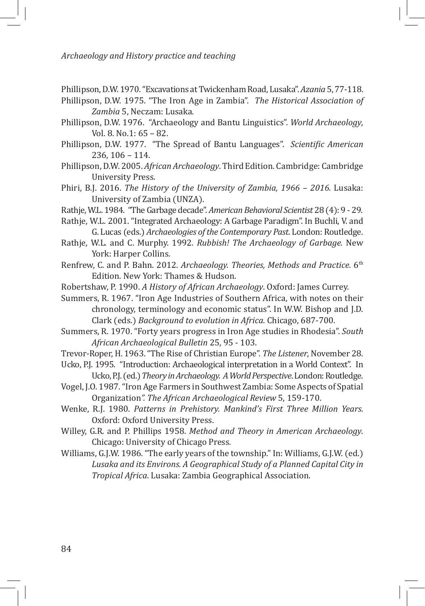Phillipson, D.W. 1970. "Excavations at Twickenham Road, Lusaka". *Azania* 5, 77-118.

Phillipson, D.W. 1975. "The Iron Age in Zambia". *The Historical Association of Zambia* 5, Neczam: Lusaka.

Phillipson, D.W. 1976. "Archaeology and Bantu Linguistics". *World Archaeology*, Vol. 8. No.1: 65 – 82.

- Phillipson, D.W. 1977. "The Spread of Bantu Languages". *Scientific American* 236, 106 – 114.
- Phillipson, D.W. 2005. *African Archaeology*. Third Edition. Cambridge: Cambridge University Press.
- Phiri, B.J. 2016. *The History of the University of Zambia, 1966 2016.* Lusaka: University of Zambia (UNZA).
- Rathje, W.L. 1984. "The Garbage decade". *American Behavioral Scientist* 28 (4): 9 29.
- Rathje, W.L. 2001. "Integrated Archaeology: A Garbage Paradigm". In Buchli, V. and G. Lucas (eds.) *Archaeologies of the Contemporary Past.* London: Routledge.
- Rathje, W.L. and C. Murphy. 1992. *Rubbish! The Archaeology of Garbage.* New York: Harper Collins.
- Renfrew, C. and P. Bahn. 2012. *Archaeology. Theories, Methods and Practice.* 6th Edition. New York: Thames & Hudson.
- Robertshaw, P. 1990. *A History of African Archaeology*. Oxford: James Currey.
- Summers, R. 1967. "Iron Age Industries of Southern Africa, with notes on their chronology, terminology and economic status". In W.W. Bishop and J.D. Clark (eds.) *Background to evolution in Africa*. Chicago, 687-700.
- Summers, R. 1970. "Forty years progress in Iron Age studies in Rhodesia". *South African Archaeological Bulletin* 25, 95 - 103.
- Trevor-Roper, H. 1963. "The Rise of Christian Europe". *The Listener*, November 28. Ucko, P.J. 1995. "Introduction: Archaeological interpretation in a World Context". In

Ucko, P.J. (ed.) *Theory in Archaeology. A World Perspective*. London: Routledge.

- Vogel, J.O. 1987. "Iron Age Farmers in Southwest Zambia: Some Aspects of Spatial Organization*". The African Archaeological Review* 5, 159-170.
- Wenke, R.J. 1980. *Patterns in Prehistory. Mankind's First Three Million Years.* Oxford: Oxford University Press.
- Willey, G.R. and P. Phillips 1958. *Method and Theory in American Archaeology*. Chicago: University of Chicago Press.
- Williams, G.J.W. 1986. "The early years of the township." In: Williams, G.J.W. (ed.) *Lusaka and its Environs. A Geographical Study of a Planned Capital City in Tropical Africa*. Lusaka: Zambia Geographical Association.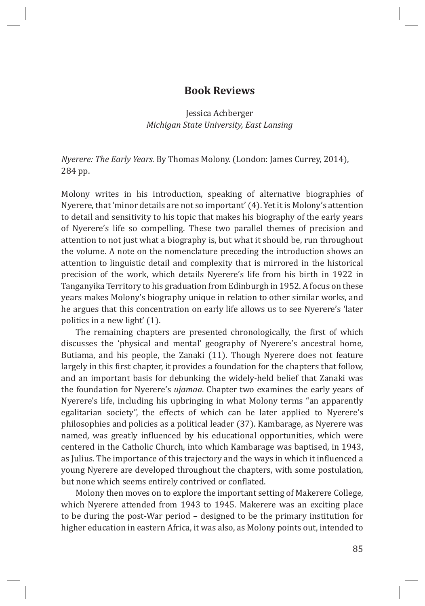## **Book Reviews**

Jessica Achberger *Michigan State University, East Lansing*

*Nyerere: The Early Years.* By Thomas Molony. (London: James Currey, 2014), 284 pp.

Molony writes in his introduction, speaking of alternative biographies of Nyerere, that 'minor details are not so important' (4). Yet it is Molony's attention to detail and sensitivity to his topic that makes his biography of the early years of Nyerere's life so compelling. These two parallel themes of precision and attention to not just what a biography is, but what it should be, run throughout the volume. A note on the nomenclature preceding the introduction shows an attention to linguistic detail and complexity that is mirrored in the historical precision of the work, which details Nyerere's life from his birth in 1922 in Tanganyika Territory to his graduation from Edinburgh in 1952. A focus on these years makes Molony's biography unique in relation to other similar works, and he argues that this concentration on early life allows us to see Nyerere's 'later politics in a new light' (1).

The remaining chapters are presented chronologically, the first of which discusses the 'physical and mental' geography of Nyerere's ancestral home, Butiama, and his people, the Zanaki (11). Though Nyerere does not feature largely in this first chapter, it provides a foundation for the chapters that follow, and an important basis for debunking the widely-held belief that Zanaki was the foundation for Nyerere's *ujamaa*. Chapter two examines the early years of Nyerere's life, including his upbringing in what Molony terms "an apparently egalitarian society", the effects of which can be later applied to Nyerere's philosophies and policies as a political leader (37). Kambarage, as Nyerere was named, was greatly influenced by his educational opportunities, which were centered in the Catholic Church, into which Kambarage was baptised, in 1943, as Julius. The importance of this trajectory and the ways in which it influenced a young Nyerere are developed throughout the chapters, with some postulation, but none which seems entirely contrived or conflated.

Molony then moves on to explore the important setting of Makerere College, which Nyerere attended from 1943 to 1945. Makerere was an exciting place to be during the post-War period – designed to be the primary institution for higher education in eastern Africa, it was also, as Molony points out, intended to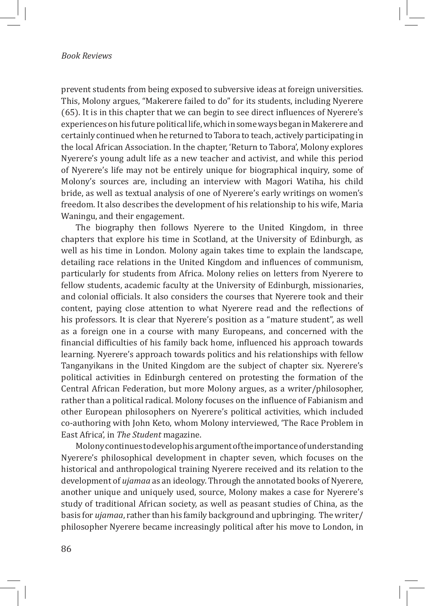#### *Book Reviews*

prevent students from being exposed to subversive ideas at foreign universities. This, Molony argues, "Makerere failed to do" for its students, including Nyerere (65). It is in this chapter that we can begin to see direct influences of Nyerere's experiences on his future political life, which in some ways began in Makerere and certainly continued when he returned to Tabora to teach, actively participating in the local African Association. In the chapter, 'Return to Tabora', Molony explores Nyerere's young adult life as a new teacher and activist, and while this period of Nyerere's life may not be entirely unique for biographical inquiry, some of Molony's sources are, including an interview with Magori Watiha, his child bride, as well as textual analysis of one of Nyerere's early writings on women's freedom. It also describes the development of his relationship to his wife, Maria Waningu, and their engagement.

The biography then follows Nyerere to the United Kingdom, in three chapters that explore his time in Scotland, at the University of Edinburgh, as well as his time in London. Molony again takes time to explain the landscape, detailing race relations in the United Kingdom and influences of communism, particularly for students from Africa. Molony relies on letters from Nyerere to fellow students, academic faculty at the University of Edinburgh, missionaries, and colonial officials. It also considers the courses that Nyerere took and their content, paying close attention to what Nyerere read and the reflections of his professors. It is clear that Nyerere's position as a "mature student", as well as a foreign one in a course with many Europeans, and concerned with the financial difficulties of his family back home, influenced his approach towards learning. Nyerere's approach towards politics and his relationships with fellow Tanganyikans in the United Kingdom are the subject of chapter six. Nyerere's political activities in Edinburgh centered on protesting the formation of the Central African Federation, but more Molony argues, as a writer/philosopher, rather than a political radical. Molony focuses on the influence of Fabianism and other European philosophers on Nyerere's political activities, which included co-authoring with John Keto, whom Molony interviewed, 'The Race Problem in East Africa', in *The Student* magazine.

Molony continues to develop his argument of the importance of understanding Nyerere's philosophical development in chapter seven, which focuses on the historical and anthropological training Nyerere received and its relation to the development of *ujamaa* as an ideology. Through the annotated books of Nyerere, another unique and uniquely used, source, Molony makes a case for Nyerere's study of traditional African society, as well as peasant studies of China, as the basis for *ujamaa*, rather than his family background and upbringing. The writer/ philosopher Nyerere became increasingly political after his move to London, in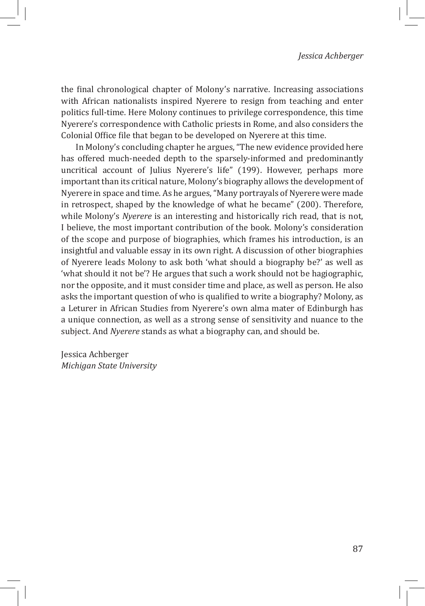the final chronological chapter of Molony's narrative. Increasing associations with African nationalists inspired Nyerere to resign from teaching and enter politics full-time. Here Molony continues to privilege correspondence, this time Nyerere's correspondence with Catholic priests in Rome, and also considers the Colonial Office file that began to be developed on Nyerere at this time.

In Molony's concluding chapter he argues, "The new evidence provided here has offered much-needed depth to the sparsely-informed and predominantly uncritical account of Julius Nyerere's life" (199). However, perhaps more important than its critical nature, Molony's biography allows the development of Nyerere in space and time. As he argues, "Many portrayals of Nyerere were made in retrospect, shaped by the knowledge of what he became" (200). Therefore, while Molony's *Nyerere* is an interesting and historically rich read, that is not, I believe, the most important contribution of the book. Molony's consideration of the scope and purpose of biographies, which frames his introduction, is an insightful and valuable essay in its own right. A discussion of other biographies of Nyerere leads Molony to ask both 'what should a biography be?' as well as 'what should it not be'? He argues that such a work should not be hagiographic, nor the opposite, and it must consider time and place, as well as person. He also asks the important question of who is qualified to write a biography? Molony, as a Leturer in African Studies from Nyerere's own alma mater of Edinburgh has a unique connection, as well as a strong sense of sensitivity and nuance to the subject. And *Nyerere* stands as what a biography can, and should be.

Jessica Achberger *Michigan State University*